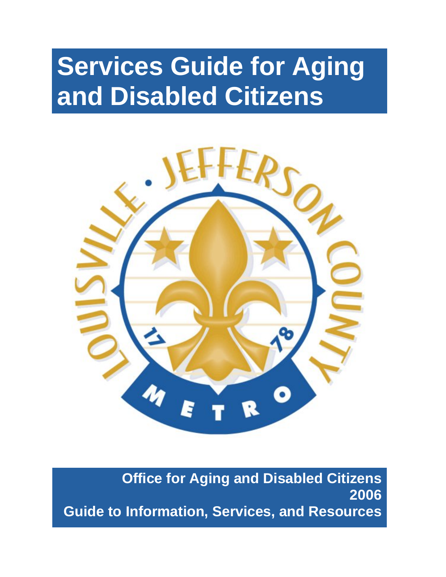# **Services Guide for Aging and Disabled Citizens**



**Office for Aging and Disabled Citizens 2006 Guide to Information, Services, and Resources**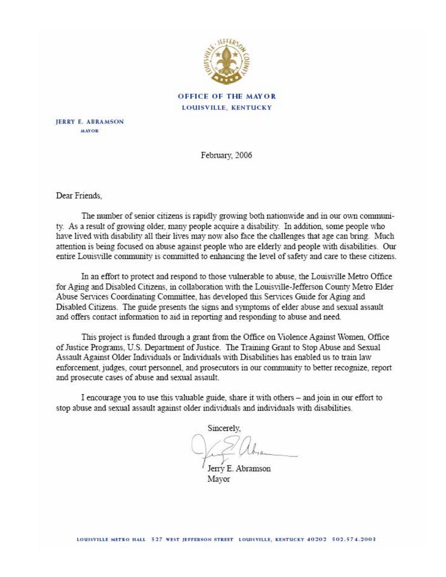

**OFFICE OF THE MAYOR LOUISVILLE, KENTUCKY** 

**JERRY E. ABRAMSON MAYOR** 

February, 2006

Dear Friends.

The number of senior citizens is rapidly growing both nationwide and in our own community. As a result of growing older, many people acquire a disability. In addition, some people who have lived with disability all their lives may now also face the challenges that age can bring. Much attention is being focused on abuse against people who are elderly and people with disabilities. Our entire Louisville community is committed to enhancing the level of safety and care to these citizens.

In an effort to protect and respond to those vulnerable to abuse, the Louisville Metro Office for Aging and Disabled Citizens, in collaboration with the Louisville-Jefferson County Metro Elder Abuse Services Coordinating Committee, has developed this Services Guide for Aging and Disabled Citizens. The guide presents the signs and symptoms of elder abuse and sexual assault and offers contact information to aid in reporting and responding to abuse and need.

This project is funded through a grant from the Office on Violence Against Women, Office of Justice Programs, U.S. Department of Justice. The Training Grant to Stop Abuse and Sexual Assault Against Older Individuals or Individuals with Disabilities has enabled us to train law enforcement, judges, court personnel, and prosecutors in our community to better recognize, report and prosecute cases of abuse and sexual assault.

I encourage you to use this valuable guide, share it with others – and join in our effort to stop abuse and sexual assault against older individuals and individuals with disabilities.

Sincerely,

Jerry E. Abramson Mayor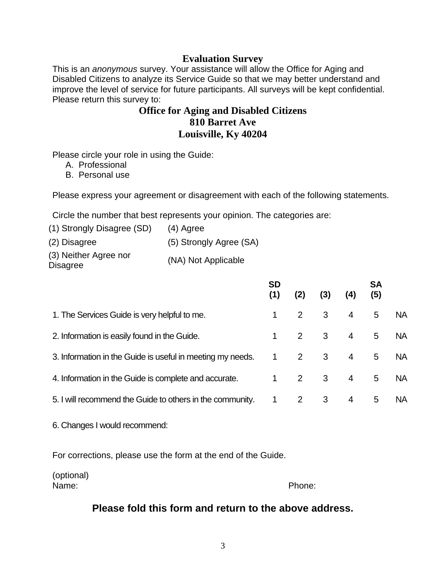### **Evaluation Survey**

This is an *anonymous* survey. Your assistance will allow the Office for Aging and Disabled Citizens to analyze its Service Guide so that we may better understand and improve the level of service for future participants. All surveys will be kept confidential. Please return this survey to:

### **Office for Aging and Disabled Citizens 810 Barret Ave Louisville, Ky 40204**

Please circle your role in using the Guide:

- A. Professional
- B. Personal use

Please express your agreement or disagreement with each of the following statements.

Circle the number that best represents your opinion. The categories are:

(1) Strongly Disagree (SD) (4) Agree (2) Disagree (5) Strongly Agree (SA) (3) Neither Agree nor (3) Neither Agree Hornes (NA) Not Applicable<br>Disagree

|                                                            | <b>SD</b><br>(1) | (2) | (3) | (4)            | <b>SA</b><br>(5) |           |
|------------------------------------------------------------|------------------|-----|-----|----------------|------------------|-----------|
| 1. The Services Guide is very helpful to me.               |                  | 2   | 3   | $\overline{4}$ | 5                | <b>NA</b> |
| 2. Information is easily found in the Guide.               |                  | 2   | 3   | $\overline{4}$ | 5                | <b>NA</b> |
| 3. Information in the Guide is useful in meeting my needs. | $\overline{1}$   | 2   | 3   | $\overline{4}$ | 5                | <b>NA</b> |
| 4. Information in the Guide is complete and accurate.      | 1                | 2   | 3   | $\overline{4}$ | 5                | <b>NA</b> |
| 5. I will recommend the Guide to others in the community.  |                  |     | 3   | 4              | 5                | NA.       |

6. Changes I would recommend:

For corrections, please use the form at the end of the Guide.

(optional)

Name: The property of the contract of the contract of the Phone: Phone:

# **Please fold this form and return to the above address.**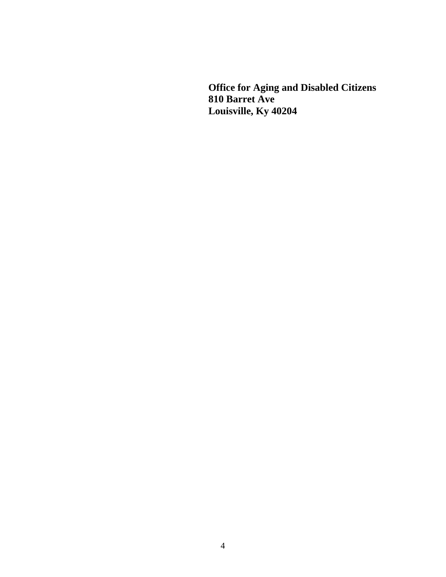**Office for Aging and Disabled Citizens 810 Barret Ave Louisville, Ky 40204**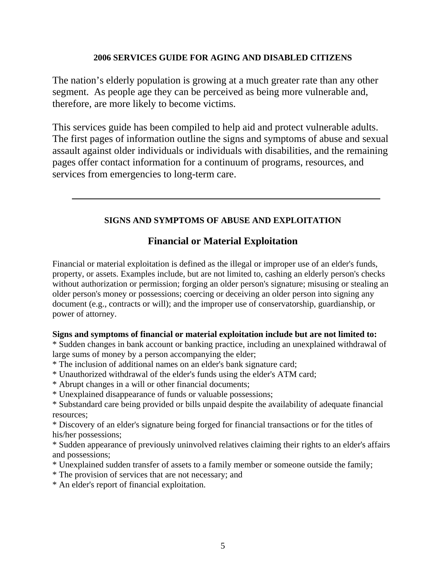### **2006 SERVICES GUIDE FOR AGING AND DISABLED CITIZENS**

The nation's elderly population is growing at a much greater rate than any other segment. As people age they can be perceived as being more vulnerable and, therefore, are more likely to become victims.

This services guide has been compiled to help aid and protect vulnerable adults. The first pages of information outline the signs and symptoms of abuse and sexual assault against older individuals or individuals with disabilities, and the remaining pages offer contact information for a continuum of programs, resources, and services from emergencies to long-term care.

### **SIGNS AND SYMPTOMS OF ABUSE AND EXPLOITATION**

# **Financial or Material Exploitation**

Financial or material exploitation is defined as the illegal or improper use of an elder's funds, property, or assets. Examples include, but are not limited to, cashing an elderly person's checks without authorization or permission; forging an older person's signature; misusing or stealing an older person's money or possessions; coercing or deceiving an older person into signing any document (e.g., contracts or will); and the improper use of conservatorship, guardianship, or power of attorney.

### **Signs and symptoms of financial or material exploitation include but are not limited to:**

\* Sudden changes in bank account or banking practice, including an unexplained withdrawal of large sums of money by a person accompanying the elder;

- \* The inclusion of additional names on an elder's bank signature card;
- \* Unauthorized withdrawal of the elder's funds using the elder's ATM card;
- \* Abrupt changes in a will or other financial documents;
- \* Unexplained disappearance of funds or valuable possessions;

\* Substandard care being provided or bills unpaid despite the availability of adequate financial resources;

\* Discovery of an elder's signature being forged for financial transactions or for the titles of his/her possessions;

\* Sudden appearance of previously uninvolved relatives claiming their rights to an elder's affairs and possessions;

- \* Unexplained sudden transfer of assets to a family member or someone outside the family;
- \* The provision of services that are not necessary; and
- \* An elder's report of financial exploitation.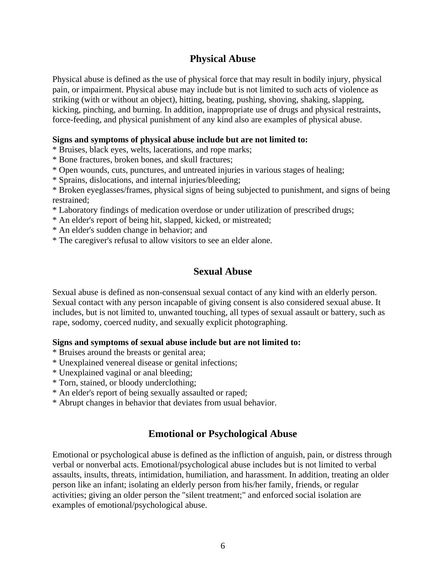### **Physical Abuse**

Physical abuse is defined as the use of physical force that may result in bodily injury, physical pain, or impairment. Physical abuse may include but is not limited to such acts of violence as striking (with or without an object), hitting, beating, pushing, shoving, shaking, slapping, kicking, pinching, and burning. In addition, inappropriate use of drugs and physical restraints, force-feeding, and physical punishment of any kind also are examples of physical abuse.

#### **Signs and symptoms of physical abuse include but are not limited to:**

\* Bruises, black eyes, welts, lacerations, and rope marks;

- \* Bone fractures, broken bones, and skull fractures;
- \* Open wounds, cuts, punctures, and untreated injuries in various stages of healing;
- \* Sprains, dislocations, and internal injuries/bleeding;

\* Broken eyeglasses/frames, physical signs of being subjected to punishment, and signs of being restrained;

- \* Laboratory findings of medication overdose or under utilization of prescribed drugs;
- \* An elder's report of being hit, slapped, kicked, or mistreated;
- \* An elder's sudden change in behavior; and
- \* The caregiver's refusal to allow visitors to see an elder alone.

### **Sexual Abuse**

Sexual abuse is defined as non-consensual sexual contact of any kind with an elderly person. Sexual contact with any person incapable of giving consent is also considered sexual abuse. It includes, but is not limited to, unwanted touching, all types of sexual assault or battery, such as rape, sodomy, coerced nudity, and sexually explicit photographing.

### **Signs and symptoms of sexual abuse include but are not limited to:**

- \* Bruises around the breasts or genital area;
- \* Unexplained venereal disease or genital infections;
- \* Unexplained vaginal or anal bleeding;
- \* Torn, stained, or bloody underclothing;
- \* An elder's report of being sexually assaulted or raped;
- \* Abrupt changes in behavior that deviates from usual behavior.

### **Emotional or Psychological Abuse**

Emotional or psychological abuse is defined as the infliction of anguish, pain, or distress through verbal or nonverbal acts. Emotional/psychological abuse includes but is not limited to verbal assaults, insults, threats, intimidation, humiliation, and harassment. In addition, treating an older person like an infant; isolating an elderly person from his/her family, friends, or regular activities; giving an older person the "silent treatment;" and enforced social isolation are examples of emotional/psychological abuse.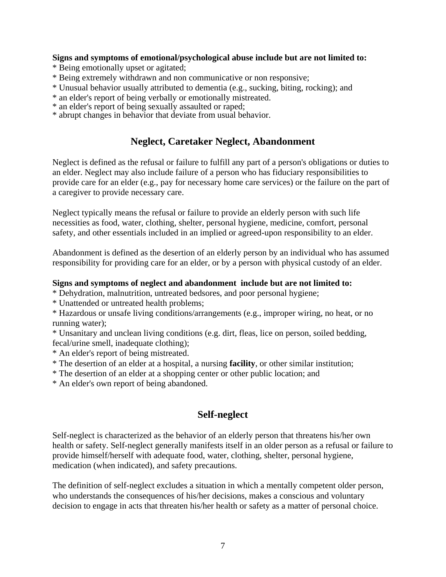#### **Signs and symptoms of emotional/psychological abuse include but are not limited to:**

- \* Being emotionally upset or agitated;
- \* Being extremely withdrawn and non communicative or non responsive;
- \* Unusual behavior usually attributed to dementia (e.g., sucking, biting, rocking); and
- \* an elder's report of being verbally or emotionally mistreated.
- \* an elder's report of being sexually assaulted or raped;
- \* abrupt changes in behavior that deviate from usual behavior.

# **Neglect, Caretaker Neglect, Abandonment**

Neglect is defined as the refusal or failure to fulfill any part of a person's obligations or duties to an elder. Neglect may also include failure of a person who has fiduciary responsibilities to provide care for an elder (e.g., pay for necessary home care services) or the failure on the part of a caregiver to provide necessary care.

Neglect typically means the refusal or failure to provide an elderly person with such life necessities as food, water, clothing, shelter, personal hygiene, medicine, comfort, personal safety, and other essentials included in an implied or agreed-upon responsibility to an elder.

Abandonment is defined as the desertion of an elderly person by an individual who has assumed responsibility for providing care for an elder, or by a person with physical custody of an elder.

### **Signs and symptoms of neglect and abandonment include but are not limited to:**

- \* Dehydration, malnutrition, untreated bedsores, and poor personal hygiene;
- \* Unattended or untreated health problems;

\* Hazardous or unsafe living conditions/arrangements (e.g., improper wiring, no heat, or no running water);

\* Unsanitary and unclean living conditions (e.g. dirt, fleas, lice on person, soiled bedding, fecal/urine smell, inadequate clothing);

- \* An elder's report of being mistreated.
- \* The desertion of an elder at a hospital, a nursing **facility**, or other similar institution;
- \* The desertion of an elder at a shopping center or other public location; and
- \* An elder's own report of being abandoned.

### **Self-neglect**

Self-neglect is characterized as the behavior of an elderly person that threatens his/her own health or safety. Self-neglect generally manifests itself in an older person as a refusal or failure to provide himself/herself with adequate food, water, clothing, shelter, personal hygiene, medication (when indicated), and safety precautions.

The definition of self-neglect excludes a situation in which a mentally competent older person, who understands the consequences of his/her decisions, makes a conscious and voluntary decision to engage in acts that threaten his/her health or safety as a matter of personal choice.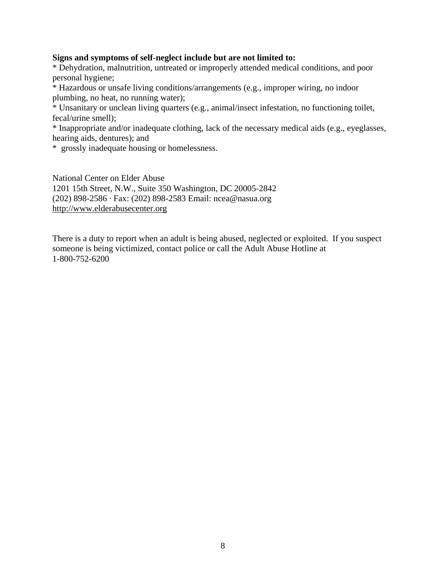#### **Signs and symptoms of self-neglect include but are not limited to:**

\* Dehydration, malnutrition, untreated or improperly attended medical conditions, and poor personal hygiene;

\* Hazardous or unsafe living conditions/arrangements (e.g., improper wiring, no indoor plumbing, no heat, no running water);

\* Unsanitary or unclean living quarters (e.g., animal/insect infestation, no functioning toilet, fecal/urine smell);

\* Inappropriate and/or inadequate clothing, lack of the necessary medical aids (e.g., eyeglasses, hearing aids, dentures); and

\* grossly inadequate housing or homelessness.

National Center on Elder Abuse 1201 15th Street, N.W., Suite 350 Washington, DC 20005-2842 (202) 898-2586 · Fax: (202) 898-2583 Email: ncea@nasua.org http://www.elderabusecenter.org

There is a duty to report when an adult is being abused, neglected or exploited. If you suspect someone is being victimized, contact police or call the Adult Abuse Hotline at 1-800-752-6200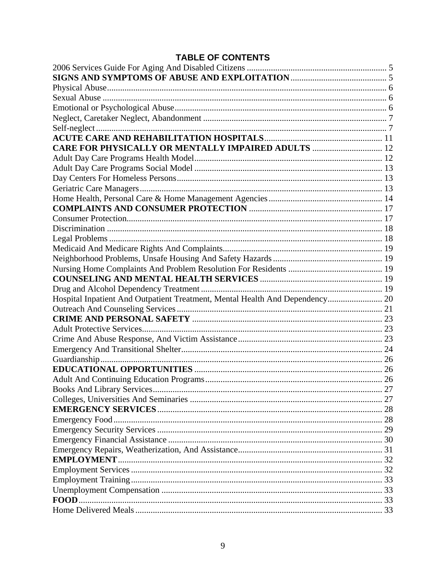# **TABLE OF CONTENTS**

| <b>CARE FOR PHYSICALLY OR MENTALLY IMPAIRED ADULTS  12</b>                   |  |
|------------------------------------------------------------------------------|--|
|                                                                              |  |
|                                                                              |  |
|                                                                              |  |
|                                                                              |  |
|                                                                              |  |
|                                                                              |  |
|                                                                              |  |
|                                                                              |  |
|                                                                              |  |
|                                                                              |  |
|                                                                              |  |
|                                                                              |  |
|                                                                              |  |
|                                                                              |  |
| Hospital Inpatient And Outpatient Treatment, Mental Health And Dependency 20 |  |
|                                                                              |  |
|                                                                              |  |
|                                                                              |  |
|                                                                              |  |
|                                                                              |  |
|                                                                              |  |
|                                                                              |  |
|                                                                              |  |
|                                                                              |  |
|                                                                              |  |
|                                                                              |  |
|                                                                              |  |
|                                                                              |  |
|                                                                              |  |
|                                                                              |  |
|                                                                              |  |
|                                                                              |  |
|                                                                              |  |
|                                                                              |  |
|                                                                              |  |
|                                                                              |  |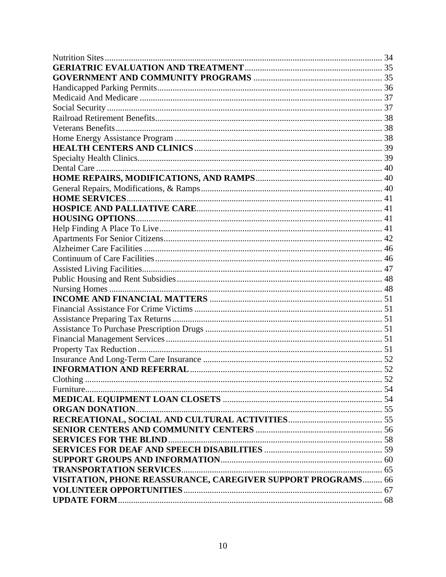| VISITATION, PHONE REASSURANCE, CAREGIVER SUPPORT PROGRAMS 66 |  |
|--------------------------------------------------------------|--|
|                                                              |  |
|                                                              |  |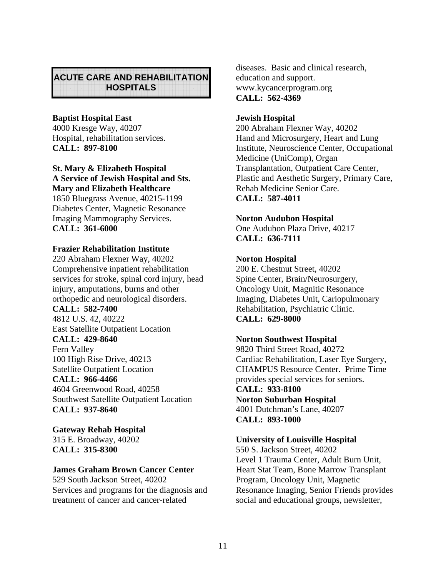### **ACUTE CARE AND REHABILITATION HOSPITALS**

### **Baptist Hospital East**

4000 Kresge Way, 40207 Hospital, rehabilitation services. **CALL: 897-8100** 

### **St. Mary & Elizabeth Hospital A Service of Jewish Hospital and Sts. Mary and Elizabeth Healthcare**

1850 Bluegrass Avenue, 40215-1199 Diabetes Center, Magnetic Resonance Imaging Mammography Services. **CALL: 361-6000** 

### **Frazier Rehabilitation Institute**

220 Abraham Flexner Way, 40202 Comprehensive inpatient rehabilitation services for stroke, spinal cord injury, head injury, amputations, burns and other orthopedic and neurological disorders.

#### **CALL: 582-7400**

4812 U.S. 42, 40222 East Satellite Outpatient Location **CALL: 429-8640**  Fern Valley 100 High Rise Drive, 40213

Satellite Outpatient Location

# **CALL: 966-4466**

4604 Greenwood Road, 40258 Southwest Satellite Outpatient Location **CALL: 937-8640** 

**Gateway Rehab Hospital**  315 E. Broadway, 40202 **CALL: 315-8300** 

### **James Graham Brown Cancer Center**

529 South Jackson Street, 40202 Services and programs for the diagnosis and treatment of cancer and cancer-related

diseases. Basic and clinical research, education and support. www.kycancerprogram.org **CALL: 562-4369** 

### **Jewish Hospital**

200 Abraham Flexner Way, 40202 Hand and Microsurgery, Heart and Lung Institute, Neuroscience Center, Occupational Medicine (UniComp), Organ Transplantation, Outpatient Care Center, Plastic and Aesthetic Surgery, Primary Care, Rehab Medicine Senior Care. **CALL: 587-4011** 

### **Norton Audubon Hospital**

One Audubon Plaza Drive, 40217 **CALL: 636-7111** 

### **Norton Hospital**

200 E. Chestnut Street, 40202 Spine Center, Brain/Neurosurgery, Oncology Unit, Magnitic Resonance Imaging, Diabetes Unit, Cariopulmonary Rehabilitation, Psychiatric Clinic. **CALL: 629-8000** 

### **Norton Southwest Hospital**

9820 Third Street Road, 40272 Cardiac Rehabilitation, Laser Eye Surgery, CHAMPUS Resource Center. Prime Time provides special services for seniors. **CALL: 933-8100 Norton Suburban Hospital**  4001 Dutchman's Lane, 40207 **CALL: 893-1000** 

### **University of Louisville Hospital**

550 S. Jackson Street, 40202 Level 1 Trauma Center, Adult Burn Unit, Heart Stat Team, Bone Marrow Transplant Program, Oncology Unit, Magnetic Resonance Imaging, Senior Friends provides social and educational groups, newsletter,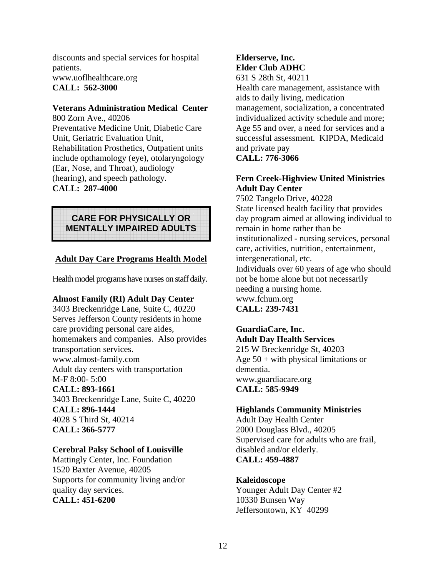discounts and special services for hospital patients. www.uoflhealthcare.org **CALL: 562-3000**

### **Veterans Administration Medical Center**  800 Zorn Ave., 40206

Preventative Medicine Unit, Diabetic Care Unit, Geriatric Evaluation Unit, Rehabilitation Prosthetics, Outpatient units include opthamology (eye), otolaryngology (Ear, Nose, and Throat), audiology (hearing), and speech pathology. **CALL: 287-4000** 

### **CARE FOR PHYSICALLY OR MENTALLY IMPAIRED ADULTS**

### **Adult Day Care Programs Health Model**

Health model programs have nurses on staff daily.

### **Almost Family (RI) Adult Day Center**

3403 Breckenridge Lane, Suite C, 40220 Serves Jefferson County residents in home care providing personal care aides, homemakers and companies. Also provides transportation services. www.almost-family.com Adult day centers with transportation  $M-F 8:00-5:00$ **CALL: 893-1661**  3403 Breckenridge Lane, Suite C, 40220 **CALL: 896-1444**  4028 S Third St, 40214

# **CALL: 366-5777**

### **Cerebral Palsy School of Louisville**

Mattingly Center, Inc. Foundation 1520 Baxter Avenue, 40205 Supports for community living and/or quality day services. **CALL: 451-6200** 

### **Elderserve, Inc. Elder Club ADHC**

631 S 28th St, 40211 Health care management, assistance with aids to daily living, medication management, socialization, a concentrated individualized activity schedule and more; Age 55 and over, a need for services and a successful assessment. KIPDA, Medicaid and private pay **CALL: 776-3066** 

### **Fern Creek-Highview United Ministries Adult Day Center**

7502 Tangelo Drive, 40228 State licensed health facility that provides day program aimed at allowing individual to remain in home rather than be institutionalized - nursing services, personal care, activities, nutrition, entertainment, intergenerational, etc. Individuals over 60 years of age who should not be home alone but not necessarily needing a nursing home. www.fchum.org **CALL: 239-7431**

#### **GuardiaCare, Inc. Adult Day Health Services**

215 W Breckenridge St, 40203 Age  $50 +$  with physical limitations or dementia. www.guardiacare.org **CALL: 585-9949** 

### **Highlands Community Ministries**

Adult Day Health Center 2000 Douglass Blvd., 40205 Supervised care for adults who are frail, disabled and/or elderly. **CALL: 459-4887** 

### **Kaleidoscope**

Younger Adult Day Center #2 10330 Bunsen Way Jeffersontown, KY 40299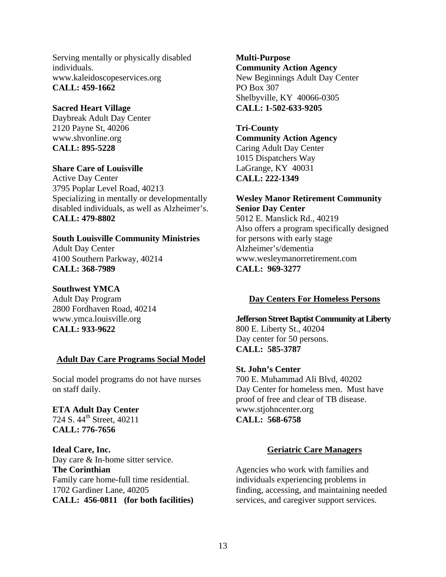Serving mentally or physically disabled individuals. www.kaleidoscopeservices.org **CALL: 459-1662** 

#### **Sacred Heart Village**

Daybreak Adult Day Center 2120 Payne St, 40206 www.shvonline.org **CALL: 895-5228** 

#### **Share Care of Louisville**

Active Day Center 3795 Poplar Level Road, 40213 Specializing in mentally or developmentally disabled individuals, as well as Alzheimer's. **CALL: 479-8802** 

**South Louisville Community Ministries**  Adult Day Center 4100 Southern Parkway, 40214 **CALL: 368-7989** 

#### **Southwest YMCA**

Adult Day Program 2800 Fordhaven Road, 40214 www.ymca.louisville.org **CALL: 933-9622** 

#### **Adult Day Care Programs Social Model**

Social model programs do not have nurses on staff daily.

**ETA Adult Day Center**  724 S. 44<sup>th</sup> Street, 40211 **CALL: 776-7656** 

**Ideal Care, Inc.**  Day care & In-home sitter service. **The Corinthian**  Family care home-full time residential. 1702 Gardiner Lane, 40205 **CALL: 456-0811 (for both facilities)**  **Multi-Purpose Community Action Agency**  New Beginnings Adult Day Center PO Box 307 Shelbyville, KY 40066-0305 **CALL: 1-502-633-9205** 

#### **Tri-County Community Action Agency**  Caring Adult Day Center 1015 Dispatchers Way LaGrange, KY 40031 **CALL: 222-1349**

### **Wesley Manor Retirement Community Senior Day Center**

5012 E. Manslick Rd., 40219 Also offers a program specifically designed for persons with early stage Alzheimer's/dementia www.wesleymanorretirement.com **CALL: 969-3277** 

### **Day Centers For Homeless Persons**

**Jefferson Street Baptist Community at Liberty**  800 E. Liberty St., 40204 Day center for 50 persons. **CALL: 585-3787** 

#### **St. John's Center**  700 E. Muhammad Ali Blvd, 40202 Day Center for homeless men. Must have proof of free and clear of TB disease. www.stjohncenter.org

**CALL: 568-6758** 

### **Geriatric Care Managers**

Agencies who work with families and individuals experiencing problems in finding, accessing, and maintaining needed services, and caregiver support services.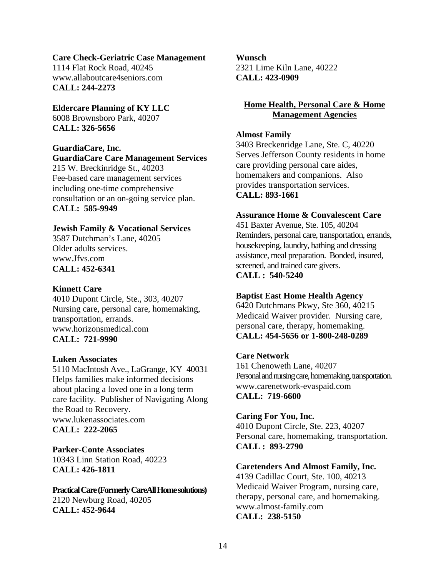**Care Check-Geriatric Case Management** 1114 Flat Rock Road, 40245 www.allaboutcare4seniors.com **CALL: 244-2273** 

**Eldercare Planning of KY LLC**  6008 Brownsboro Park, 40207

**CALL: 326-5656** 

**GuardiaCare, Inc.** 

**GuardiaCare Care Management Services**  215 W. Breckinridge St., 40203 Fee-based care management services including one-time comprehensive consultation or an on-going service plan. **CALL: 585-9949** 

### **Jewish Family & Vocational Services**

3587 Dutchman's Lane, 40205 Older adults services. www.Jfvs.com **CALL: 452-6341**

#### **Kinnett Care**

4010 Dupont Circle, Ste., 303, 40207 Nursing care, personal care, homemaking, transportation, errands. www.horizonsmedical.com **CALL: 721-9990** 

#### **Luken Associates**

5110 MacIntosh Ave., LaGrange, KY 40031 Helps families make informed decisions about placing a loved one in a long term care facility. Publisher of Navigating Along the Road to Recovery. www.lukenassociates.com **CALL: 222-2065** 

**Parker-Conte Associates** 

10343 Linn Station Road, 40223 **CALL: 426-1811** 

### **Practical Care (Formerly CareAll Home solutions)**

2120 Newburg Road, 40205 **CALL: 452-9644** 

**Wunsch** 

2321 Lime Kiln Lane, 40222 **CALL: 423-0909** 

### **Home Health, Personal Care & Home Management Agencies**

#### **Almost Family**

3403 Breckenridge Lane, Ste. C, 40220 Serves Jefferson County residents in home care providing personal care aides, homemakers and companions. Also provides transportation services. **CALL: 893-1661** 

### **Assurance Home & Convalescent Care**

451 Baxter Avenue, Ste. 105, 40204 Reminders, personal care, transportation, errands, housekeeping, laundry, bathing and dressing assistance, meal preparation. Bonded, insured, screened, and trained care givers. **CALL : 540-5240** 

#### **Baptist East Home Health Agency**

6420 Dutchmans Pkwy, Ste 360, 40215 Medicaid Waiver provider. Nursing care, personal care, therapy, homemaking. **CALL: 454-5656 or 1-800-248-0289** 

#### **Care Network**

161 Chenoweth Lane, 40207 Personal and nursing care, homemaking, transportation. www.carenetwork-evaspaid.com **CALL: 719-6600** 

### **Caring For You, Inc.**

4010 Dupont Circle, Ste. 223, 40207 Personal care, homemaking, transportation. **CALL : 893-2790** 

#### **Caretenders And Almost Family, Inc.**

4139 Cadillac Court, Ste. 100, 40213 Medicaid Waiver Program, nursing care, therapy, personal care, and homemaking. www.almost-family.com **CALL: 238-5150**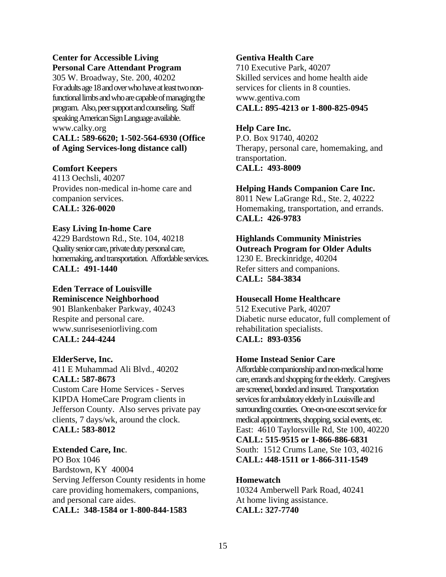#### **Center for Accessible Living Personal Care Attendant Program**

305 W. Broadway, Ste. 200, 40202 For adults age 18 and over who have at least two nonfunctional limbs and who are capable of managing the program. Also, peer support and counseling. Staff speaking American Sign Language available. www.calky.org

### **CALL: 589-6620; 1-502-564-6930 (Office of Aging Services-long distance call)**

#### **Comfort Keepers**

4113 Oechsli, 40207 Provides non-medical in-home care and companion services. **CALL: 326-0020** 

#### **Easy Living In-home Care**

4229 Bardstown Rd., Ste. 104, 40218 Quality senior care, private duty personal care, homemaking, and transportation. Affordable services. **CALL: 491-1440** 

# **Eden Terrace of Louisville**

**Reminiscence Neighborhood**  901 Blankenbaker Parkway, 40243 Respite and personal care. www.sunriseseniorliving.com **CALL: 244-4244** 

#### **ElderServe, Inc.**

411 E Muhammad Ali Blvd., 40202 **CALL: 587-8673**  Custom Care Home Services - Serves KIPDA HomeCare Program clients in Jefferson County. Also serves private pay clients, 7 days/wk, around the clock. **CALL: 583-8012** 

#### **Extended Care, Inc**.

PO Box 1046 Bardstown, KY 40004 Serving Jefferson County residents in home care providing homemakers, companions, and personal care aides.

**CALL: 348-1584 or 1-800-844-1583**

### **Gentiva Health Care**

710 Executive Park, 40207 Skilled services and home health aide services for clients in 8 counties. www.gentiva.com **CALL: 895-4213 or 1-800-825-0945** 

#### **Help Care Inc.**

P.O. Box 91740, 40202 Therapy, personal care, homemaking, and transportation. **CALL: 493-8009** 

#### **Helping Hands Companion Care Inc.**

8011 New LaGrange Rd., Ste. 2, 40222 Homemaking, transportation, and errands. **CALL: 426-9783** 

#### **Highlands Community Ministries Outreach Program for Older Adults**

1230 E. Breckinridge, 40204 Refer sitters and companions. **CALL: 584-3834** 

### **Housecall Home Healthcare**

512 Executive Park, 40207 Diabetic nurse educator, full complement of rehabilitation specialists. **CALL: 893-0356**

#### **Home Instead Senior Care**

Affordable companionship and non-medical home care, errands and shopping for the elderly. Caregivers are screened, bonded and insured. Transportation services for ambulatory elderly in Louisville and surrounding counties. One-on-one escort service for medical appointments, shopping, social events, etc. East: 4610 Taylorsville Rd, Ste 100, 40220 **CALL: 515-9515 or 1-866-886-6831**  South: 1512 Crums Lane, Ste 103, 40216 **CALL: 448-1511 or 1-866-311-1549** 

#### **Homewatch**

10324 Amberwell Park Road, 40241 At home living assistance. **CALL: 327-7740**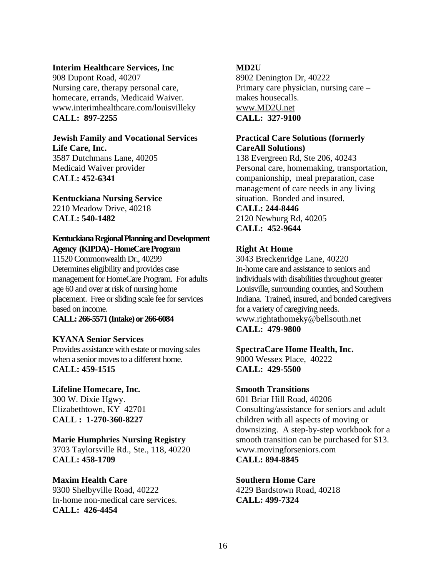#### **Interim Healthcare Services, Inc**

908 Dupont Road, 40207 Nursing care, therapy personal care, homecare, errands, Medicaid Waiver. www.interimhealthcare.com/louisvilleky **CALL: 897-2255** 

#### **Jewish Family and Vocational Services Life Care, Inc.**

3587 Dutchmans Lane, 40205 Medicaid Waiver provider **CALL: 452-6341** 

### **Kentuckiana Nursing Service**

2210 Meadow Drive, 40218 **CALL: 540-1482** 

#### **Kentuckiana Regional Planning and Development Agency (KIPDA) - HomeCare Program**

11520 Commonwealth Dr., 40299 Determines eligibility and provides case management for HomeCare Program. For adults age 60 and over at risk of nursing home placement. Free or sliding scale fee for services based on income.

#### **CALL: 266-5571 (Intake) or 266-6084**

#### **KYANA Senior Services**

Provides assistance with estate or moving sales when a senior moves to a different home. **CALL: 459-1515** 

### **Lifeline Homecare, Inc.**

300 W. Dixie Hgwy. Elizabethtown, KY 42701 **CALL : 1-270-360-8227** 

#### **Marie Humphries Nursing Registry**

3703 Taylorsville Rd., Ste., 118, 40220 **CALL: 458-1709** 

### **Maxim Health Care**

9300 Shelbyville Road, 40222 In-home non-medical care services. **CALL: 426-4454** 

#### **MD2U**

8902 Denington Dr, 40222 Primary care physician, nursing care – makes housecalls. www.MD2U.net **CALL: 327-9100** 

### **Practical Care Solutions (formerly CareAll Solutions)**

138 Evergreen Rd, Ste 206, 40243 Personal care, homemaking, transportation, companionship, meal preparation, case management of care needs in any living situation. Bonded and insured.

#### **CALL: 244-8446**  2120 Newburg Rd, 40205 **CALL: 452-9644**

### **Right At Home**

3043 Breckenridge Lane, 40220 In-home care and assistance to seniors and individuals with disabilities throughout greater Louisville, surrounding counties, and Southern Indiana. Trained, insured, and bonded caregivers for a variety of caregiving needs. www.rightathomeky@bellsouth.net **CALL: 479-9800** 

# **SpectraCare Home Health, Inc.**

9000 Wessex Place, 40222 **CALL: 429-5500** 

### **Smooth Transitions**

601 Briar Hill Road, 40206 Consulting/assistance for seniors and adult children with all aspects of moving or downsizing. A step-by-step workbook for a smooth transition can be purchased for \$13. www.movingforseniors.com **CALL: 894-8845** 

#### **Southern Home Care**  4229 Bardstown Road, 40218 **CALL: 499-7324**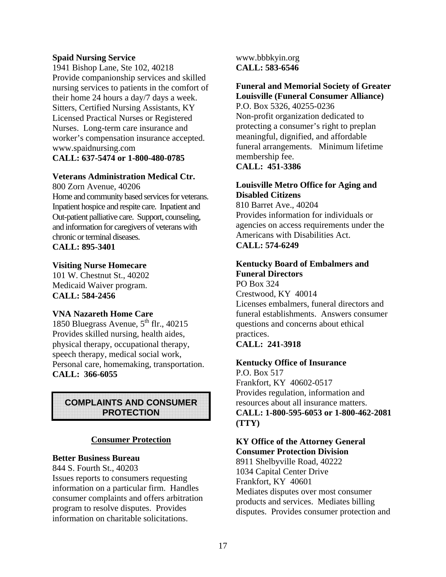#### **Spaid Nursing Service**

1941 Bishop Lane, Ste 102, 40218 Provide companionship services and skilled nursing services to patients in the comfort of their home 24 hours a day/7 days a week. Sitters, Certified Nursing Assistants, KY Licensed Practical Nurses or Registered Nurses. Long-term care insurance and worker's compensation insurance accepted. www.spaidnursing.com **CALL: 637-5474 or 1-800-480-0785** 

#### **Veterans Administration Medical Ctr.**

800 Zorn Avenue, 40206 Home and community based services for veterans. Inpatient hospice and respite care. Inpatient and Out-patient palliative care. Support, counseling, and information for caregivers of veterans with chronic or terminal diseases. **CALL: 895-3401** 

#### **Visiting Nurse Homecare**

101 W. Chestnut St., 40202 Medicaid Waiver program. **CALL: 584-2456** 

#### **VNA Nazareth Home Care**

1850 Bluegrass Avenue,  $5<sup>th</sup>$  flr., 40215 Provides skilled nursing, health aides, physical therapy, occupational therapy, speech therapy, medical social work, Personal care, homemaking, transportation. **CALL: 366-6055** 

### **COMPLAINTS AND CONSUMER PROTECTION**

#### **Consumer Protection**

#### **Better Business Bureau**

844 S. Fourth St., 40203 Issues reports to consumers requesting information on a particular firm. Handles consumer complaints and offers arbitration program to resolve disputes. Provides information on charitable solicitations.

www.bbbkyin.org **CALL: 583-6546** 

### **Funeral and Memorial Society of Greater Louisville (Funeral Consumer Alliance)**

P.O. Box 5326, 40255-0236 Non-profit organization dedicated to protecting a consumer's right to preplan meaningful, dignified, and affordable funeral arrangements. Minimum lifetime membership fee. **CALL: 451-3386** 

#### **Louisville Metro Office for Aging and Disabled Citizens**

810 Barret Ave., 40204 Provides information for individuals or agencies on access requirements under the Americans with Disabilities Act. **CALL: 574-6249** 

### **Kentucky Board of Embalmers and Funeral Directors**

PO Box 324 Crestwood, KY 40014 Licenses embalmers, funeral directors and funeral establishments. Answers consumer questions and concerns about ethical practices. **CALL: 241-3918** 

#### **Kentucky Office of Insurance**

P.O. Box 517 Frankfort, KY 40602-0517 Provides regulation, information and resources about all insurance matters. **CALL: 1-800-595-6053 or 1-800-462-2081 (TTY)** 

### **KY Office of the Attorney General Consumer Protection Division**

8911 Shelbyville Road, 40222 1034 Capital Center Drive Frankfort, KY 40601 Mediates disputes over most consumer products and services. Mediates billing disputes. Provides consumer protection and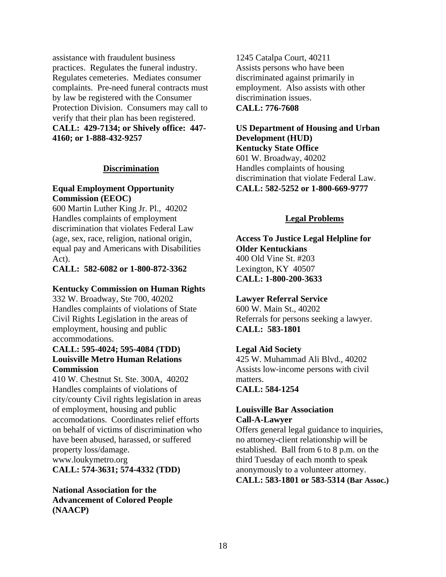assistance with fraudulent business practices. Regulates the funeral industry. Regulates cemeteries. Mediates consumer complaints. Pre-need funeral contracts must by law be registered with the Consumer Protection Division. Consumers may call to verify that their plan has been registered. **CALL: 429-7134; or Shively office: 447- 4160; or 1-888-432-9257** 

#### **Discrimination**

#### **Equal Employment Opportunity Commission (EEOC)**

600 Martin Luther King Jr. Pl., 40202 Handles complaints of employment discrimination that violates Federal Law (age, sex, race, religion, national origin, equal pay and Americans with Disabilities Act).

**CALL: 582-6082 or 1-800-872-3362**

#### **Kentucky Commission on Human Rights**

332 W. Broadway, Ste 700, 40202 Handles complaints of violations of State Civil Rights Legislation in the areas of employment, housing and public accommodations.

#### **CALL: 595-4024; 595-4084 (TDD) Louisville Metro Human Relations Commission**

410 W. Chestnut St. Ste. 300A, 40202 Handles complaints of violations of city/county Civil rights legislation in areas of employment, housing and public accomodations. Coordinates relief efforts on behalf of victims of discrimination who have been abused, harassed, or suffered property loss/damage. www.loukymetro.org **CALL: 574-3631; 574-4332 (TDD)**

**National Association for the Advancement of Colored People (NAACP)** 

1245 Catalpa Court, 40211 Assists persons who have been discriminated against primarily in employment. Also assists with other discrimination issues. **CALL: 776-7608** 

### **US Department of Housing and Urban Development (HUD) Kentucky State Office**  601 W. Broadway, 40202

Handles complaints of housing discrimination that violate Federal Law. **CALL: 582-5252 or 1-800-669-9777**

### **Legal Problems**

**Access To Justice Legal Helpline for Older Kentuckians**  400 Old Vine St. #203 Lexington, KY 40507 **CALL: 1-800-200-3633** 

#### **Lawyer Referral Service**

600 W. Main St., 40202 Referrals for persons seeking a lawyer. **CALL: 583-1801** 

#### **Legal Aid Society**

425 W. Muhammad Ali Blvd., 40202 Assists low-income persons with civil matters. **CALL: 584-1254** 

#### **Louisville Bar Association Call-A-Lawyer**

Offers general legal guidance to inquiries, no attorney-client relationship will be established. Ball from 6 to 8 p.m. on the third Tuesday of each month to speak anonymously to a volunteer attorney. **CALL: 583-1801 or 583-5314 (Bar Assoc.)**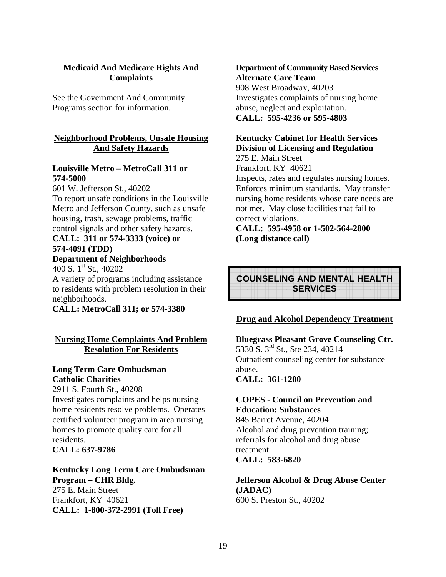### **Medicaid And Medicare Rights And Complaints**

See the Government And Community Programs section for information.

### **Neighborhood Problems, Unsafe Housing And Safety Hazards**

#### **Louisville Metro – MetroCall 311 or 574-5000**

601 W. Jefferson St., 40202

To report unsafe conditions in the Louisville Metro and Jefferson County, such as unsafe housing, trash, sewage problems, traffic control signals and other safety hazards.

### **CALL: 311 or 574-3333 (voice) or 574-4091 (TDD)**

# **Department of Neighborhoods**

400 S.  $1^{\text{st}}$  St., 40202

A variety of programs including assistance to residents with problem resolution in their neighborhoods.

**CALL: MetroCall 311; or 574-3380** 

### **Nursing Home Complaints And Problem Resolution For Residents**

### **Long Term Care Ombudsman Catholic Charities**

2911 S. Fourth St., 40208 Investigates complaints and helps nursing home residents resolve problems. Operates certified volunteer program in area nursing homes to promote quality care for all residents.

**CALL: 637-9786** 

**Kentucky Long Term Care Ombudsman Program – CHR Bldg.** 275 E. Main Street

Frankfort, KY 40621 **CALL: 1-800-372-2991 (Toll Free)** 

### **Department of Community Based Services Alternate Care Team**  908 West Broadway, 40203 Investigates complaints of nursing home abuse, neglect and exploitation. **CALL: 595-4236 or 595-4803**

### **Kentucky Cabinet for Health Services Division of Licensing and Regulation**

275 E. Main Street Frankfort, KY 40621 Inspects, rates and regulates nursing homes. Enforces minimum standards. May transfer nursing home residents whose care needs are not met. May close facilities that fail to correct violations.

**CALL: 595-4958 or 1-502-564-2800 (Long distance call)**

### **COUNSELING AND MENTAL HEALTH SERVICES**

### **Drug and Alcohol Dependency Treatment**

**Bluegrass Pleasant Grove Counseling Ctr.**  5330 S. 3rd St., Ste 234, 40214 Outpatient counseling center for substance abuse.

**CALL: 361-1200** 

### **COPES - Council on Prevention and Education: Substances**

845 Barret Avenue, 40204 Alcohol and drug prevention training; referrals for alcohol and drug abuse treatment. **CALL: 583-6820** 

**Jefferson Alcohol & Drug Abuse Center (JADAC)**  600 S. Preston St., 40202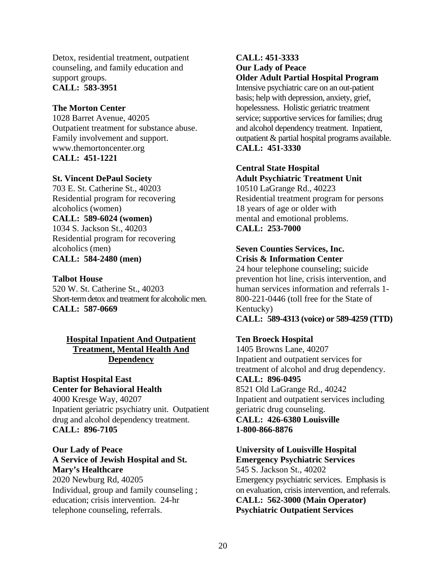Detox, residential treatment, outpatient counseling, and family education and support groups. **CALL: 583-3951** 

#### **The Morton Center**

1028 Barret Avenue, 40205 Outpatient treatment for substance abuse. Family involvement and support. www.themortoncenter.org **CALL: 451-1221** 

#### **St. Vincent DePaul Society**

703 E. St. Catherine St., 40203 Residential program for recovering alcoholics (women) **CALL: 589-6024 (women)**  1034 S. Jackson St., 40203 Residential program for recovering alcoholics (men) **CALL: 584-2480 (men)** 

**Talbot House**  520 W. St. Catherine St., 40203 Short-term detox and treatment for alcoholic men. **CALL: 587-0669** 

### **Hospital Inpatient And Outpatient Treatment, Mental Health And Dependency**

**Baptist Hospital East Center for Behavioral Health** 4000 Kresge Way, 40207

Inpatient geriatric psychiatry unit. Outpatient drug and alcohol dependency treatment. **CALL: 896-7105** 

**Our Lady of Peace A Service of Jewish Hospital and St. Mary's Healthcare** 

2020 Newburg Rd, 40205 Individual, group and family counseling ; education; crisis intervention. 24-hr telephone counseling, referrals.

### **CALL: 451-3333 Our Lady of Peace**

**Older Adult Partial Hospital Program** Intensive psychiatric care on an out-patient basis; help with depression, anxiety, grief, hopelessness. Holistic geriatric treatment service; supportive services for families; drug and alcohol dependency treatment. Inpatient, outpatient & partial hospital programs available. **CALL: 451-3330** 

#### **Central State Hospital Adult Psychiatric Treatment Unit**

10510 LaGrange Rd., 40223 Residential treatment program for persons 18 years of age or older with mental and emotional problems. **CALL: 253-7000** 

### **Seven Counties Services, Inc. Crisis & Information Center**

24 hour telephone counseling; suicide prevention hot line, crisis intervention, and human services information and referrals 1- 800-221-0446 (toll free for the State of Kentucky) **CALL: 589-4313 (voice) or 589-4259 (TTD)** 

### **Ten Broeck Hospital**

1405 Browns Lane, 40207 Inpatient and outpatient services for treatment of alcohol and drug dependency. **CALL: 896-0495**  8521 Old LaGrange Rd., 40242

Inpatient and outpatient services including geriatric drug counseling.

**CALL: 426-6380 Louisville 1-800-866-8876** 

#### **University of Louisville Hospital Emergency Psychiatric Services**  545 S. Jackson St., 40202

Emergency psychiatric services. Emphasis is on evaluation, crisis intervention, and referrals. **CALL: 562-3000 (Main Operator) Psychiatric Outpatient Services**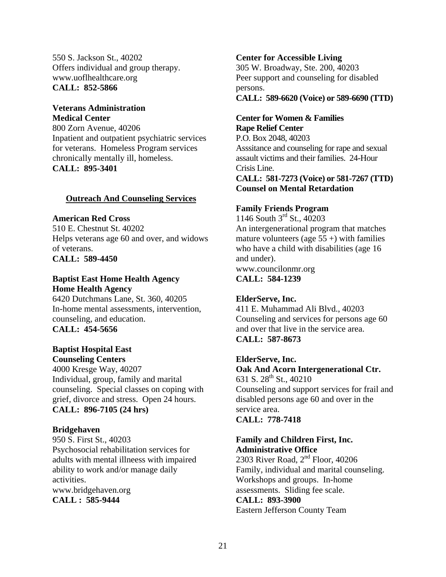550 S. Jackson St., 40202 Offers individual and group therapy. www.uoflhealthcare.org **CALL: 852-5866** 

### **Veterans Administration Medical Center**

800 Zorn Avenue, 40206 Inpatient and outpatient psychiatric services for veterans. Homeless Program services chronically mentally ill, homeless. **CALL: 895-3401** 

### **Outreach And Counseling Services**

### **American Red Cross**

510 E. Chestnut St. 40202 Helps veterans age 60 and over, and widows of veterans. **CALL: 589-4450** 

### **Baptist East Home Health Agency Home Health Agency**

6420 Dutchmans Lane, St. 360, 40205 In-home mental assessments, intervention, counseling, and education. **CALL: 454-5656** 

### **Baptist Hospital East Counseling Centers**

4000 Kresge Way, 40207 Individual, group, family and marital counseling. Special classes on coping with grief, divorce and stress. Open 24 hours. **CALL: 896-7105 (24 hrs)** 

### **Bridgehaven**

950 S. First St., 40203 Psychosocial rehabilitation services for adults with mental illneess with impaired ability to work and/or manage daily activities. www.bridgehaven.org

**CALL : 585-9444** 

# **Center for Accessible Living**

305 W. Broadway, Ste. 200, 40203 Peer support and counseling for disabled persons. **CALL: 589-6620 (Voice) or 589-6690 (TTD)** 

### **Center for Women & Families**

**Rape Relief Center**  P.O. Box 2048, 40203 Asssitance and counseling for rape and sexual assault victims and their families. 24-Hour Crisis Line. **CALL: 581-7273 (Voice) or 581-7267 (TTD) Counsel on Mental Retardation** 

### **Family Friends Program**

1146 South 3rd St., 40203 An intergenerational program that matches mature volunteers (age  $55 +$ ) with families who have a child with disabilities (age 16) and under). www.councilonmr.org **CALL: 584-1239** 

### **ElderServe, Inc.**

411 E. Muhammad Ali Blvd., 40203 Counseling and services for persons age 60 and over that live in the service area. **CALL: 587-8673** 

### **ElderServe, Inc.**

**Oak And Acorn Intergenerational Ctr.**  631 S.  $28^{th}$  St., 40210 Counseling and support services for frail and disabled persons age 60 and over in the service area. **CALL: 778-7418** 

#### **Family and Children First, Inc. Administrative Office**

2303 River Road, 2<sup>nd</sup> Floor, 40206 Family, individual and marital counseling. Workshops and groups. In-home assessments. Sliding fee scale. **CALL: 893-3900**  Eastern Jefferson County Team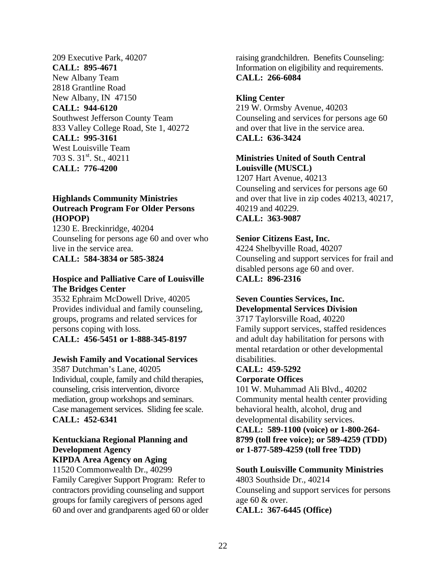#### 209 Executive Park, 40207 **CALL: 895-4671**  New Albany Team 2818 Grantline Road New Albany, IN 47150 **CALL: 944-6120**  Southwest Jefferson County Team 833 Valley College Road, Ste 1, 40272 **CALL: 995-3161**  West Louisville Team 703 S. 31<sup>st</sup>. St., 40211 **CALL: 776-4200**

### **Highlands Community Ministries Outreach Program For Older Persons (HOPOP)**

1230 E. Breckinridge, 40204 Counseling for persons age 60 and over who live in the service area.

**CALL: 584-3834 or 585-3824** 

### **Hospice and Palliative Care of Louisville The Bridges Center**

3532 Ephraim McDowell Drive, 40205 Provides individual and family counseling, groups, programs and related services for persons coping with loss. **CALL: 456-5451 or 1-888-345-8197** 

### **Jewish Family and Vocational Services**

3587 Dutchman's Lane, 40205 Individual, couple, family and child therapies, counseling, crisis intervention, divorce mediation, group workshops and seminars. Case management services. Sliding fee scale. **CALL: 452-6341** 

#### **Kentuckiana Regional Planning and Development Agency KIPDA Area Agency on Aging**

11520 Commonwealth Dr., 40299 Family Caregiver Support Program: Refer to contractors providing counseling and support groups for family caregivers of persons aged 60 and over and grandparents aged 60 or older raising grandchildren. Benefits Counseling: Information on eligibility and requirements. **CALL: 266-6084** 

### **Kling Center**

219 W. Ormsby Avenue, 40203 Counseling and services for persons age 60 and over that live in the service area. **CALL: 636-3424** 

### **Ministries United of South Central Louisville (MUSCL)**

1207 Hart Avenue, 40213 Counseling and services for persons age 60 and over that live in zip codes 40213, 40217, 40219 and 40229. **CALL: 363-9087** 

### **Senior Citizens East, Inc.**

4224 Shelbyville Road, 40207 Counseling and support services for frail and disabled persons age 60 and over. **CALL: 896-2316** 

#### **Seven Counties Services, Inc. Developmental Services Division**

3717 Taylorsville Road, 40220 Family support services, staffed residences and adult day habilitation for persons with mental retardation or other developmental disabilities.

#### **CALL: 459-5292 Corporate Offices**

101 W. Muhammad Ali Blvd., 40202 Community mental health center providing behavioral health, alcohol, drug and developmental disability services.

**CALL: 589-1100 (voice) or 1-800-264- 8799 (toll free voice); or 589-4259 (TDD) or 1-877-589-4259 (toll free TDD)** 

### **South Louisville Community Ministries**

4803 Southside Dr., 40214 Counseling and support services for persons age 60 & over. **CALL: 367-6445 (Office)**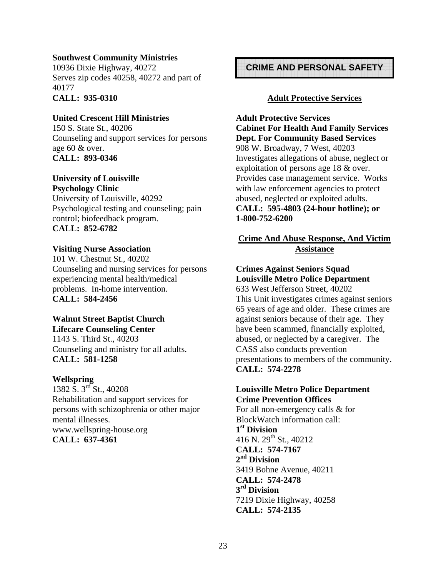#### **Southwest Community Ministries**

10936 Dixie Highway, 40272 Serves zip codes 40258, 40272 and part of 40177 **CALL: 935-0310** 

#### **United Crescent Hill Ministries**

150 S. State St., 40206 Counseling and support services for persons age 60 & over. **CALL: 893-0346** 

### **University of Louisville**

**Psychology Clinic** University of Louisville, 40292 Psychological testing and counseling; pain control; biofeedback program.

**CALL: 852-6782** 

#### **Visiting Nurse Association**

101 W. Chestnut St., 40202 Counseling and nursing services for persons experiencing mental health/medical problems. In-home intervention. **CALL: 584-2456** 

#### **Walnut Street Baptist Church Lifecare Counseling Center**

1143 S. Third St., 40203 Counseling and ministry for all adults. **CALL: 581-1258** 

#### **Wellspring**

 $1382 S. 3<sup>rd</sup> St. 40208$ Rehabilitation and support services for persons with schizophrenia or other major mental illnesses. www.wellspring-house.org **CALL: 637-4361** 

# **CRIME AND PERSONAL SAFETY**

#### **Adult Protective Services**

**Adult Protective Services Cabinet For Health And Family Services Dept. For Community Based Services**  908 W. Broadway, 7 West, 40203 Investigates allegations of abuse, neglect or exploitation of persons age 18 & over. Provides case management service. Works with law enforcement agencies to protect abused, neglected or exploited adults. **CALL: 595-4803 (24-hour hotline); or 1-800-752-6200** 

#### **Crime And Abuse Response, And Victim Assistance**

### **Crimes Against Seniors Squad Louisville Metro Police Department**

633 West Jefferson Street, 40202 This Unit investigates crimes against seniors 65 years of age and older. These crimes are against seniors because of their age. They have been scammed, financially exploited, abused, or neglected by a caregiver. The CASS also conducts prevention presentations to members of the community. **CALL: 574-2278** 

#### **Louisville Metro Police Department Crime Prevention Offices**

For all non-emergency calls & for BlockWatch information call: **1st Division**  416 N. 29<sup>th</sup> St., 40212 **CALL: 574-7167 2nd Division**  3419 Bohne Avenue, 40211 **CALL: 574-2478 3rd Division**  7219 Dixie Highway, 40258 **CALL: 574-2135**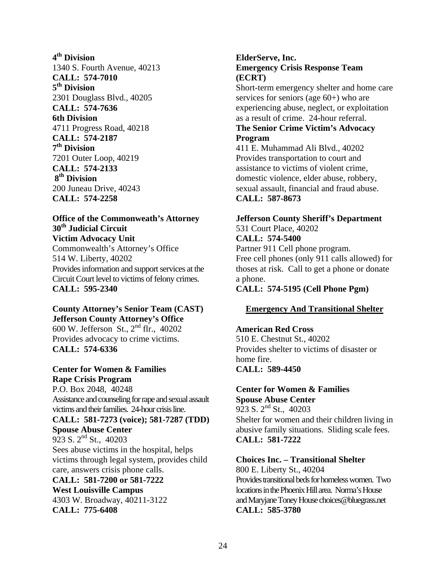**4th Division**  1340 S. Fourth Avenue, 40213 **CALL: 574-7010 5th Division**  2301 Douglass Blvd., 40205 **CALL: 574-7636 6th Division**  4711 Progress Road, 40218 **CALL: 574-2187 7th Division**  7201 Outer Loop, 40219 **CALL: 574-2133 8th Division**  200 Juneau Drive, 40243 **CALL: 574-2258** 

#### **Office of the Commonweath's Attorney 30th Judicial Circuit Victim Advocacy Unit**  Commonwealth's Attorney's Office 514 W. Liberty, 40202 Provides information and support services at the Circuit Court level to victims of felony crimes. **CALL: 595-2340**

**County Attorney's Senior Team (CAST) Jefferson County Attorney's Office**  600 W. Jefferson St., 2nd flr., 40202 Provides advocacy to crime victims. **CALL: 574-6336** 

**Center for Women & Families Rape Crisis Program**  P.O. Box 2048, 40248 Assistance and counseling for rape and sexual assault victims and their families. 24-hour crisis line. **CALL: 581-7273 (voice); 581-7287 (TDD) Spouse Abuse Center**  923 S. 2nd St., 40203 Sees abuse victims in the hospital, helps victims through legal system, provides child care, answers crisis phone calls. **CALL: 581-7200 or 581-7222 West Louisville Campus**  4303 W. Broadway, 40211-3122

**CALL: 775-6408** 

#### **ElderServe, Inc. Emergency Crisis Response Team (ECRT)**

Short-term emergency shelter and home care services for seniors (age 60+) who are experiencing abuse, neglect, or exploitation as a result of crime. 24-hour referral.

### **The Senior Crime Victim's Advocacy Program**

411 E. Muhammad Ali Blvd., 40202 Provides transportation to court and assistance to victims of violent crime, domestic violence, elder abuse, robbery, sexual assault, financial and fraud abuse. **CALL: 587-8673** 

### **Jefferson County Sheriff's Department**  531 Court Place, 40202

### **CALL: 574-5400**

Partner 911 Cell phone program. Free cell phones (only 911 calls allowed) for thoses at risk. Call to get a phone or donate a phone.

### **CALL: 574-5195 (Cell Phone Pgm)**

### **Emergency And Transitional Shelter**

### **American Red Cross**

510 E. Chestnut St., 40202 Provides shelter to victims of disaster or home fire. **CALL: 589-4450** 

#### **Center for Women & Families Spouse Abuse Center**

 $923$  S.  $2^{nd}$  St., 40203 Shelter for women and their children living in abusive family situations. Sliding scale fees. **CALL: 581-7222** 

### **Choices Inc. – Transitional Shelter**

800 E. Liberty St., 40204 Provides transitional beds for homeless women. Two locations in the Phoenix Hill area. Norma's House and Maryjane Toney House choices@bluegrass.net **CALL: 585-3780**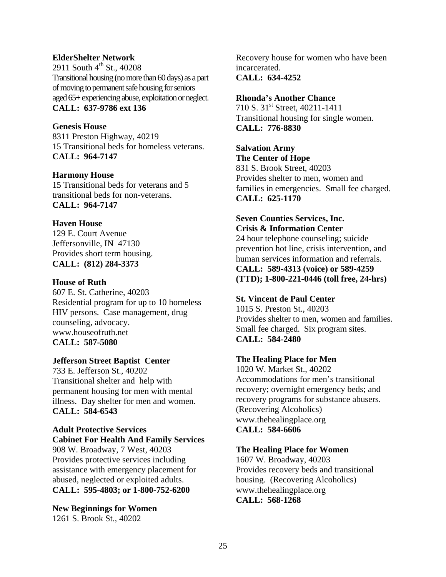### **ElderShelter Network**

2911 South  $4^{th}$  St., 40208 Transitional housing (no more than 60 days) as a part of moving to permanent safe housing for seniors aged 65+ experiencing abuse, exploitation or neglect. **CALL: 637-9786 ext 136** 

### **Genesis House**

8311 Preston Highway, 40219 15 Transitional beds for homeless veterans. **CALL: 964-7147** 

### **Harmony House**

15 Transitional beds for veterans and 5 transitional beds for non-veterans. **CALL: 964-7147** 

### **Haven House**

129 E. Court Avenue Jeffersonville, IN 47130 Provides short term housing. **CALL: (812) 284-3373** 

#### **House of Ruth**

607 E. St. Catherine, 40203 Residential program for up to 10 homeless HIV persons. Case management, drug counseling, advocacy. www.houseofruth.net **CALL: 587-5080** 

#### **Jefferson Street Baptist Center**

733 E. Jefferson St., 40202 Transitional shelter and help with permanent housing for men with mental illness. Day shelter for men and women. **CALL: 584-6543** 

### **Adult Protective Services Cabinet For Health And Family Services** 908 W. Broadway, 7 West, 40203 Provides protective services including assistance with emergency placement for abused, neglected or exploited adults. **CALL: 595-4803; or 1-800-752-6200**

**New Beginnings for Women**  1261 S. Brook St., 40202

Recovery house for women who have been incarcerated. **CALL: 634-4252** 

#### **Rhonda's Another Chance**

710 S. 31<sup>st</sup> Street, 40211-1411 Transitional housing for single women. **CALL: 776-8830** 

# **Salvation Army**

**The Center of Hope** 831 S. Brook Street, 40203 Provides shelter to men, women and families in emergencies. Small fee charged. **CALL: 625-1170** 

### **Seven Counties Services, Inc. Crisis & Information Center**

24 hour telephone counseling; suicide prevention hot line, crisis intervention, and human services information and referrals. **CALL: 589-4313 (voice) or 589-4259 (TTD); 1-800-221-0446 (toll free, 24-hrs)** 

### **St. Vincent de Paul Center**

1015 S. Preston St., 40203 Provides shelter to men, women and families. Small fee charged. Six program sites. **CALL: 584-2480** 

#### **The Healing Place for Men**

1020 W. Market St., 40202 Accommodations for men's transitional recovery; overnight emergency beds; and recovery programs for substance abusers. (Recovering Alcoholics) www.thehealingplace.org **CALL: 584-6606** 

#### **The Healing Place for Women**

1607 W. Broadway, 40203 Provides recovery beds and transitional housing. (Recovering Alcoholics) www.thehealingplace.org **CALL: 568-1268**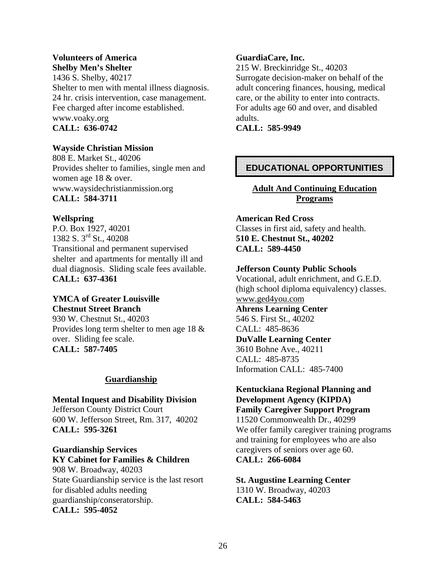#### **Volunteers of America Shelby Men's Shelter**

1436 S. Shelby, 40217 Shelter to men with mental illness diagnosis. 24 hr. crisis intervention, case management. Fee charged after income established. www.voaky.org **CALL: 636-0742** 

### **Wayside Christian Mission**

808 E. Market St., 40206 Provides shelter to families, single men and women age 18 & over. www.waysidechristianmission.org **CALL: 584-3711** 

### **Wellspring**

P.O. Box 1927, 40201 1382 S. 3rd St., 40208 Transitional and permanent supervised shelter and apartments for mentally ill and dual diagnosis. Sliding scale fees available. **CALL: 637-4361** 

### **YMCA of Greater Louisville Chestnut Street Branch**

930 W. Chestnut St., 40203 Provides long term shelter to men age 18 & over. Sliding fee scale. **CALL: 587-7405** 

### **Guardianship**

### **Mental Inquest and Disability Division**  Jefferson County District Court 600 W. Jefferson Street, Rm. 317, 40202 **CALL: 595-3261**

**Guardianship Services KY Cabinet for Families & Children** 

908 W. Broadway, 40203 State Guardianship service is the last resort for disabled adults needing guardianship/conseratorship. **CALL: 595-4052** 

### **GuardiaCare, Inc.**

215 W. Breckinridge St., 40203 Surrogate decision-maker on behalf of the adult concering finances, housing, medical care, or the ability to enter into contracts. For adults age 60 and over, and disabled adults.

**CALL: 585-9949** 

# **EDUCATIONAL OPPORTUNITIES**

### **Adult And Continuing Education Programs**

### **American Red Cross**

Classes in first aid, safety and health. **510 E. Chestnut St., 40202 CALL: 589-4450** 

### **Jefferson County Public Schools**

Vocational, adult enrichment, and G.E.D. (high school diploma equivalency) classes. www.ged4you.com **Ahrens Learning Center**  546 S. First St., 40202 CALL: 485-8636 **DuValle Learning Center**  3610 Bohne Ave., 40211 CALL: 485-8735 Information CALL: 485-7400

# **Kentuckiana Regional Planning and Development Agency (KIPDA)**

**Family Caregiver Support Program**  11520 Commonwealth Dr., 40299 We offer family caregiver training programs and training for employees who are also caregivers of seniors over age 60. **CALL: 266-6084** 

#### **St. Augustine Learning Center**  1310 W. Broadway, 40203 **CALL: 584-5463**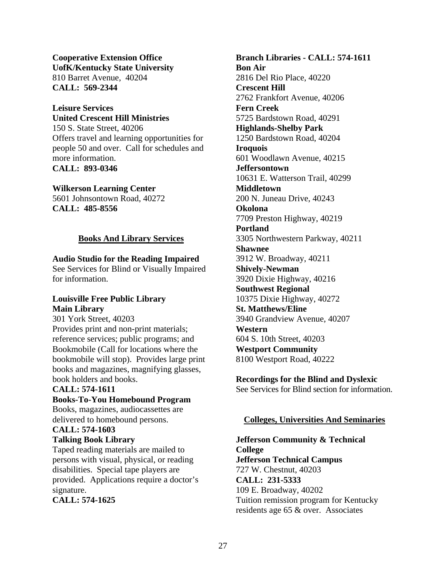**Cooperative Extension Office UofK/Kentucky State University**  810 Barret Avenue, 40204 **CALL: 569-2344** 

### **Leisure Services United Crescent Hill Ministries**

150 S. State Street, 40206 Offers travel and learning opportunities for people 50 and over. Call for schedules and more information. **CALL: 893-0346** 

**Wilkerson Learning Center** 

5601 Johnsontown Road, 40272 **CALL: 485-8556** 

### **Books And Library Services**

# **Audio Studio for the Reading Impaired**

See Services for Blind or Visually Impaired for information.

### **Louisville Free Public Library Main Library**

301 York Street, 40203 Provides print and non-print materials; reference services; public programs; and Bookmobile (Call for locations where the bookmobile will stop). Provides large print books and magazines, magnifying glasses, book holders and books.

### **CALL: 574-1611**

#### **Books-To-You Homebound Program**

Books, magazines, audiocassettes are delivered to homebound persons.

### **CALL: 574-1603**

#### **Talking Book Library**

Taped reading materials are mailed to persons with visual, physical, or reading disabilities. Special tape players are provided. Applications require a doctor's signature.

### **CALL: 574-1625**

**Branch Libraries - CALL: 574-1611 Bon Air**  2816 Del Rio Place, 40220 **Crescent Hill** 2762 Frankfort Avenue, 40206 **Fern Creek**  5725 Bardstown Road, 40291 **Highlands-Shelby Park**  1250 Bardstown Road, 40204 **Iroquois**  601 Woodlawn Avenue, 40215 **Jeffersontown**  10631 E. Watterson Trail, 40299 **Middletown**  200 N. Juneau Drive, 40243 **Okolona**  7709 Preston Highway, 40219 **Portland**  3305 Northwestern Parkway, 40211 **Shawnee**  3912 W. Broadway, 40211 **Shively-Newman**  3920 Dixie Highway, 40216 **Southwest Regional** 10375 Dixie Highway, 40272 **St. Matthews/Eline**  3940 Grandview Avenue, 40207 **Western**  604 S. 10th Street, 40203 **Westport Community**  8100 Westport Road, 40222

**Recordings for the Blind and Dyslexic** 

See Services for Blind section for information.

### **Colleges, Universities And Seminaries**

### **Jefferson Community & Technical College Jefferson Technical Campus**  727 W. Chestnut, 40203 **CALL: 231-5333**  109 E. Broadway, 40202 Tuition remission program for Kentucky residents age 65 & over. Associates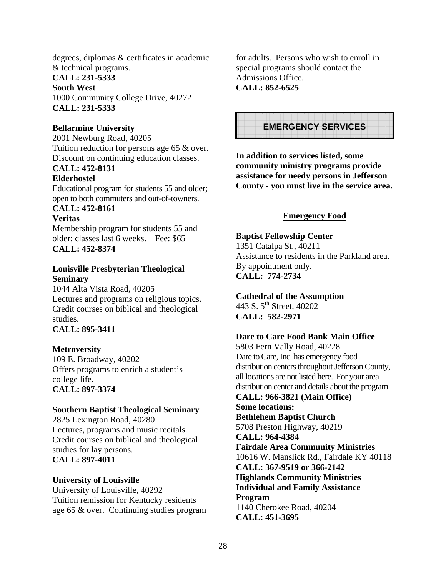degrees, diplomas & certificates in academic & technical programs.

**CALL: 231-5333** 

**South West** 1000 Community College Drive, 40272

**CALL: 231-5333** 

### **Bellarmine University**

2001 Newburg Road, 40205 Tuition reduction for persons age 65 & over. Discount on continuing education classes.

**CALL: 452-8131** 

#### **Elderhostel**

Educational program for students 55 and older; open to both commuters and out-of-towners.

#### **CALL: 452-8161 Veritas**

Membership program for students 55 and older; classes last 6 weeks. Fee: \$65 **CALL: 452-8374** 

### **Louisville Presbyterian Theological Seminary**

1044 Alta Vista Road, 40205 Lectures and programs on religious topics. Credit courses on biblical and theological studies.

### **CALL: 895-3411**

### **Metroversity**

109 E. Broadway, 40202 Offers programs to enrich a student's college life. **CALL: 897-3374** 

#### **Southern Baptist Theological Seminary**

2825 Lexington Road, 40280 Lectures, programs and music recitals. Credit courses on biblical and theological studies for lay persons. **CALL: 897-4011** 

### **University of Louisville**

University of Louisville, 40292 Tuition remission for Kentucky residents age 65 & over. Continuing studies program for adults. Persons who wish to enroll in special programs should contact the Admissions Office. **CALL: 852-6525** 

# **EMERGENCY SERVICES**

**In addition to services listed, some community ministry programs provide assistance for needy persons in Jefferson County - you must live in the service area.** 

### **Emergency Food**

#### **Baptist Fellowship Center**

1351 Catalpa St., 40211 Assistance to residents in the Parkland area. By appointment only. **CALL: 774-2734** 

### **Cathedral of the Assumption**

443 S. 5<sup>th</sup> Street, 40202 **CALL: 582-2971** 

### **Dare to Care Food Bank Main Office**

5803 Fern Vally Road, 40228 Dare to Care, Inc. has emergency food distribution centers throughout Jefferson County, all locations are not listed here. For your area distribution center and details about the program.

**CALL: 966-3821 (Main Office) Some locations: Bethlehem Baptist Church**  5708 Preston Highway, 40219 **CALL: 964-4384 Fairdale Area Community Ministries**  10616 W. Manslick Rd., Fairdale KY 40118 **CALL: 367-9519 or 366-2142 Highlands Community Ministries Individual and Family Assistance Program** 1140 Cherokee Road, 40204 **CALL: 451-3695**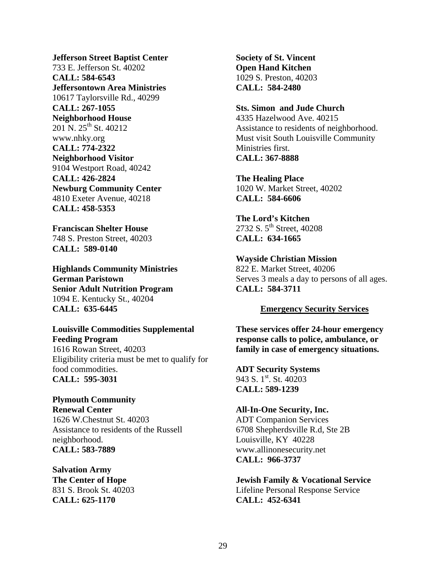**Jefferson Street Baptist Center**  733 E. Jefferson St. 40202 **CALL: 584-6543 Jeffersontown Area Ministries** 10617 Taylorsville Rd., 40299 **CALL: 267-1055 Neighborhood House**  201 N. 25<sup>th</sup> St. 40212 www.nhky.org **CALL: 774-2322 Neighborhood Visitor**  9104 Westport Road, 40242 **CALL: 426-2824 Newburg Community Center**  4810 Exeter Avenue, 40218 **CALL: 458-5353** 

**Franciscan Shelter House**  748 S. Preston Street, 40203 **CALL: 589-0140** 

**Highlands Community Ministries German Paristown Senior Adult Nutrition Program**  1094 E. Kentucky St., 40204 **CALL: 635-6445** 

**Louisville Commodities Supplemental Feeding Program**  1616 Rowan Street, 40203 Eligibility criteria must be met to qualify for food commodities. **CALL: 595-3031** 

**Plymouth Community Renewal Center** 1626 W.Chestnut St. 40203 Assistance to residents of the Russell neighborhood. **CALL: 583-7889** 

**Salvation Army The Center of Hope** 831 S. Brook St. 40203 **CALL: 625-1170** 

**Society of St. Vincent Open Hand Kitchen**  1029 S. Preston, 40203 **CALL: 584-2480** 

#### **Sts. Simon and Jude Church**

4335 Hazelwood Ave. 40215 Assistance to residents of neighborhood. Must visit South Louisville Community Ministries first. **CALL: 367-8888** 

**The Healing Place**  1020 W. Market Street, 40202 **CALL: 584-6606** 

**The Lord's Kitchen**  2732 S. 5<sup>th</sup> Street, 40208 **CALL: 634-1665** 

#### **Wayside Christian Mission**

822 E. Market Street, 40206 Serves 3 meals a day to persons of all ages. **CALL: 584-3711** 

#### **Emergency Security Services**

**These services offer 24-hour emergency response calls to police, ambulance, or family in case of emergency situations.** 

**ADT Security Systems**  943 S. 1<sup>st</sup>. St. 40203 **CALL: 589-1239** 

#### **All-In-One Security, Inc.**

ADT Companion Services 6708 Shepherdsville R.d, Ste 2B Louisville, KY 40228 www.allinonesecurity.net **CALL: 966-3737** 

**Jewish Family & Vocational Service**  Lifeline Personal Response Service **CALL: 452-6341**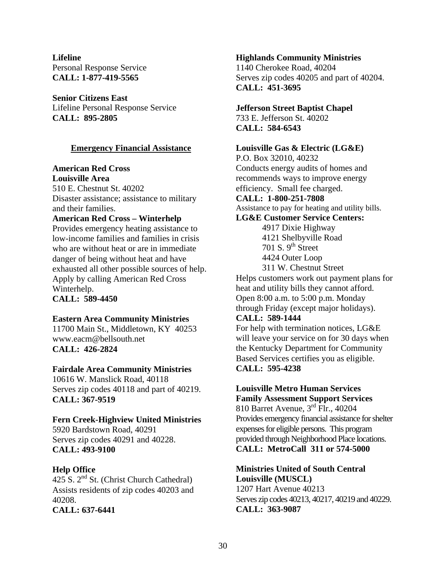**Lifeline**  Personal Response Service **CALL: 1-877-419-5565** 

**Senior Citizens East**  Lifeline Personal Response Service **CALL: 895-2805** 

### **Emergency Financial Assistance**

**American Red Cross Louisville Area**  510 E. Chestnut St. 40202 Disaster assistance; assistance to military and their families.

### **American Red Cross – Winterhelp**

Provides emergency heating assistance to low-income families and families in crisis who are without heat or are in immediate danger of being without heat and have exhausted all other possible sources of help. Apply by calling American Red Cross Winterhelp. **CALL: 589-4450** 

#### **Eastern Area Community Ministries**

11700 Main St., Middletown, KY 40253 www.eacm@bellsouth.net **CALL: 426-2824** 

#### **Fairdale Area Community Ministries**

10616 W. Manslick Road, 40118 Serves zip codes 40118 and part of 40219. **CALL: 367-9519** 

#### **Fern Creek-Highview United Ministries**

5920 Bardstown Road, 40291 Serves zip codes 40291 and 40228. **CALL: 493-9100** 

#### **Help Office**

425 S.  $2<sup>nd</sup>$  St. (Christ Church Cathedral) Assists residents of zip codes 40203 and 40208.

**CALL: 637-6441** 

#### **Highlands Community Ministries**

1140 Cherokee Road, 40204 Serves zip codes 40205 and part of 40204. **CALL: 451-3695** 

#### **Jefferson Street Baptist Chapel**  733 E. Jefferson St. 40202

**CALL: 584-6543** 

#### **Louisville Gas & Electric (LG&E)**

P.O. Box 32010, 40232 Conducts energy audits of homes and recommends ways to improve energy efficiency. Small fee charged. **CALL: 1-800-251-7808** 

Assistance to pay for heating and utility bills. **LG&E Customer Service Centers:**

4917 Dixie Highway 4121 Shelbyville Road 701 S.  $9<sup>th</sup>$  Street 4424 Outer Loop

311 W. Chestnut Street Helps customers work out payment plans for heat and utility bills they cannot afford. Open 8:00 a.m. to 5:00 p.m. Monday through Friday (except major holidays).

#### **CALL: 589-1444**

For help with termination notices, LG&E will leave your service on for 30 days when the Kentucky Department for Community Based Services certifies you as eligible. **CALL: 595-4238** 

### **Louisville Metro Human Services Family Assessment Support Services**

810 Barret Avenue, 3rd Flr., 40204 Provides emergency financial assistance for shelter expenses for eligible persons. This program provided through Neighborhood Place locations. **CALL: MetroCall 311 or 574-5000** 

### **Ministries United of South Central**

**Louisville (MUSCL)**  1207 Hart Avenue 40213 Serves zip codes 40213, 40217, 40219 and 40229. **CALL: 363-9087**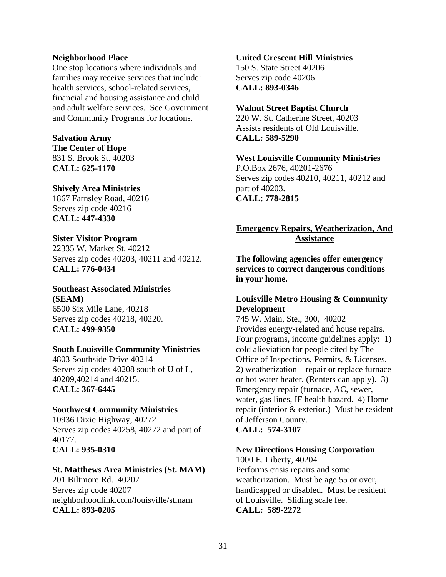#### **Neighborhood Place**

One stop locations where individuals and families may receive services that include: health services, school-related services, financial and housing assistance and child and adult welfare services. See Government and Community Programs for locations.

### **Salvation Army**

**The Center of Hope** 831 S. Brook St. 40203 **CALL: 625-1170** 

#### **Shively Area Ministries**

1867 Farnsley Road, 40216 Serves zip code 40216 **CALL: 447-4330** 

#### **Sister Visitor Program**

22335 W. Market St. 40212 Serves zip codes 40203, 40211 and 40212. **CALL: 776-0434** 

#### **Southeast Associated Ministries**

**(SEAM)**  6500 Six Mile Lane, 40218 Serves zip codes 40218, 40220. **CALL: 499-9350** 

#### **South Louisville Community Ministries**

4803 Southside Drive 40214 Serves zip codes 40208 south of U of L, 40209,40214 and 40215. **CALL: 367-6445** 

#### **Southwest Community Ministries**

10936 Dixie Highway, 40272 Serves zip codes 40258, 40272 and part of 40177. **CALL: 935-0310** 

#### **St. Matthews Area Ministries (St. MAM)**

201 Biltmore Rd. 40207 Serves zip code 40207 neighborhoodlink.com/louisville/stmam **CALL: 893-0205** 

#### **United Crescent Hill Ministries**

150 S. State Street 40206 Serves zip code 40206 **CALL: 893-0346** 

#### **Walnut Street Baptist Church**

220 W. St. Catherine Street, 40203 Assists residents of Old Louisville. **CALL: 589-5290**

#### **West Louisville Community Ministries**

P.O.Box 2676, 40201-2676 Serves zip codes 40210, 40211, 40212 and part of 40203. **CALL: 778-2815** 

### **Emergency Repairs, Weatherization, And Assistance**

**The following agencies offer emergency services to correct dangerous conditions in your home.** 

### **Louisville Metro Housing & Community Development**

745 W. Main, Ste., 300, 40202 Provides energy-related and house repairs. Four programs, income guidelines apply: 1) cold alieviation for people cited by The Office of Inspections, Permits, & Licenses. 2) weatherization – repair or replace furnace or hot water heater. (Renters can apply). 3) Emergency repair (furnace, AC, sewer, water, gas lines, IF health hazard. 4) Home repair (interior & exterior.) Must be resident of Jefferson County. **CALL: 574-3107**

#### **New Directions Housing Corporation**

1000 E. Liberty, 40204 Performs crisis repairs and some weatherization. Must be age 55 or over, handicapped or disabled. Must be resident of Louisville. Sliding scale fee. **CALL: 589-2272**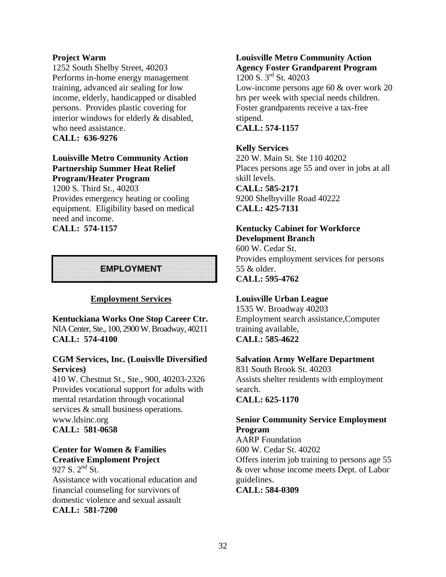#### **Project Warm**

1252 South Shelby Street, 40203 Performs in-home energy management training, advanced air sealing for low income, elderly, handicapped or disabled persons. Provides plastic covering for interior windows for elderly & disabled, who need assistance.

**CALL: 636-9276** 

#### **Louisville Metro Community Action Partnership Summer Heat Relief Program/Heater Program**

1200 S. Third St., 40203

Provides emergency heating or cooling equipment. Eligibility based on medical need and income.

**CALL: 574-1157** 

# **EMPLOYMENT**

### **Employment Services**

#### **Kentuckiana Works One Stop Career Ctr.**  NIA Center, Ste., 100, 2900 W. Broadway, 40211 **CALL: 574-4100**

#### **CGM Services, Inc. (Louisvlle Diversified Services)**

410 W. Chestnut St., Ste., 900, 40203-2326 Provides vocational support for adults with mental retardation through vocational services & small business operations. www.ldsinc.org **CALL: 581-0658** 

### **Center for Women & Families Creative Emploment Project**

927 S.  $2^{nd}$  St. Assistance with vocational education and financial counseling for survivors of domestic violence and sexual assault **CALL: 581-7200** 

### **Louisville Metro Community Action Agency Foster Grandparent Program**

1200 S. 3rd St. 40203 Low-income persons age 60 & over work 20 hrs per week with special needs children. Foster grandparents receive a tax-free stipend. **CALL: 574-1157** 

### **Kelly Services**

220 W. Main St. Ste 110 40202 Places persons age 55 and over in jobs at all skill levels. **CALL: 585-2171**  9200 Shelbyville Road 40222 **CALL: 425-7131** 

# **Kentucky Cabinet for Workforce Development Branch**

600 W. Cedar St. Provides employment services for persons 55 & older. **CALL: 595-4762** 

### **Louisville Urban League**

1535 W. Broadway 40203 Employment search assistance,Computer training available, **CALL: 585-4622** 

#### **Salvation Army Welfare Department**

831 South Brook St. 40203 Assists shelter residents with employment search. **CALL: 625-1170** 

### **Senior Community Service Employment Program**

AARP Foundation 600 W. Cedar St. 40202 Offers interim job training to persons age 55 & over whose income meets Dept. of Labor guidelines. **CALL: 584-0309**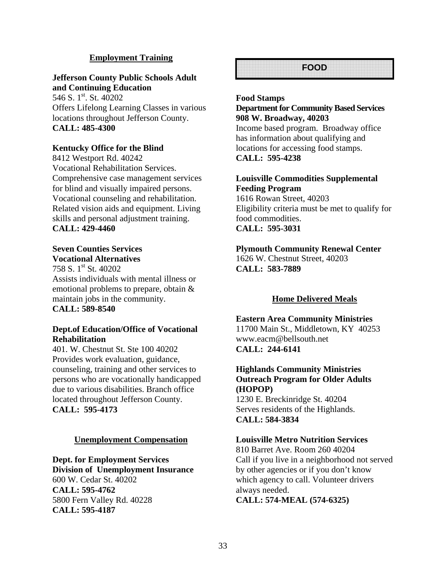### **Employment Training**

### **Jefferson County Public Schools Adult and Continuing Education**

546 S.  $1^{st}$ . St. 40202 Offers Lifelong Learning Classes in various locations throughout Jefferson County. **CALL: 485-4300** 

#### **Kentucky Office for the Blind**

8412 Westport Rd. 40242 Vocational Rehabilitation Services. Comprehensive case management services for blind and visually impaired persons. Vocational counseling and rehabilitation. Related vision aids and equipment. Living skills and personal adjustment training. **CALL: 429-4460** 

#### **Seven Counties Services Vocational Alternatives**

758 S. 1<sup>st</sup> St. 40202 Assists individuals with mental illness or emotional problems to prepare, obtain & maintain jobs in the community. **CALL: 589-8540** 

#### **Dept.of Education/Office of Vocational Rehabilitation**

401. W. Chestnut St. Ste 100 40202 Provides work evaluation, guidance, counseling, training and other services to persons who are vocationally handicapped due to various disabilities. Branch office located throughout Jefferson County. **CALL: 595-4173** 

#### **Unemployment Compensation**

#### **Dept. for Employment Services Division of Unemployment Insurance** 600 W. Cedar St. 40202 **CALL: 595-4762**  5800 Fern Valley Rd. 40228 **CALL: 595-4187**

### **FOOD**

#### **Food Stamps**

### **Department for Community Based Services 908 W. Broadway, 40203**

Income based program. Broadway office has information about qualifying and locations for accessing food stamps. **CALL: 595-4238** 

### **Louisville Commodities Supplemental Feeding Program**  1616 Rowan Street, 40203 Eligibility criteria must be met to qualify for

food commodities. **CALL: 595-3031** 

### **Plymouth Community Renewal Center**

1626 W. Chestnut Street, 40203 **CALL: 583-7889** 

### **Home Delivered Meals**

#### **Eastern Area Community Ministries**

11700 Main St., Middletown, KY 40253 www.eacm@bellsouth.net **CALL: 244-6141** 

### **Highlands Community Ministries Outreach Program for Older Adults (HOPOP)**

1230 E. Breckinridge St. 40204 Serves residents of the Highlands. **CALL: 584-3834** 

#### **Louisville Metro Nutrition Services**

810 Barret Ave. Room 260 40204 Call if you live in a neighborhood not served by other agencies or if you don't know which agency to call. Volunteer drivers always needed. **CALL: 574-MEAL (574-6325)**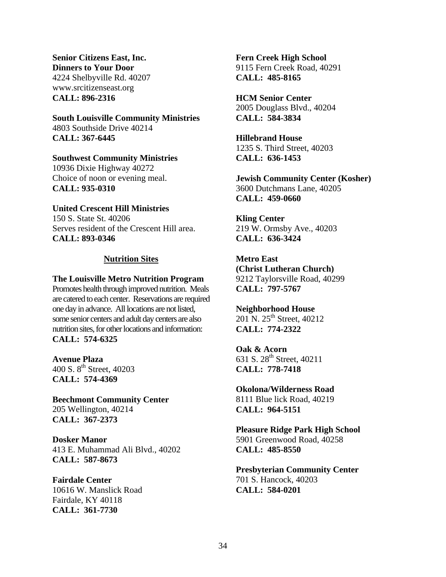**Senior Citizens East, Inc. Dinners to Your Door**  4224 Shelbyville Rd. 40207

www.srcitizenseast.org **CALL: 896-2316** 

**South Louisville Community Ministries**  4803 Southside Drive 40214

**CALL: 367-6445** 

**Southwest Community Ministries**  10936 Dixie Highway 40272 Choice of noon or evening meal. **CALL: 935-0310** 

**United Crescent Hill Ministries** 

150 S. State St. 40206 Serves resident of the Crescent Hill area. **CALL: 893-0346**

#### **Nutrition Sites**

#### **The Louisville Metro Nutrition Program**

Promotes health through improved nutrition. Meals are catered to each center. Reservations are required one day in advance. All locations are not listed, some senior centers and adult day centers are also nutrition sites, for other locations and information: **CALL: 574-6325** 

**Avenue Plaza**  400 S. 8<sup>th</sup> Street, 40203 **CALL: 574-4369** 

**Beechmont Community Center**  205 Wellington, 40214 **CALL: 367-2373** 

**Dosker Manor**  413 E. Muhammad Ali Blvd., 40202 **CALL: 587-8673** 

**Fairdale Center**  10616 W. Manslick Road Fairdale, KY 40118 **CALL: 361-7730** 

**Fern Creek High School**  9115 Fern Creek Road, 40291 **CALL: 485-8165** 

**HCM Senior Center**  2005 Douglass Blvd., 40204 **CALL: 584-3834** 

**Hillebrand House**  1235 S. Third Street, 40203 **CALL: 636-1453** 

**Jewish Community Center (Kosher)**  3600 Dutchmans Lane, 40205 **CALL: 459-0660** 

**Kling Center**  219 W. Ormsby Ave., 40203 **CALL: 636-3424** 

**Metro East (Christ Lutheran Church)**  9212 Taylorsville Road, 40299 **CALL: 797-5767** 

**Neighborhood House**  201 N. 25<sup>th</sup> Street, 40212 **CALL: 774-2322** 

**Oak & Acorn**  631 S. 28th Street, 40211 **CALL: 778-7418** 

**Okolona/Wilderness Road**  8111 Blue lick Road, 40219 **CALL: 964-5151** 

**Pleasure Ridge Park High School**  5901 Greenwood Road, 40258 **CALL: 485-8550** 

**Presbyterian Community Center**  701 S. Hancock, 40203 **CALL: 584-0201**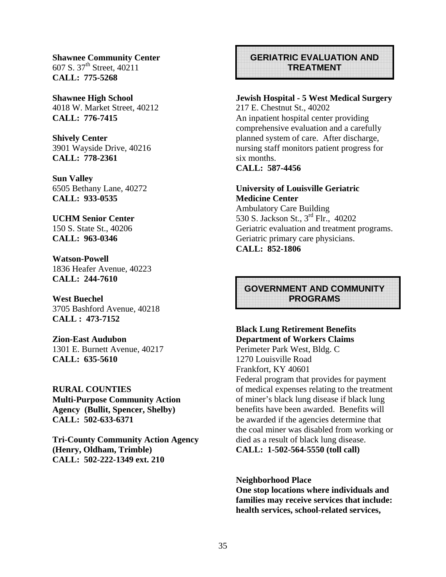**Shawnee Community Center**  607 S. 37<sup>th</sup> Street, 40211 **CALL: 775-5268** 

**Shawnee High School**  4018 W. Market Street, 40212

**CALL: 776-7415** 

**Shively Center**  3901 Wayside Drive, 40216 **CALL: 778-2361** 

**Sun Valley**  6505 Bethany Lane, 40272 **CALL: 933-0535** 

**UCHM Senior Center**  150 S. State St., 40206 **CALL: 963-0346** 

**Watson-Powell**  1836 Heafer Avenue, 40223 **CALL: 244-7610** 

**West Buechel**  3705 Bashford Avenue, 40218 **CALL : 473-7152** 

**Zion-East Audubon**  1301 E. Burnett Avenue, 40217 **CALL: 635-5610** 

**RURAL COUNTIES Multi-Purpose Community Action Agency (Bullit, Spencer, Shelby) CALL: 502-633-6371** 

**Tri-County Community Action Agency (Henry, Oldham, Trimble) CALL: 502-222-1349 ext. 210** 

# **GERIATRIC EVALUATION AND TREATMENT**

#### **Jewish Hospital - 5 West Medical Surgery**

217 E. Chestnut St., 40202 An inpatient hospital center providing comprehensive evaluation and a carefully planned system of care. After discharge, nursing staff monitors patient progress for six months.

**CALL: 587-4456**

#### **University of Louisville Geriatric Medicine Center**

Ambulatory Care Building 530 S. Jackson St., 3rd Flr., 40202 Geriatric evaluation and treatment programs. Geriatric primary care physicians. **CALL: 852-1806** 

**GOVERNMENT AND COMMUNITY PROGRAMS** 

### **Black Lung Retirement Benefits Department of Workers Claims**

Perimeter Park West, Bldg. C 1270 Louisville Road Frankfort, KY 40601 Federal program that provides for payment of medical expenses relating to the treatment of miner's black lung disease if black lung benefits have been awarded. Benefits will be awarded if the agencies determine that the coal miner was disabled from working or died as a result of black lung disease. **CALL: 1-502-564-5550 (toll call)** 

#### **Neighborhood Place**

**One stop locations where individuals and families may receive services that include: health services, school-related services,**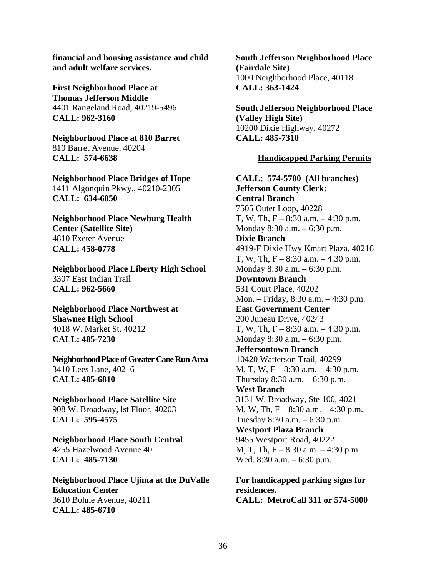**financial and housing assistance and child and adult welfare services.** 

**First Neighborhood Place at Thomas Jefferson Middle**  4401 Rangeland Road, 40219-5496 **CALL: 962-3160** 

**Neighborhood Place at 810 Barret**  810 Barret Avenue, 40204 **CALL: 574-6638** 

**Neighborhood Place Bridges of Hope**  1411 Algonquin Pkwy., 40210-2305 **CALL: 634-6050** 

**Neighborhood Place Newburg Health Center (Satellite Site)**  4810 Exeter Avenue **CALL: 458-0778** 

**Neighborhood Place Liberty High School**  3307 East Indian Trail **CALL: 962-5660** 

**Neighborhood Place Northwest at Shawnee High School**  4018 W. Market St. 40212 **CALL: 485-7230** 

**Neighborhood Place of Greater Cane Run Area**  3410 Lees Lane, 40216 **CALL: 485-6810**

**Neighborhood Place Satellite Site**  908 W. Broadway, lst Floor, 40203 **CALL: 595-4575** 

**Neighborhood Place South Central**  4255 Hazelwood Avenue 40 **CALL: 485-7130** 

**Neighborhood Place Ujima at the DuValle Education Center**  3610 Bohne Avenue, 40211 **CALL: 485-6710** 

**South Jefferson Neighborhood Place (Fairdale Site)**  1000 Neighborhood Place, 40118 **CALL: 363-1424** 

**South Jefferson Neighborhood Place (Valley High Site)**  10200 Dixie Highway, 40272 **CALL: 485-7310** 

#### **Handicapped Parking Permits**

**CALL: 574-5700 (All branches) Jefferson County Clerk: Central Branch**  7505 Outer Loop, 40228 T, W, Th, F – 8:30 a.m. – 4:30 p.m. Monday 8:30 a.m. – 6:30 p.m. **Dixie Branch**  4919-F Dixie Hwy Kmart Plaza, 40216 T, W, Th, F – 8:30 a.m. – 4:30 p.m. Monday 8:30 a.m. – 6:30 p.m. **Downtown Branch**  531 Court Place, 40202 Mon. – Friday, 8:30 a.m. – 4:30 p.m. **East Government Center**  200 Juneau Drive, 40243 T, W, Th,  $F - 8:30$  a.m.  $- 4:30$  p.m. Monday 8:30 a.m. – 6:30 p.m. **Jeffersontown Branch**  10420 Watterson Trail, 40299 M, T, W, F – 8:30 a.m. – 4:30 p.m. Thursday 8:30 a.m. – 6:30 p.m. **West Branch**  3131 W. Broadway, Ste 100, 40211 M, W, Th, F – 8:30 a.m. – 4:30 p.m. Tuesday 8:30 a.m. – 6:30 p.m. **Westport Plaza Branch**  9455 Westport Road, 40222 M, T, Th, F – 8:30 a.m. – 4:30 p.m. Wed. 8:30 a.m. – 6:30 p.m.

**For handicapped parking signs for residences. CALL: MetroCall 311 or 574-5000**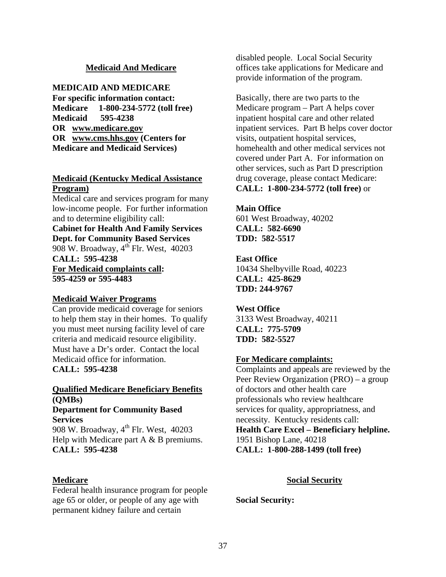### **Medicaid And Medicare**

### **MEDICAID AND MEDICARE**

**For specific information contact: Medicare 1-800-234-5772 (toll free) Medicaid 595-4238 OR www.medicare.gov OR www.cms.hhs.gov (Centers for Medicare and Medicaid Services)** 

### **Medicaid (Kentucky Medical Assistance Program)**

Medical care and services program for many low-income people. For further information and to determine eligibility call:

**Cabinet for Health And Family Services Dept. for Community Based Services**  908 W. Broadway, 4th Flr. West, 40203 **CALL: 595-4238 For Medicaid complaints call: 595-4259 or 595-4483** 

#### **Medicaid Waiver Programs**

Can provide medicaid coverage for seniors to help them stay in their homes. To qualify you must meet nursing facility level of care criteria and medicaid resource eligibility. Must have a Dr's order. Contact the local Medicaid office for information. **CALL: 595-4238**

### **Qualified Medicare Beneficiary Benefits (QMBs)**

### **Department for Community Based Services**

908 W. Broadway,  $4^{th}$  Flr. West, 40203 Help with Medicare part A & B premiums. **CALL: 595-4238** 

### **Medicare**

Federal health insurance program for people age 65 or older, or people of any age with permanent kidney failure and certain

disabled people. Local Social Security offices take applications for Medicare and provide information of the program.

Basically, there are two parts to the Medicare program – Part A helps cover inpatient hospital care and other related inpatient services. Part B helps cover doctor visits, outpatient hospital services, homehealth and other medical services not covered under Part A. For information on other services, such as Part D prescription drug coverage, please contact Medicare: **CALL: 1-800-234-5772 (toll free)** or

### **Main Office**

601 West Broadway, 40202 **CALL: 582-6690 TDD: 582-5517**

### **East Office**

10434 Shelbyville Road, 40223 **CALL: 425-8629 TDD: 244-9767** 

### **West Office**

3133 West Broadway, 40211 **CALL: 775-5709 TDD: 582-5527** 

#### **For Medicare complaints:**

Complaints and appeals are reviewed by the Peer Review Organization (PRO) – a group of doctors and other health care professionals who review healthcare services for quality, appropriatness, and necessity. Kentucky residents call: **Health Care Excel – Beneficiary helpline.**  1951 Bishop Lane, 40218 **CALL: 1-800-288-1499 (toll free)** 

### **Social Security**

#### **Social Security:**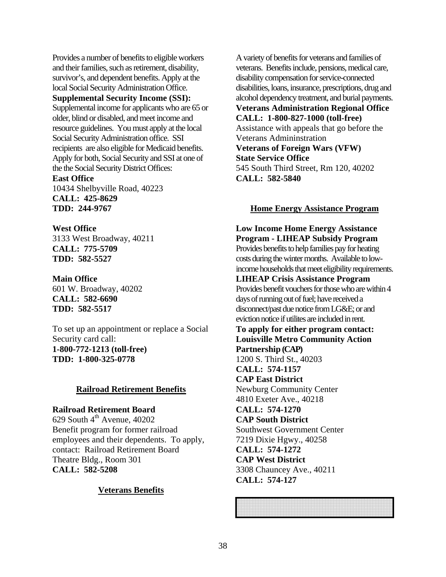Provides a number of benefits to eligible workers and their families, such as retirement, disability, survivor's, and dependent benefits. Apply at the local Social Security Administration Office.

### **Supplemental Security Income (SSI):**

Supplemental income for applicants who are 65 or older, blind or disabled, and meet income and resource guidelines. You must apply at the local Social Security Administration office. SSI recipients are also eligible for Medicaid benefits. Apply for both, Social Security and SSI at one of the the Social Security District Offices:

### **East Office**

10434 Shelbyville Road, 40223 **CALL: 425-8629 TDD: 244-9767** 

**West Office**  3133 West Broadway, 40211 **CALL: 775-5709 TDD: 582-5527** 

**Main Office**  601 W. Broadway, 40202 **CALL: 582-6690 TDD: 582-5517** 

To set up an appointment or replace a Social Security card call: **1-800-772-1213 (toll-free) TDD: 1-800-325-0778**

### **Railroad Retirement Benefits**

**Railroad Retirement Board**  629 South  $4<sup>th</sup>$  Avenue, 40202 Benefit program for former railroad employees and their dependents. To apply, contact: Railroad Retirement Board Theatre Bldg., Room 301 **CALL: 582-5208** 

### **Veterans Benefits**

A variety of benefits for veterans and families of veterans. Benefits include, pensions, medical care, disability compensation for service-connected disabilities, loans, insurance, prescriptions, drug and alcohol dependency treatment, and burial payments. **Veterans Administration Regional Office CALL: 1-800-827-1000 (toll-free)** Assistance with appeals that go before the Veterans Admininstration **Veterans of Foreign Wars (VFW) State Service Office**  545 South Third Street, Rm 120, 40202 **CALL: 582-5840** 

### **Home Energy Assistance Program**

**Low Income Home Energy Assistance Program - LIHEAP Subsidy Program** Provides benefits to help families pay for heating costs during the winter months. Available to lowincome households that meet eligibility requirements. **LIHEAP Crisis Assistance Program**  Provides benefit vouchers for those who are within 4 days of running out of fuel; have received a disconnect/past due notice from LG&E; or and eviction notice if utilites are included in rent. **To apply for either program contact: Louisville Metro Community Action Partnership (CAP)**  1200 S. Third St., 40203 **CALL: 574-1157 CAP East District**  Newburg Community Center 4810 Exeter Ave., 40218 **CALL: 574-1270 CAP South District**  Southwest Government Center 7219 Dixie Hgwy., 40258 **CALL: 574-1272 CAP West District**  3308 Chauncey Ave., 40211 **CALL: 574-127**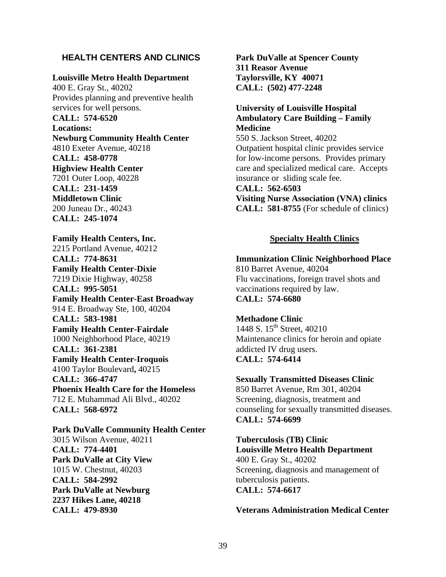### **HEALTH CENTERS AND CLINICS**

### **Louisville Metro Health Department**

400 E. Gray St., 40202 Provides planning and preventive health services for well persons. **CALL: 574-6520 Locations: Newburg Community Health Center**  4810 Exeter Avenue, 40218 **CALL: 458-0778 Highview Health Center**  7201 Outer Loop, 40228

**CALL: 231-1459 Middletown Clinic**  200 Juneau Dr., 40243 **CALL: 245-1074** 

#### **Family Health Centers, Inc.**

2215 Portland Avenue, 40212 **CALL: 774-8631 Family Health Center-Dixie**  7219 Dixie Highway, 40258 **CALL: 995-5051 Family Health Center-East Broadway**  914 E. Broadway Ste, 100, 40204 **CALL: 583-1981 Family Health Center-Fairdale**  1000 Neighborhood Place, 40219 **CALL: 361-2381 Family Health Center-Iroquois**  4100 Taylor Boulevard**,** 40215 **CALL: 366-4747 Phoenix Health Care for the Homeless**  712 E. Muhammad Ali Blvd., 40202 **CALL: 568-6972** 

**Park DuValle Community Health Center**  3015 Wilson Avenue, 40211 **CALL: 774-4401 Park DuValle at City View**  1015 W. Chestnut, 40203 **CALL: 584-2992 Park DuValle at Newburg 2237 Hikes Lane, 40218 CALL: 479-8930** 

**Park DuValle at Spencer County 311 Reasor Avenue Taylorsville, KY 40071 CALL: (502) 477-2248** 

### **University of Louisville Hospital Ambulatory Care Building – Family Medicine**

550 S. Jackson Street, 40202 Outpatient hospital clinic provides service for low-income persons. Provides primary care and specialized medical care. Accepts insurance or sliding scale fee. **CALL: 562-6503 Visiting Nurse Association (VNA) clinics CALL: 581-8755** (For schedule of clinics)

#### **Specialty Health Clinics**

**Immunization Clinic Neighborhood Place**  810 Barret Avenue, 40204 Flu vaccinations, foreign travel shots and vaccinations required by law. **CALL: 574-6680**

#### **Methadone Clinic**

1448 S. 15<sup>th</sup> Street, 40210 Maintenance clinics for heroin and opiate addicted IV drug users. **CALL: 574-6414** 

#### **Sexually Transmitted Diseases Clinic**

850 Barret Avenue, Rm 301, 40204 Screening, diagnosis, treatment and counseling for sexually transmitted diseases. **CALL: 574-6699** 

### **Tuberculosis (TB) Clinic Louisville Metro Health Department**  400 E. Gray St., 40202 Screening, diagnosis and management of tuberculosis patients. **CALL: 574-6617**

### **Veterans Administration Medical Center**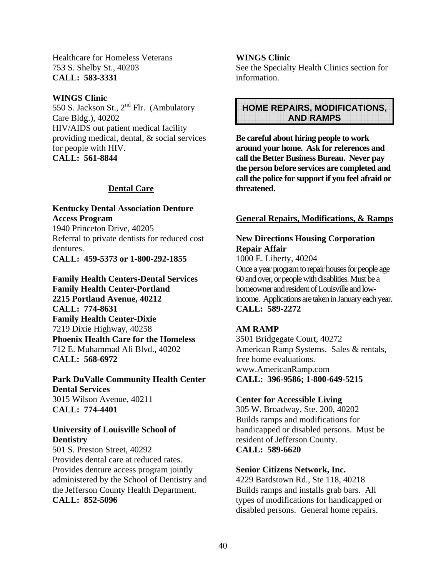Healthcare for Homeless Veterans 753 S. Shelby St., 40203 **CALL: 583-3331** 

### **WINGS Clinic**

550 S. Jackson St., 2<sup>nd</sup> Flr. (Ambulatory Care Bldg.), 40202 HIV/AIDS out patient medical facility providing medical, dental, & social services for people with HIV. **CALL: 561-8844** 

### **Dental Care**

**Kentucky Dental Association Denture Access Program**  1940 Princeton Drive, 40205 Referral to private dentists for reduced cost dentures.

**CALL: 459-5373 or 1-800-292-1855**

**Family Health Centers-Dental Services Family Health Center-Portland 2215 Portland Avenue, 40212 CALL: 774-8631 Family Health Center-Dixie**  7219 Dixie Highway, 40258 **Phoenix Health Care for the Homeless**  712 E. Muhammad Ali Blvd., 40202 **CALL: 568-6972** 

**Park DuValle Community Health Center Dental Services**  3015 Wilson Avenue, 40211 **CALL: 774-4401** 

### **University of Louisville School of Dentistry**

501 S. Preston Street, 40292 Provides dental care at reduced rates. Provides denture access program jointly administered by the School of Dentistry and the Jefferson County Health Department. **CALL: 852-5096** 

**WINGS Clinic**  See the Specialty Health Clinics section for information.

### **HOME REPAIRS, MODIFICATIONS, AND RAMPS**

**Be careful about hiring people to work around your home. Ask for references and call the Better Business Bureau. Never pay the person before services are completed and call the police for support if you feel afraid or threatened.** 

### **General Repairs, Modifications, & Ramps**

### **New Directions Housing Corporation Repair Affair**

1000 E. Liberty, 40204

Once a year program to repair houses for people age 60 and over, or people with disablities. Must be a homeowner and resident of Louisville and lowincome. Applications are taken in January each year. **CALL: 589-2272** 

### **AM RAMP**

3501 Bridgegate Court, 40272 American Ramp Systems. Sales & rentals, free home evaluations. www.AmericanRamp.com **CALL: 396-9586; 1-800-649-5215** 

### **Center for Accessible Living**

305 W. Broadway, Ste. 200, 40202 Builds ramps and modifications for handicapped or disabled persons. Must be resident of Jefferson County. **CALL: 589-6620** 

### **Senior Citizens Network, Inc.**

4229 Bardstown Rd., Ste 118, 40218 Builds ramps and installs grab bars. All types of modifications for handicapped or disabled persons. General home repairs.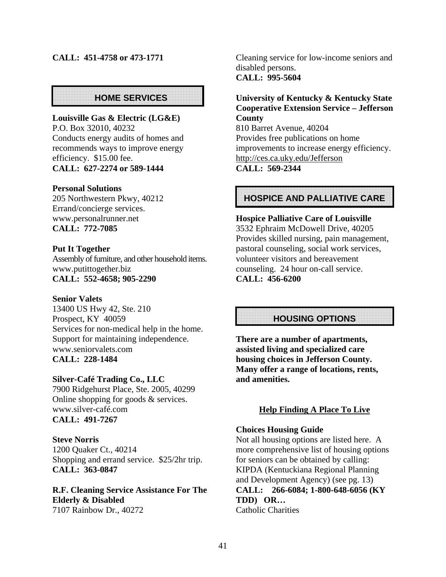### **CALL: 451-4758 or 473-1771**

### **HOME SERVICES**

**Louisville Gas & Electric (LG&E)**  P.O. Box 32010, 40232 Conducts energy audits of homes and recommends ways to improve energy efficiency. \$15.00 fee. **CALL: 627-2274 or 589-1444** 

### **Personal Solutions**

205 Northwestern Pkwy, 40212 Errand/concierge services. www.personalrunner.net **CALL: 772-7085** 

### **Put It Together**

Assembly of furniture, and other household items. www.putittogether.biz **CALL: 552-4658; 905-2290** 

#### **Senior Valets**

13400 US Hwy 42, Ste. 210 Prospect, KY 40059 Services for non-medical help in the home. Support for maintaining independence. www.seniorvalets.com **CALL: 228-1484** 

#### **Silver-Café Trading Co., LLC**

7900 Ridgehurst Place, Ste. 2005, 40299 Online shopping for goods & services. www.silver-café.com **CALL: 491-7267** 

#### **Steve Norris**

1200 Quaker Ct., 40214 Shopping and errand service. \$25/2hr trip. **CALL: 363-0847** 

### **R.F. Cleaning Service Assistance For The Elderly & Disabled**  7107 Rainbow Dr., 40272

Cleaning service for low-income seniors and disabled persons. **CALL: 995-5604** 

### **University of Kentucky & Kentucky State Cooperative Extension Service – Jefferson County**

810 Barret Avenue, 40204 Provides free publications on home improvements to increase energy efficiency. http://ces.ca.uky.edu/Jefferson **CALL: 569-2344** 

### **HOSPICE AND PALLIATIVE CARE**

### **Hospice Palliative Care of Louisville**

3532 Ephraim McDowell Drive, 40205 Provides skilled nursing, pain management, pastoral counseling, social work services, volunteer visitors and bereavement counseling. 24 hour on-call service. **CALL: 456-6200** 

### **HOUSING OPTIONS**

**There are a number of apartments, assisted living and specialized care housing choices in Jefferson County. Many offer a range of locations, rents, and amenities.** 

### **Help Finding A Place To Live**

#### **Choices Housing Guide**

Not all housing options are listed here. A more comprehensive list of housing options for seniors can be obtained by calling: KIPDA (Kentuckiana Regional Planning and Development Agency) (see pg. 13) **CALL: 266-6084; 1-800-648-6056 (KY TDD) OR…**  Catholic Charities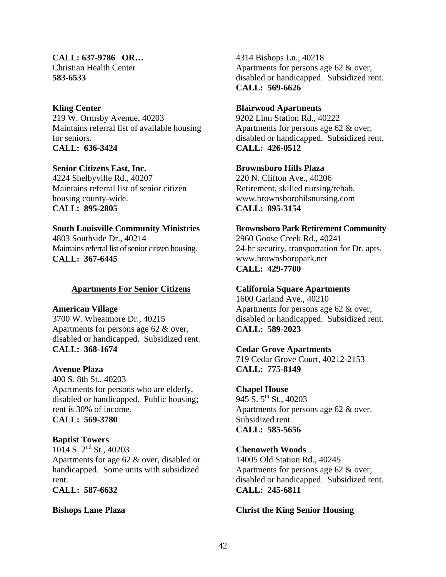**CALL: 637-9786 OR…**  Christian Health Center **583-6533** 

### **Kling Center**

219 W. Ormsby Avenue, 40203 Maintains referral list of available housing for seniors. **CALL: 636-3424** 

### **Senior Citizens East, Inc.**

4224 Shelbyville Rd., 40207 Maintains referral list of senior citizen housing county-wide. **CALL: 895-2805** 

### **South Louisville Community Ministries**

4803 Southside Dr., 40214 Maintains referral list of senior citizen housing. **CALL: 367-6445** 

### **Apartments For Senior Citizens**

### **American Village**

3700 W. Wheatmore Dr., 40215 Apartments for persons age 62 & over, disabled or handicapped. Subsidized rent. **CALL: 368-1674** 

### **Avenue Plaza**

400 S. 8th St., 40203 Apartments for persons who are elderly, disabled or handicapped. Public housing; rent is 30% of income. **CALL: 569-3780** 

### **Baptist Towers**

 $1014$  S.  $2^{nd}$  St., 40203 Apartments for age 62 & over, disabled or handicapped. Some units with subsidized rent. **CALL: 587-6632** 

### **Bishops Lane Plaza**

4314 Bishops Ln., 40218 Apartments for persons age 62 & over, disabled or handicapped. Subsidized rent. **CALL: 569-6626** 

### **Blairwood Apartments**

9202 Linn Station Rd., 40222 Apartments for persons age 62 & over, disabled or handicapped. Subsidized rent. **CALL: 426-0512** 

### **Brownsboro Hills Plaza**

220 N. Clifton Ave., 40206 Retirement, skilled nursing/rehab. www.brownsborohilsnursing.com **CALL: 895-3154** 

### **Brownsboro Park Retirement Community**

2960 Goose Creek Rd., 40241 24-hr security, transportation for Dr. apts. www.brownsboropark.net **CALL: 429-7700** 

### **California Square Apartments**

1600 Garland Ave., 40210 Apartments for persons age 62 & over, disabled or handicapped. Subsidized rent. **CALL: 589-2023** 

### **Cedar Grove Apartments**

719 Cedar Grove Court, 40212-2153 **CALL: 775-8149** 

### **Chapel House**

 $945\overline{S}$ . 5<sup>th</sup> St., 40203 Apartments for persons age 62 & over. Subsidized rent. **CALL: 585-5656** 

## **Chenoweth Woods**

14005 Old Station Rd., 40245 Apartments for persons age 62 & over, disabled or handicapped. Subsidized rent. **CALL: 245-6811** 

### **Christ the King Senior Housing**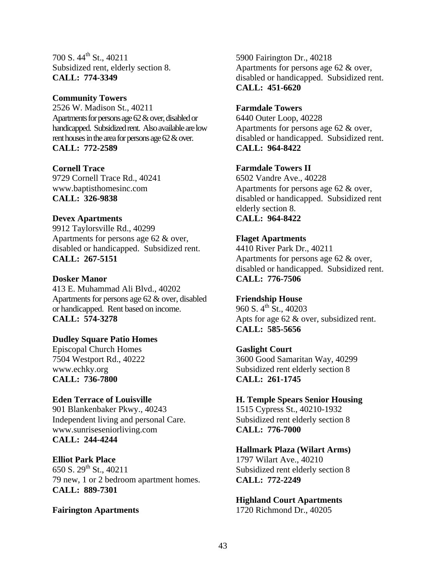700 S. 44<sup>th</sup> St., 40211 Subsidized rent, elderly section 8. **CALL: 774-3349** 

### **Community Towers**

2526 W. Madison St., 40211 Apartments for persons age 62 & over, disabled or handicapped. Subsidized rent. Also available are low rent houses in the area for persons age 62 & over. **CALL: 772-2589** 

### **Cornell Trace**

9729 Cornell Trace Rd., 40241 www.baptisthomesinc.com **CALL: 326-9838** 

### **Devex Apartments**

9912 Taylorsville Rd., 40299 Apartments for persons age 62 & over, disabled or handicapped. Subsidized rent. **CALL: 267-5151** 

### **Dosker Manor**

413 E. Muhammad Ali Blvd., 40202 Apartments for persons age 62 & over, disabled or handicapped. Rent based on income. **CALL: 574-3278** 

### **Dudley Square Patio Homes**

Episcopal Church Homes 7504 Westport Rd., 40222 www.echky.org **CALL: 736-7800** 

### **Eden Terrace of Louisville**

901 Blankenbaker Pkwy., 40243 Independent living and personal Care. www.sunriseseniorliving.com **CALL: 244-4244** 

### **Elliot Park Place**

650 S.  $29^{th}$  St., 40211 79 new, 1 or 2 bedroom apartment homes. **CALL: 889-7301** 

### **Fairington Apartments**

5900 Fairington Dr., 40218 Apartments for persons age 62 & over, disabled or handicapped. Subsidized rent. **CALL: 451-6620** 

### **Farmdale Towers**

6440 Outer Loop, 40228 Apartments for persons age 62 & over, disabled or handicapped. Subsidized rent. **CALL: 964-8422** 

### **Farmdale Towers II**

6502 Vandre Ave., 40228 Apartments for persons age 62 & over, disabled or handicapped. Subsidized rent elderly section 8. **CALL: 964-8422** 

### **Flaget Apartments**

4410 River Park Dr., 40211 Apartments for persons age 62 & over, disabled or handicapped. Subsidized rent. **CALL: 776-7506** 

### **Friendship House**

960 S.  $4^{th}$  St., 40203 Apts for age 62 & over, subsidized rent. **CALL: 585-5656** 

### **Gaslight Court**

3600 Good Samaritan Way, 40299 Subsidized rent elderly section 8 **CALL: 261-1745** 

### **H. Temple Spears Senior Housing**

1515 Cypress St., 40210-1932 Subsidized rent elderly section 8 **CALL: 776-7000** 

### **Hallmark Plaza (Wilart Arms)**

1797 Wilart Ave., 40210 Subsidized rent elderly section 8 **CALL: 772-2249** 

### **Highland Court Apartments**  1720 Richmond Dr., 40205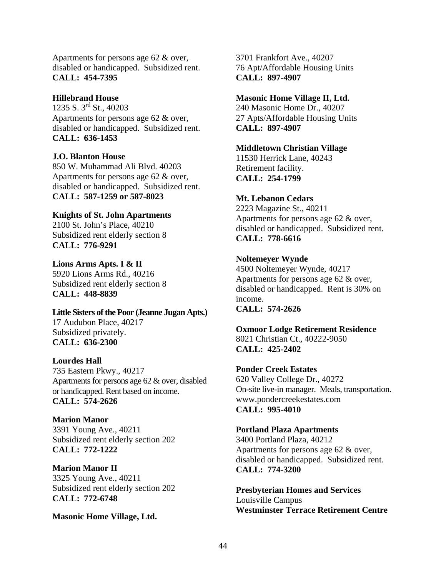Apartments for persons age 62 & over, disabled or handicapped. Subsidized rent. **CALL: 454-7395** 

### **Hillebrand House**

1235 S. 3rd St., 40203 Apartments for persons age 62 & over, disabled or handicapped. Subsidized rent. **CALL: 636-1453** 

### **J.O. Blanton House**

850 W. Muhammad Ali Blvd. 40203 Apartments for persons age 62 & over, disabled or handicapped. Subsidized rent. **CALL: 587-1259 or 587-8023** 

### **Knights of St. John Apartments**

2100 St. John's Place, 40210 Subsidized rent elderly section 8 **CALL: 776-9291** 

**Lions Arms Apts. I & II**  5920 Lions Arms Rd., 40216 Subsidized rent elderly section 8 **CALL: 448-8839** 

### **Little Sisters of the Poor (Jeanne Jugan Apts.)** 17 Audubon Place, 40217 Subsidized privately. **CALL: 636-2300**

**Lourdes Hall** 

735 Eastern Pkwy., 40217 Apartments for persons age 62 & over, disabled or handicapped. Rent based on income. **CALL: 574-2626** 

### **Marion Manor**

3391 Young Ave., 40211 Subsidized rent elderly section 202 **CALL: 772-1222** 

### **Marion Manor II**

3325 Young Ave., 40211 Subsidized rent elderly section 202 **CALL: 772-6748** 

### **Masonic Home Village, Ltd.**

3701 Frankfort Ave., 40207 76 Apt/Affordable Housing Units **CALL: 897-4907** 

### **Masonic Home Village II, Ltd.**

240 Masonic Home Dr., 40207 27 Apts/Affordable Housing Units **CALL: 897-4907** 

### **Middletown Christian Village**

11530 Herrick Lane, 40243 Retirement facility. **CALL: 254-1799** 

### **Mt. Lebanon Cedars**

2223 Magazine St., 40211 Apartments for persons age 62 & over, disabled or handicapped. Subsidized rent. **CALL: 778-6616** 

### **Noltemeyer Wynde**

4500 Noltemeyer Wynde, 40217 Apartments for persons age 62 & over, disabled or handicapped. Rent is 30% on income.

**CALL: 574-2626** 

### **Oxmoor Lodge Retirement Residence**  8021 Christian Ct., 40222-9050

**CALL: 425-2402** 

### **Ponder Creek Estates**

620 Valley College Dr., 40272 On-site live-in manager. Meals, transportation. www.pondercreekestates.com **CALL: 995-4010** 

#### **Portland Plaza Apartments**

3400 Portland Plaza, 40212 Apartments for persons age 62 & over, disabled or handicapped. Subsidized rent. **CALL: 774-3200** 

**Presbyterian Homes and Services**  Louisville Campus **Westminster Terrace Retirement Centre**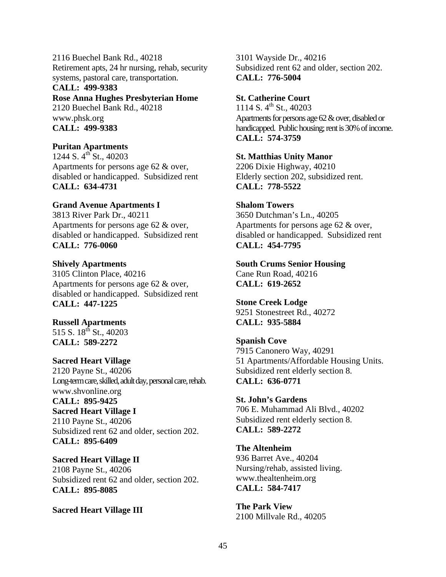2116 Buechel Bank Rd., 40218 Retirement apts, 24 hr nursing, rehab, security systems, pastoral care, transportation.

**CALL: 499-9383** 

**Rose Anna Hughes Presbyterian Home**  2120 Buechel Bank Rd., 40218 www.phsk.org **CALL: 499-9383** 

### **Puritan Apartments**

1244 S.  $4^{th}$  St., 40203 Apartments for persons age 62 & over, disabled or handicapped. Subsidized rent **CALL: 634-4731** 

### **Grand Avenue Apartments I**

3813 River Park Dr., 40211 Apartments for persons age 62 & over, disabled or handicapped. Subsidized rent **CALL: 776-0060** 

**Shively Apartments**  3105 Clinton Place, 40216 Apartments for persons age 62 & over, disabled or handicapped. Subsidized rent **CALL: 447-1225** 

**Russell Apartments**  515 S.  $18^{th}$  St., 40203

**CALL: 589-2272** 

**Sacred Heart Village** 

2120 Payne St., 40206 Long-term care, skilled, adult day, personal care, rehab. www.shvonline.org **CALL: 895-9425 Sacred Heart Village I**  2110 Payne St., 40206 Subsidized rent 62 and older, section 202. **CALL: 895-6409** 

**Sacred Heart Village II**  2108 Payne St., 40206 Subsidized rent 62 and older, section 202. **CALL: 895-8085** 

### **Sacred Heart Village III**

3101 Wayside Dr., 40216 Subsidized rent 62 and older, section 202. **CALL: 776-5004** 

**St. Catherine Court** 

1114 S. 4<sup>th</sup> St., 40203 Apartments for persons age 62 & over, disabled or handicapped. Public housing; rent is 30% of income. **CALL: 574-3759** 

**St. Matthias Unity Manor** 

2206 Dixie Highway, 40210 Elderly section 202, subsidized rent. **CALL: 778-5522** 

### **Shalom Towers**

3650 Dutchman's Ln., 40205 Apartments for persons age 62 & over, disabled or handicapped. Subsidized rent **CALL: 454-7795** 

**South Crums Senior Housing**  Cane Run Road, 40216 **CALL: 619-2652** 

**Stone Creek Lodge**  9251 Stonestreet Rd., 40272 **CALL: 935-5884** 

**Spanish Cove**  7915 Canonero Way, 40291 51 Apartments/Affordable Housing Units. Subsidized rent elderly section 8. **CALL: 636-0771** 

**St. John's Gardens**  706 E. Muhammad Ali Blvd., 40202 Subsidized rent elderly section 8. **CALL: 589-2272** 

**The Altenheim**  936 Barret Ave., 40204 Nursing/rehab, assisted living.

www.thealtenheim.org **CALL: 584-7417** 

**The Park View**  2100 Millvale Rd., 40205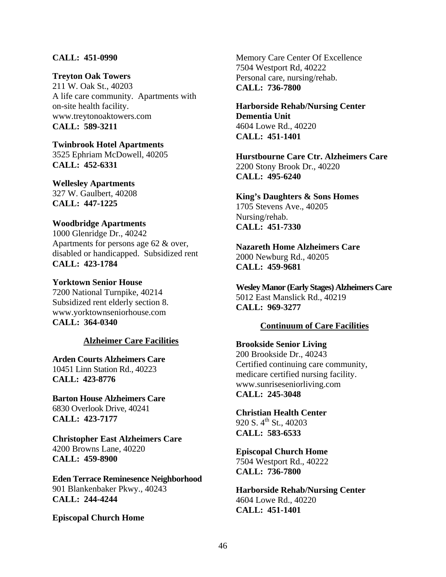### **CALL: 451-0990**

### **Treyton Oak Towers**

211 W. Oak St., 40203 A life care community. Apartments with on-site health facility. www.treytonoaktowers.com **CALL: 589-3211** 

### **Twinbrook Hotel Apartments**

3525 Ephriam McDowell, 40205 **CALL: 452-6331** 

### **Wellesley Apartments**

327 W. Gaulbert, 40208 **CALL: 447-1225** 

#### **Woodbridge Apartments**

1000 Glenridge Dr., 40242 Apartments for persons age 62 & over, disabled or handicapped. Subsidized rent **CALL: 423-1784** 

### **Yorktown Senior House**

7200 National Turnpike, 40214 Subsidized rent elderly section 8. www.yorktownseniorhouse.com **CALL: 364-0340** 

### **Alzheimer Care Facilities**

**Arden Courts Alzheimers Care**  10451 Linn Station Rd., 40223 **CALL: 423-8776** 

**Barton House Alzheimers Care**  6830 Overlook Drive, 40241 **CALL: 423-7177** 

**Christopher East Alzheimers Care**  4200 Browns Lane, 40220 **CALL: 459-8900** 

**Eden Terrace Reminesence Neighborhood**  901 Blankenbaker Pkwy., 40243 **CALL: 244-4244** 

#### **Episcopal Church Home**

Memory Care Center Of Excellence 7504 Westport Rd, 40222 Personal care, nursing/rehab. **CALL: 736-7800** 

**Harborside Rehab/Nursing Center Dementia Unit**  4604 Lowe Rd., 40220 **CALL: 451-1401** 

**Hurstbourne Care Ctr. Alzheimers Care**  2200 Stony Brook Dr., 40220 **CALL: 495-6240** 

### **King's Daughters & Sons Homes**  1705 Stevens Ave., 40205 Nursing/rehab.

**CALL: 451-7330** 

**Nazareth Home Alzheimers Care**  2000 Newburg Rd., 40205 **CALL: 459-9681** 

**Wesley Manor (Early Stages) Alzheimers Care**  5012 East Manslick Rd., 40219 **CALL: 969-3277** 

### **Continuum of Care Facilities**

### **Brookside Senior Living**  200 Brookside Dr., 40243 Certified continuing care community, medicare certified nursing facility. www.sunriseseniorliving.com **CALL: 245-3048**

**Christian Health Center**  920 S.  $4^{th}$  St., 40203 **CALL: 583-6533** 

#### **Episcopal Church Home**  7504 Westport Rd., 40222 **CALL: 736-7800**

**Harborside Rehab/Nursing Center**  4604 Lowe Rd., 40220 **CALL: 451-1401**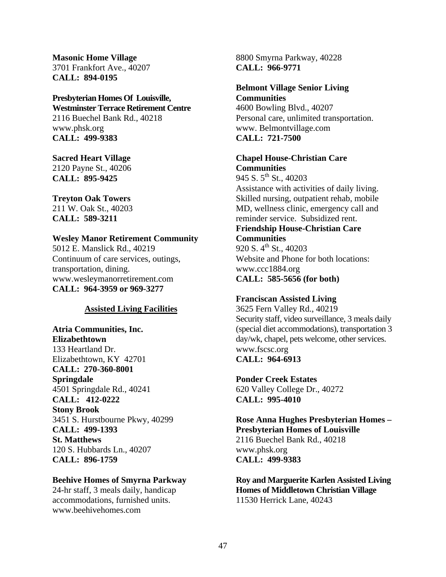**Masonic Home Village**  3701 Frankfort Ave., 40207 **CALL: 894-0195** 

**Presbyterian Homes Of Louisville, Westminster Terrace Retirement Centre**  2116 Buechel Bank Rd., 40218 www.phsk.org **CALL: 499-9383** 

**Sacred Heart Village**  2120 Payne St., 40206 **CALL: 895-9425** 

### **Treyton Oak Towers**

211 W. Oak St., 40203 **CALL: 589-3211** 

**Wesley Manor Retirement Community** 

5012 E. Manslick Rd., 40219 Continuum of care services, outings, transportation, dining. www.wesleymanorretirement.com **CALL: 964-3959 or 969-3277** 

#### **Assisted Living Facilities**

**Atria Communities, Inc. Elizabethtown**  133 Heartland Dr. Elizabethtown, KY 42701 **CALL: 270-360-8001 Springdale**  4501 Springdale Rd., 40241 **CALL: 412-0222 Stony Brook**  3451 S. Hurstbourne Pkwy, 40299 **CALL: 499-1393 St. Matthews**  120 S. Hubbards Ln., 40207 **CALL: 896-1759**

### **Beehive Homes of Smyrna Parkway**

24-hr staff, 3 meals daily, handicap accommodations, furnished units. www.beehivehomes.com

8800 Smyrna Parkway, 40228 **CALL: 966-9771** 

#### **Belmont Village Senior Living Communities**

4600 Bowling Blvd., 40207 Personal care, unlimited transportation. www. Belmontvillage.com **CALL: 721-7500** 

### **Chapel House-Christian Care Communities**

945 S.  $5^{th}$  St., 40203 Assistance with activities of daily living. Skilled nursing, outpatient rehab, mobile MD, wellness clinic, emergency call and reminder service. Subsidized rent.

### **Friendship House-Christian Care Communities**

920 S.  $4^{th}$  St., 40203 Website and Phone for both locations: www.ccc1884.org **CALL: 585-5656 (for both)** 

### **Franciscan Assisted Living**

3625 Fern Valley Rd., 40219 Security staff, video surveillance, 3 meals daily (special diet accommodations), transportation 3 day/wk, chapel, pets welcome, other services. www.fscsc.org **CALL: 964-6913**

**Ponder Creek Estates**  620 Valley College Dr., 40272 **CALL: 995-4010** 

**Rose Anna Hughes Presbyterian Homes – Presbyterian Homes of Louisville**  2116 Buechel Bank Rd., 40218 www.phsk.org **CALL: 499-9383** 

**Roy and Marguerite Karlen Assisted Living Homes of Middletown Christian Village**  11530 Herrick Lane, 40243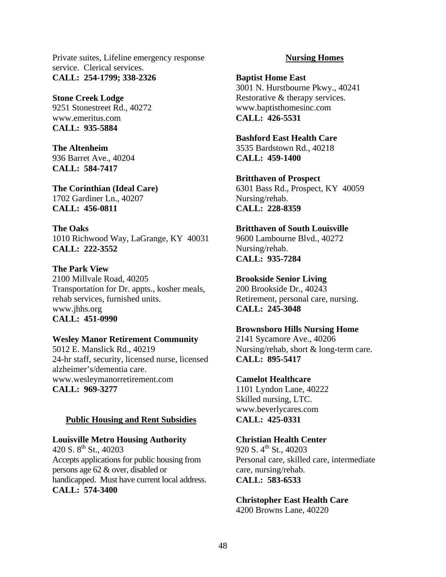Private suites, Lifeline emergency response service. Clerical services. **CALL: 254-1799; 338-2326** 

**Stone Creek Lodge**  9251 Stonestreet Rd., 40272 www.emeritus.com **CALL: 935-5884** 

**The Altenheim**  936 Barret Ave., 40204 **CALL: 584-7417** 

**The Corinthian (Ideal Care)**  1702 Gardiner Ln., 40207 **CALL: 456-0811** 

**The Oaks**  1010 Richwood Way, LaGrange, KY 40031 **CALL: 222-3552** 

**The Park View**  2100 Millvale Road, 40205 Transportation for Dr. appts., kosher meals, rehab services, furnished units. www.jhhs.org **CALL: 451-0990** 

**Wesley Manor Retirement Community**  5012 E. Manslick Rd., 40219

24-hr staff, security, licensed nurse, licensed alzheimer's/dementia care. www.wesleymanorretirement.com **CALL: 969-3277** 

### **Public Housing and Rent Subsidies**

**Louisville Metro Housing Authority** 

420 S.  $8^{th}$  St., 40203 Accepts applications for public housing from persons age 62 & over, disabled or handicapped. Must have current local address. **CALL: 574-3400**

#### **Nursing Homes**

**Baptist Home East**  3001 N. Hurstbourne Pkwy., 40241 Restorative & therapy services. www.baptisthomesinc.com **CALL: 426-5531** 

**Bashford East Health Care**  3535 Bardstown Rd., 40218 **CALL: 459-1400** 

**Britthaven of Prospect**  6301 Bass Rd., Prospect, KY 40059 Nursing/rehab. **CALL: 228-8359**

**Britthaven of South Louisville**  9600 Lambourne Blvd., 40272 Nursing/rehab. **CALL: 935-7284** 

**Brookside Senior Living**  200 Brookside Dr., 40243 Retirement, personal care, nursing. **CALL: 245-3048** 

**Brownsboro Hills Nursing Home**  2141 Sycamore Ave., 40206 Nursing/rehab, short & long-term care.

**CALL: 895-5417 Camelot Healthcare** 

1101 Lyndon Lane, 40222 Skilled nursing, LTC. www.beverlycares.com **CALL: 425-0331** 

**Christian Health Center** 

920 S.  $4^{th}$  St., 40203 Personal care, skilled care, intermediate care, nursing/rehab. **CALL: 583-6533** 

**Christopher East Health Care**  4200 Browns Lane, 40220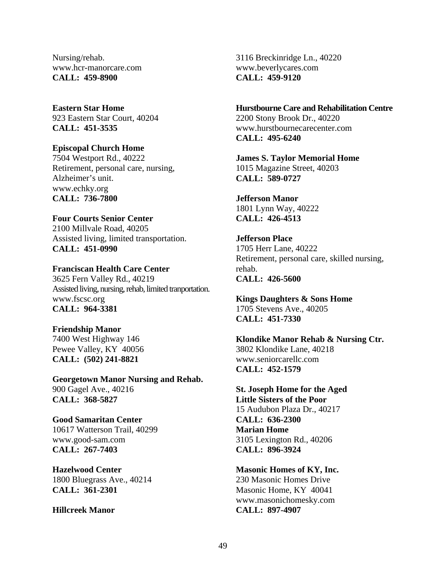Nursing/rehab. www.hcr-manorcare.com **CALL: 459-8900** 

**Eastern Star Home**  923 Eastern Star Court, 40204 **CALL: 451-3535** 

**Episcopal Church Home**  7504 Westport Rd., 40222 Retirement, personal care, nursing, Alzheimer's unit. www.echky.org **CALL: 736-7800** 

**Four Courts Senior Center**  2100 Millvale Road, 40205 Assisted living, limited transportation. **CALL: 451-0990** 

**Franciscan Health Care Center**  3625 Fern Valley Rd., 40219 Assisted living, nursing, rehab, limited tranportation. www.fscsc.org **CALL: 964-3381** 

**Friendship Manor**  7400 West Highway 146 Pewee Valley, KY 40056 **CALL: (502) 241-8821** 

**Georgetown Manor Nursing and Rehab.**  900 Gagel Ave., 40216 **CALL: 368-5827**

**Good Samaritan Center**  10617 Watterson Trail, 40299 www.good-sam.com **CALL: 267-7403** 

**Hazelwood Center**  1800 Bluegrass Ave., 40214 **CALL: 361-2301** 

**Hillcreek Manor** 

3116 Breckinridge Ln., 40220 www.beverlycares.com **CALL: 459-9120**

### **Hurstbourne Care and Rehabilitation Centre**

2200 Stony Brook Dr., 40220 www.hurstbournecarecenter.com **CALL: 495-6240**

**James S. Taylor Memorial Home**  1015 Magazine Street, 40203 **CALL: 589-0727** 

**Jefferson Manor**  1801 Lynn Way, 40222 **CALL: 426-4513** 

**Jefferson Place**  1705 Herr Lane, 40222 Retirement, personal care, skilled nursing, rehab. **CALL: 426-5600**

**Kings Daughters & Sons Home**  1705 Stevens Ave., 40205 **CALL: 451-7330** 

**Klondike Manor Rehab & Nursing Ctr.**  3802 Klondike Lane, 40218 www.seniorcarellc.com

**CALL: 452-1579** 

**St. Joseph Home for the Aged Little Sisters of the Poor** 15 Audubon Plaza Dr., 40217 **CALL: 636-2300 Marian Home**  3105 Lexington Rd., 40206 **CALL: 896-3924** 

**Masonic Homes of KY, Inc.**  230 Masonic Homes Drive Masonic Home, KY 40041 www.masonichomesky.com **CALL: 897-4907**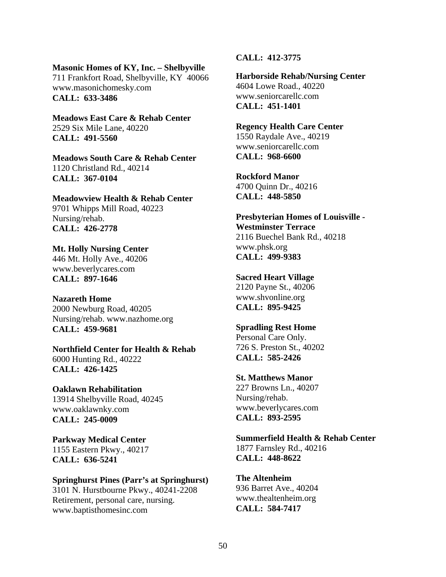#### **Masonic Homes of KY, Inc. – Shelbyville**

711 Frankfort Road, Shelbyville, KY 40066 www.masonichomesky.com **CALL: 633-3486**

**Meadows East Care & Rehab Center**  2529 Six Mile Lane, 40220 **CALL: 491-5560**

**Meadows South Care & Rehab Center**  1120 Christland Rd., 40214 **CALL: 367-0104**

**Meadowview Health & Rehab Center**  9701 Whipps Mill Road, 40223 Nursing/rehab. **CALL: 426-2778** 

**Mt. Holly Nursing Center**  446 Mt. Holly Ave., 40206 www.beverlycares.com **CALL: 897-1646** 

**Nazareth Home**  2000 Newburg Road, 40205 Nursing/rehab. www.nazhome.org **CALL: 459-9681** 

**Northfield Center for Health & Rehab**  6000 Hunting Rd., 40222 **CALL: 426-1425** 

**Oaklawn Rehabilitation**  13914 Shelbyville Road, 40245 www.oaklawnky.com **CALL: 245-0009** 

**Parkway Medical Center**  1155 Eastern Pkwy., 40217 **CALL: 636-5241** 

**Springhurst Pines (Parr's at Springhurst)**  3101 N. Hurstbourne Pkwy., 40241-2208 Retirement, personal care, nursing. www.baptisthomesinc.com

**CALL: 412-3775** 

**Harborside Rehab/Nursing Center**  4604 Lowe Road., 40220 www.seniorcarellc.com **CALL: 451-1401** 

**Regency Health Care Center**  1550 Raydale Ave., 40219 www.seniorcarellc.com **CALL: 968-6600**

**Rockford Manor**  4700 Quinn Dr., 40216 **CALL: 448-5850** 

**Presbyterian Homes of Louisville - Westminster Terrace**  2116 Buechel Bank Rd., 40218 www.phsk.org **CALL: 499-9383** 

**Sacred Heart Village**  2120 Payne St., 40206 www.shvonline.org **CALL: 895-9425** 

#### **Spradling Rest Home**  Personal Care Only.

726 S. Preston St., 40202 **CALL: 585-2426**

#### **St. Matthews Manor**

227 Browns Ln., 40207 Nursing/rehab. www.beverlycares.com **CALL: 893-2595** 

**Summerfield Health & Rehab Center**  1877 Farnsley Rd., 40216 **CALL: 448-8622** 

**The Altenheim**  936 Barret Ave., 40204 www.thealtenheim.org **CALL: 584-7417**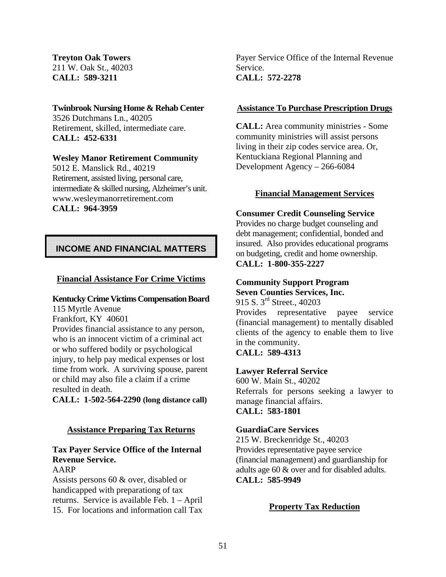**Treyton Oak Towers**  211 W. Oak St., 40203 **CALL: 589-3211** 

#### **Twinbrook Nursing Home & Rehab Center**

3526 Dutchmans Ln., 40205 Retirement, skilled, intermediate care. **CALL: 452-6331** 

### **Wesley Manor Retirement Community**

5012 E. Manslick Rd., 40219 Retirement, assisted living, personal care, intermediate & skilled nursing, Alzheimer's unit. www.wesleymanorretirement.com

**CALL: 964-3959** 

### **INCOME AND FINANCIAL MATTERS**

### **Financial Assistance For Crime Victims**

#### **Kentucky Crime Victims Compensation Board**

115 Myrtle Avenue Frankfort, KY 40601 Provides financial assistance to any person, who is an innocent victim of a criminal act or who suffered bodily or psychological injury, to help pay medical expenses or lost time from work. A surviving spouse, parent or child may also file a claim if a crime resulted in death.

**CALL: 1-502-564-2290 (long distance call)** 

### **Assistance Preparing Tax Returns**

### **Tax Payer Service Office of the Internal Revenue Service.**

### AARP

Assists persons 60 & over, disabled or handicapped with preparationg of tax returns. Service is available Feb. 1 – April 15. For locations and information call Tax Payer Service Office of the Internal Revenue Service. **CALL: 572-2278** 

### **Assistance To Purchase Prescription Drugs**

**CALL:** Area community ministries - Some community ministries will assist persons living in their zip codes service area. Or, Kentuckiana Regional Planning and Development Agency – 266-6084

### **Financial Management Services**

### **Consumer Credit Counseling Service**

Provides no charge budget counseling and debt management; confidential, bonded and insured. Also provides educational programs on budgeting, credit and home ownership. **CALL: 1-800-355-2227** 

### **Community Support Program Seven Counties Services, Inc.**

915 S. 3<sup>rd</sup> Street., 40203 Provides representative payee service (financial management) to mentally disabled clients of the agency to enable them to live in the community.

### **CALL: 589-4313**

### **Lawyer Referral Service**

600 W. Main St., 40202 Referrals for persons seeking a lawyer to manage financial affairs. **CALL: 583-1801** 

### **GuardiaCare Services**

215 W. Breckenridge St., 40203 Provides representative payee service (financial management) and guardianship for adults age 60 & over and for disabled adults. **CALL: 585-9949** 

### **Property Tax Reduction**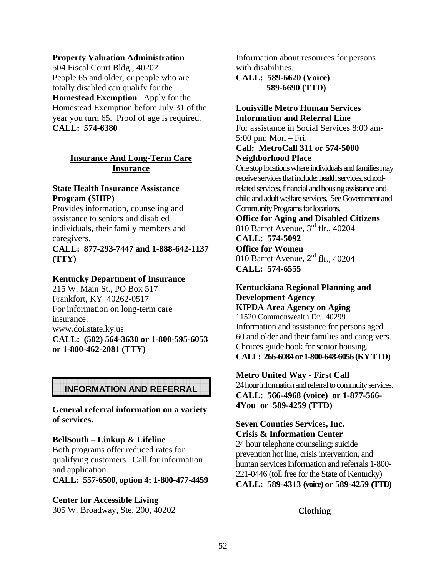### **Property Valuation Administration**

504 Fiscal Court Bldg., 40202 People 65 and older, or people who are totally disabled can qualify for the **Homestead Exemption**. Apply for the Homestead Exemption before July 31 of the year you turn 65. Proof of age is required. **CALL: 574-6380**

### **Insurance And Long-Term Care Insurance**

### **State Health Insurance Assistance Program (SHIP)**

Provides information, counseling and assistance to seniors and disabled individuals, their family members and caregivers.

**CALL: 877-293-7447 and 1-888-642-1137 (TTY)**

### **Kentucky Department of Insurance**

215 W. Main St., PO Box 517 Frankfort, KY 40262-0517 For information on long-term care insurance. www.doi.state.ky.us **CALL: (502) 564-3630 or 1-800-595-6053 or 1-800-462-2081 (TTY)** 

### **INFORMATION AND REFERRAL**

**General referral information on a variety of services.** 

### **BellSouth – Linkup & Lifeline**

Both programs offer reduced rates for qualifying customers. Call for information and application.

**CALL: 557-6500, option 4; 1-800-477-4459** 

### **Center for Accessible Living**

305 W. Broadway, Ste. 200, 40202

Information about resources for persons with disabilities.

**CALL: 589-6620 (Voice) 589-6690 (TTD)** 

### **Louisville Metro Human Services Information and Referral Line**

For assistance in Social Services 8:00 am-5:00 pm; Mon – Fri. **Call: MetroCall 311 or 574-5000 Neighborhood Place**  One stop locations where individuals and families may

receive services that include: health services, schoolrelated services, financial and housing assistance and child and adult welfare services. See Government and Community Programs for locations.

**Office for Aging and Disabled Citizens**  810 Barret Avenue, 3rd flr., 40204

**CALL: 574-5092** 

**Office for Women**  810 Barret Avenue, 2rd flr., 40204 **CALL: 574-6555** 

**Kentuckiana Regional Planning and Development Agency KIPDA Area Agency on Aging**  11520 Commonwealth Dr., 40299 Information and assistance for persons aged 60 and older and their families and caregivers. Choices guide book for senior housing. **CALL: 266-6084 or 1-800-648-6056 (KY TTD)** 

**Metro United Way - First Call**  24 hour information and referral to commuity services. **CALL: 566-4968 (voice) or 1-877-566- 4You or 589-4259 (TTD)** 

#### **Seven Counties Services, Inc. Crisis & Information Center**

24 hour telephone counseling; suicide prevention hot line, crisis intervention, and human services information and referrals 1-800- 221-0446 (toll free for the State of Kentucky) **CALL: 589-4313 (voice) or 589-4259 (TTD)** 

**Clothing**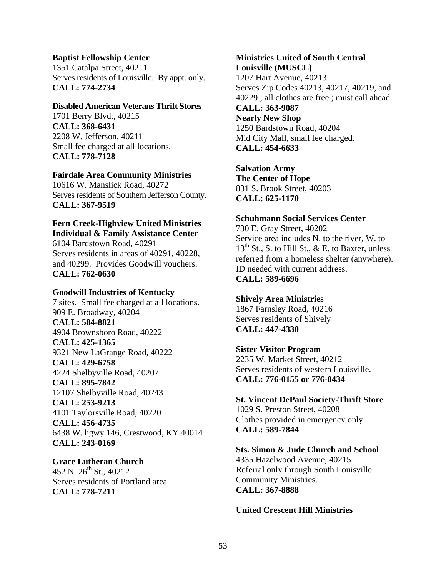### **Baptist Fellowship Center**

1351 Catalpa Street, 40211 Serves residents of Louisville. By appt. only. **CALL: 774-2734** 

### **Disabled American Veterans Thrift Stores**

1701 Berry Blvd., 40215 **CALL: 368-6431**  2208 W. Jefferson, 40211 Small fee charged at all locations. **CALL: 778-7128**

### **Fairdale Area Community Ministries**

10616 W. Manslick Road, 40272 Serves residents of Southern Jefferson County. **CALL: 367-9519** 

### **Fern Creek-Highview United Ministries Individual & Family Assistance Center**

6104 Bardstown Road, 40291 Serves residents in areas of 40291, 40228, and 40299. Provides Goodwill vouchers. **CALL: 762-0630** 

### **Goodwill Industries of Kentucky**

7 sites. Small fee charged at all locations. 909 E. Broadway, 40204 **CALL: 584-8821**  4904 Brownsboro Road, 40222 **CALL: 425-1365**  9321 New LaGrange Road, 40222 **CALL: 429-6758**  4224 Shelbyville Road, 40207 **CALL: 895-7842**  12107 Shelbyville Road, 40243 **CALL: 253-9213**  4101 Taylorsville Road, 40220 **CALL: 456-4735**  6438 W. hgwy 146, Crestwood, KY 40014 **CALL: 243-0169** 

### **Grace Lutheran Church**

452 N.  $26^{th}$  St., 40212 Serves residents of Portland area. **CALL: 778-7211** 

### **Ministries United of South Central Louisville (MUSCL)**

1207 Hart Avenue, 40213 Serves Zip Codes 40213, 40217, 40219, and 40229 ; all clothes are free ; must call ahead. **CALL: 363-9087** 

### **Nearly New Shop**

1250 Bardstown Road, 40204 Mid City Mall, small fee charged. **CALL: 454-6633** 

**Salvation Army The Center of Hope** 831 S. Brook Street, 40203 **CALL: 625-1170** 

### **Schuhmann Social Services Center**

730 E. Gray Street, 40202 Service area includes N. to the river, W. to  $13<sup>th</sup>$  St., S. to Hill St., & E. to Baxter, unless referred from a homeless shelter (anywhere). ID needed with current address. **CALL: 589-6696** 

### **Shively Area Ministries**

1867 Farnsley Road, 40216 Serves residents of Shively **CALL: 447-4330** 

### **Sister Visitor Program**

2235 W. Market Street, 40212 Serves residents of western Louisville. **CALL: 776-0155 or 776-0434** 

### **St. Vincent DePaul Society-Thrift Store**

1029 S. Preston Street, 40208 Clothes provided in emergency only. **CALL: 589-7844** 

### **Sts. Simon & Jude Church and School**

4335 Hazelwood Avenue, 40215 Referral only through South Louisville Community Ministries. **CALL: 367-8888** 

### **United Crescent Hill Ministries**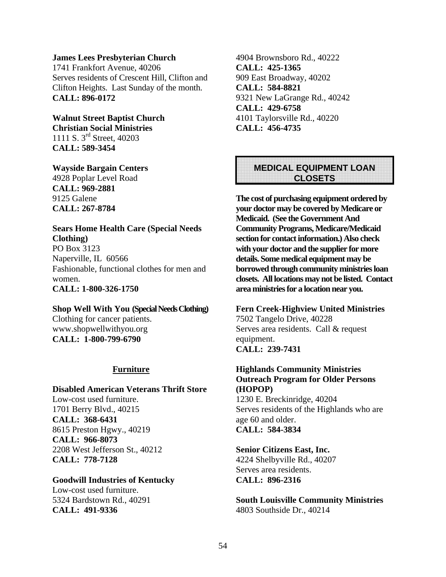#### **James Lees Presbyterian Church**

1741 Frankfort Avenue, 40206 Serves residents of Crescent Hill, Clifton and Clifton Heights. Last Sunday of the month. **CALL: 896-0172** 

**Walnut Street Baptist Church Christian Social Ministries**  1111 S. 3<sup>rd</sup> Street, 40203 **CALL: 589-3454** 

**Wayside Bargain Centers** 

4928 Poplar Level Road **CALL: 969-2881**  9125 Galene **CALL: 267-8784** 

**Sears Home Health Care (Special Needs Clothing)**  PO Box 3123 Naperville, IL 60566 Fashionable, functional clothes for men and women.

**CALL: 1-800-326-1750** 

**Shop Well With You (Special Needs Clothing)**  Clothing for cancer patients. www.shopwellwithyou.org **CALL: 1-800-799-6790** 

#### **Furniture**

**Disabled American Veterans Thrift Store**  Low-cost used furniture. 1701 Berry Blvd., 40215 **CALL: 368-6431**  8615 Preston Hgwy., 40219 **CALL: 966-8073**  2208 West Jefferson St., 40212 **CALL: 778-7128** 

**Goodwill Industries of Kentucky**  Low-cost used furniture. 5324 Bardstown Rd., 40291 **CALL: 491-9336** 

4904 Brownsboro Rd., 40222 **CALL: 425-1365**  909 East Broadway, 40202 **CALL: 584-8821**  9321 New LaGrange Rd., 40242 **CALL: 429-6758**  4101 Taylorsville Rd., 40220 **CALL: 456-4735** 

### **MEDICAL EQUIPMENT LOAN CLOSETS**

**The cost of purchasing equipment ordered by your doctor may be covered by Medicare or Medicaid. (See the Government And Community Programs, Medicare/Medicaid section for contact information.) Also check with your doctor and the supplier for more details. Some medical equipment may be borrowed through community ministries loan closets. All locations may not be listed. Contact area ministries for a location near you.** 

**Fern Creek-Highview United Ministries**  7502 Tangelo Drive, 40228 Serves area residents. Call & request equipment. **CALL: 239-7431** 

### **Highlands Community Ministries Outreach Program for Older Persons (HOPOP)**

1230 E. Breckinridge, 40204 Serves residents of the Highlands who are age 60 and older. **CALL: 584-3834** 

**Senior Citizens East, Inc.** 

4224 Shelbyville Rd., 40207 Serves area residents. **CALL: 896-2316** 

**South Louisville Community Ministries**  4803 Southside Dr., 40214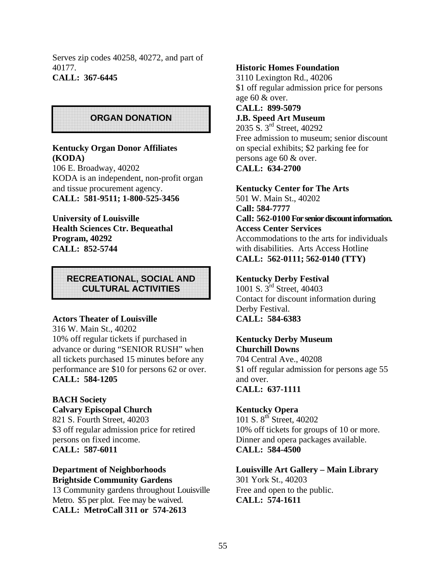Serves zip codes 40258, 40272, and part of 40177. **CALL: 367-6445** 

## **ORGAN DONATION**

### **Kentucky Organ Donor Affiliates (KODA)**

106 E. Broadway, 40202 KODA is an independent, non-profit organ and tissue procurement agency. **CALL: 581-9511; 1-800-525-3456** 

**University of Louisville Health Sciences Ctr. Bequeathal Program, 40292 CALL: 852-5744** 

### **RECREATIONAL, SOCIAL AND CULTURAL ACTIVITIES**

### **Actors Theater of Louisville**

316 W. Main St., 40202 10% off regular tickets if purchased in advance or during "SENIOR RUSH" when all tickets purchased 15 minutes before any performance are \$10 for persons 62 or over. **CALL: 584-1205** 

**BACH Society Calvary Episcopal Church**  821 S. Fourth Street, 40203 \$3 off regular admission price for retired persons on fixed income.

**CALL: 587-6011** 

**Department of Neighborhoods Brightside Community Gardens**  13 Community gardens throughout Louisville Metro. \$5 per plot. Fee may be waived. **CALL: MetroCall 311 or 574-2613** 

### **Historic Homes Foundation**

3110 Lexington Rd., 40206 \$1 off regular admission price for persons age 60 & over. **CALL: 899-5079 J.B. Speed Art Museum**  2035 S. 3<sup>rd</sup> Street, 40292 Free admission to museum; senior discount on special exhibits; \$2 parking fee for persons age 60 & over. **CALL: 634-2700** 

**Kentucky Center for The Arts**  501 W. Main St., 40202 **Call: 584-7777 Call: 562-0100 For senior discount information. Access Center Services**  Accommodations to the arts for individuals with disabilities. Arts Access Hotline **CALL: 562-0111; 562-0140 (TTY)** 

### **Kentucky Derby Festival**

1001 S. 3rd Street, 40403 Contact for discount information during Derby Festival. **CALL: 584-6383** 

### **Kentucky Derby Museum Churchill Downs**

704 Central Ave., 40208 \$1 off regular admission for persons age 55 and over. **CALL: 637-1111** 

**Kentucky Opera**  101 S. 8<sup>th</sup> Street, 40202 10% off tickets for groups of 10 or more. Dinner and opera packages available. **CALL: 584-4500** 

**Louisville Art Gallery – Main Library**  301 York St., 40203 Free and open to the public. **CALL: 574-1611**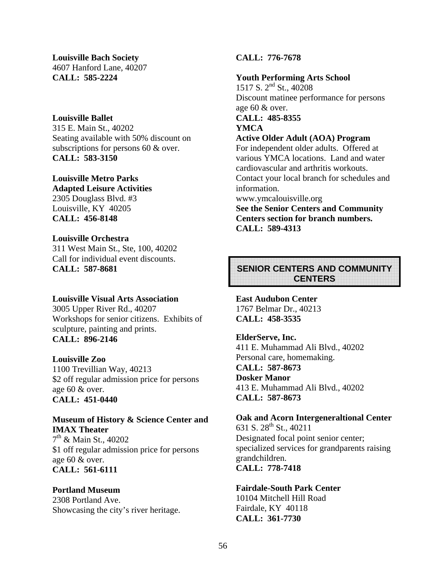**Louisville Bach Society**  4607 Hanford Lane, 40207 **CALL: 585-2224** 

### **Louisville Ballet**

315 E. Main St., 40202 Seating available with 50% discount on subscriptions for persons 60  $\&$  over. **CALL: 583-3150** 

### **Louisville Metro Parks**

**Adapted Leisure Activities**  2305 Douglass Blvd. #3 Louisville, KY 40205 **CALL: 456-8148** 

### **Louisville Orchestra**

311 West Main St., Ste, 100, 40202 Call for individual event discounts. **CALL: 587-8681** 

#### **Louisville Visual Arts Association**

3005 Upper River Rd., 40207 Workshops for senior citizens. Exhibits of sculpture, painting and prints. **CALL: 896-2146** 

#### **Louisville Zoo**

1100 Trevillian Way, 40213 \$2 off regular admission price for persons age 60 & over. **CALL: 451-0440** 

**Museum of History & Science Center and IMAX Theater**  7th & Main St., 40202 \$1 off regular admission price for persons

age 60 & over. **CALL: 561-6111** 

#### **Portland Museum**

2308 Portland Ave. Showcasing the city's river heritage.

### **CALL: 776-7678**

#### **Youth Performing Arts School**

1517 S.  $2<sup>nd</sup>$  St., 40208 Discount matinee performance for persons age 60 & over. **CALL: 485-8355 YMCA Active Older Adult (AOA) Program**  For independent older adults. Offered at various YMCA locations. Land and water cardiovascular and arthritis workouts. Contact your local branch for schedules and information. www.ymcalouisville.org **See the Senior Centers and Community Centers section for branch numbers.** 

**CALL: 589-4313** 

### **SENIOR CENTERS AND COMMUNITY CENTERS**

**East Audubon Center**  1767 Belmar Dr., 40213 **CALL: 458-3535** 

#### **ElderServe, Inc.**

411 E. Muhammad Ali Blvd., 40202 Personal care, homemaking. **CALL: 587-8673 Dosker Manor**  413 E. Muhammad Ali Blvd., 40202 **CALL: 587-8673** 

**Oak and Acorn Intergeneraltional Center** 631 S.  $28^{th}$  St., 40211 Designated focal point senior center; specialized services for grandparents raising grandchildren.

**CALL: 778-7418** 

### **Fairdale-South Park Center**

10104 Mitchell Hill Road Fairdale, KY 40118 **CALL: 361-7730**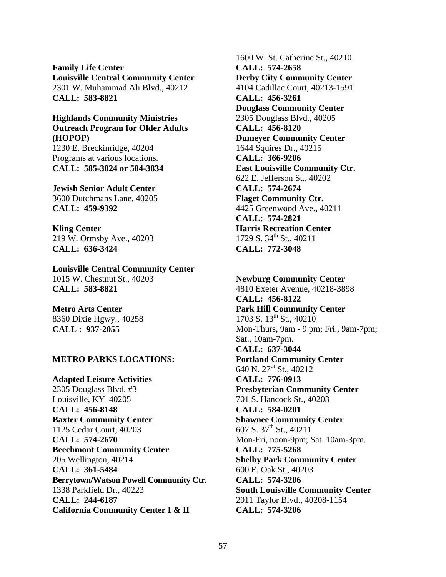#### **Family Life Center**

**Louisville Central Community Center**  2301 W. Muhammad Ali Blvd., 40212 **CALL: 583-8821** 

### **Highlands Community Ministries Outreach Program for Older Adults (HOPOP)**

1230 E. Breckinridge, 40204 Programs at various locations. **CALL: 585-3824 or 584-3834** 

**Jewish Senior Adult Center**  3600 Dutchmans Lane, 40205 **CALL: 459-9392** 

**Kling Center**  219 W. Ormsby Ave., 40203 **CALL: 636-3424** 

**Louisville Central Community Center**  1015 W. Chestnut St., 40203 **CALL: 583-8821** 

**Metro Arts Center**  8360 Dixie Hgwy., 40258 **CALL : 937-2055** 

### **METRO PARKS LOCATIONS:**

**Adapted Leisure Activities**  2305 Douglass Blvd. #3 Louisville, KY 40205 **CALL: 456-8148 Baxter Community Center**  1125 Cedar Court, 40203 **CALL: 574-2670 Beechmont Community Center**  205 Wellington, 40214 **CALL: 361-5484 Berrytown/Watson Powell Community Ctr.**  1338 Parkfield Dr., 40223 **CALL: 244-6187 California Community Center I & II** 

1600 W. St. Catherine St., 40210 **CALL: 574-2658 Derby City Community Center**  4104 Cadillac Court, 40213-1591 **CALL: 456-3261 Douglass Community Center**  2305 Douglass Blvd., 40205 **CALL: 456-8120 Dumeyer Community Center**  1644 Squires Dr., 40215 **CALL: 366-9206 East Louisville Community Ctr.**  622 E. Jefferson St., 40202 **CALL: 574-2674 Flaget Community Ctr.**  4425 Greenwood Ave., 40211 **CALL: 574-2821 Harris Recreation Center**  1729 S. 34<sup>th</sup> St., 40211 **CALL: 772-3048** 

**Newburg Community Center**  4810 Exeter Avenue, 40218-3898 **CALL: 456-8122 Park Hill Community Center**  1703 S.  $13^{th}$  St., 40210 Mon-Thurs, 9am - 9 pm; Fri., 9am-7pm; Sat., 10am-7pm. **CALL: 637-3044 Portland Community Center**  640 N. 27<sup>th</sup> St., 40212 **CALL: 776-0913 Presbyterian Community Center**  701 S. Hancock St., 40203 **CALL: 584-0201 Shawnee Community Center**  607 S.  $37^{\text{th}}$  St., 40211 Mon-Fri, noon-9pm; Sat. 10am-3pm. **CALL: 775-5268 Shelby Park Community Center**  600 E. Oak St., 40203 **CALL: 574-3206 South Louisville Community Center**  2911 Taylor Blvd., 40208-1154 **CALL: 574-3206**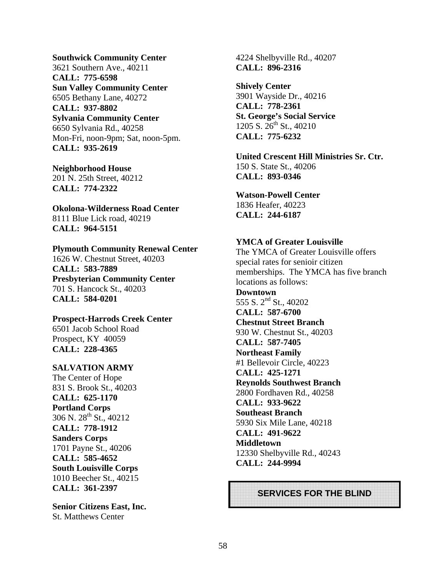#### **Southwick Community Center**

3621 Southern Ave., 40211 **CALL: 775-6598 Sun Valley Community Center**  6505 Bethany Lane, 40272 **CALL: 937-8802 Sylvania Community Center**  6650 Sylvania Rd., 40258 Mon-Fri, noon-9pm; Sat, noon-5pm. **CALL: 935-2619** 

#### **Neighborhood House**

201 N. 25th Street, 40212 **CALL: 774-2322** 

**Okolona-Wilderness Road Center**  8111 Blue Lick road, 40219 **CALL: 964-5151** 

**Plymouth Community Renewal Center**  1626 W. Chestnut Street, 40203 **CALL: 583-7889 Presbyterian Community Center**  701 S. Hancock St., 40203 **CALL: 584-0201** 

**Prospect-Harrods Creek Center**  6501 Jacob School Road Prospect, KY 40059 **CALL: 228-4365** 

### **SALVATION ARMY**

The Center of Hope 831 S. Brook St., 40203 **CALL: 625-1170 Portland Corps**  306 N.  $28^{th}$  St., 40212 **CALL: 778-1912 Sanders Corps**  1701 Payne St., 40206 **CALL: 585-4652 South Louisville Corps**  1010 Beecher St., 40215 **CALL: 361-2397** 

**Senior Citizens East, Inc.**  St. Matthews Center

4224 Shelbyville Rd., 40207 **CALL: 896-2316** 

**Shively Center**  3901 Wayside Dr., 40216 **CALL: 778-2361 St. George's Social Service**  1205 S.  $26^{th}$  St., 40210 **CALL: 775-6232** 

**United Crescent Hill Ministries Sr. Ctr.**  150 S. State St., 40206 **CALL: 893-0346** 

**Watson-Powell Center**  1836 Heafer, 40223 **CALL: 244-6187** 

### **YMCA of Greater Louisville**

The YMCA of Greater Louisville offers special rates for senioir citizen memberships. The YMCA has five branch locations as follows: **Downtown**  555 S. 2nd St., 40202 **CALL: 587-6700 Chestnut Street Branch**  930 W. Chestnut St., 40203 **CALL: 587-7405 Northeast Family**  #1 Bellevoir Circle, 40223 **CALL: 425-1271 Reynolds Southwest Branch**  2800 Fordhaven Rd., 40258 **CALL: 933-9622 Southeast Branch**  5930 Six Mile Lane, 40218 **CALL: 491-9622 Middletown**  12330 Shelbyville Rd., 40243 **CALL: 244-9994** 

### **SERVICES FOR THE BLIND**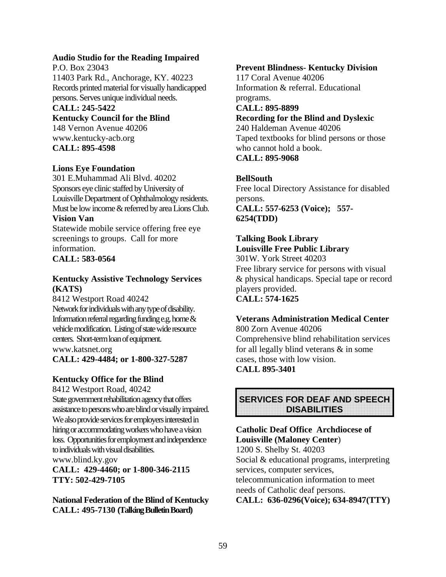### **Audio Studio for the Reading Impaired**

P.O. Box 23043 11403 Park Rd., Anchorage, KY. 40223 Records printed material for visually handicapped persons. Serves unique individual needs.

### **CALL: 245-5422**

**Kentucky Council for the Blind**  148 Vernon Avenue 40206 www.kentucky-acb.org **CALL: 895-4598** 

### **Lions Eye Foundation**

301 E.Muhammad Ali Blvd. 40202 Sponsors eye clinic staffed by University of Louisville Department of Ophthalmology residents. Must be low income & referred by area Lions Club. **Vision Van** 

Statewide mobile service offering free eye screenings to groups. Call for more information.

### **CALL: 583-0564**

### **Kentucky Assistive Technology Services (KATS)**

8412 Westport Road 40242 Network for individuals with any type of disability. Information referral regarding funding e.g. home & vehicle modification. Listing of state wide resource centers. Short-term loan of equipment. www.katsnet.org

**CALL: 429-4484; or 1-800-327-5287** 

### **Kentucky Office for the Blind**

8412 Westport Road, 40242 State government rehabilitation agency that offers assistance to persons who are blind or visually impaired. We also provide services for employers interested in hiring or accommodating workers who have a vision loss. Opportunities for employment and independence to individuals with visual disabilities. www.blind.ky.gov

**CALL: 429-4460; or 1-800-346-2115 TTY: 502-429-7105** 

### **National Federation of the Blind of Kentucky CALL: 495-7130 (Talking Bulletin Board)**

### **Prevent Blindness- Kentucky Division**

117 Coral Avenue 40206 Information & referral. Educational programs.

### **CALL: 895-8899**

**Recording for the Blind and Dyslexic**  240 Haldeman Avenue 40206 Taped textbooks for blind persons or those who cannot hold a book.

**CALL: 895-9068** 

### **BellSouth**

Free local Directory Assistance for disabled persons. **CALL: 557-6253 (Voice); 557- 6254(TDD)** 

### **Talking Book Library Louisville Free Public Library**

301W. York Street 40203 Free library service for persons with visual & physical handicaps. Special tape or record players provided. **CALL: 574-1625** 

### **Veterans Administration Medical Center**

800 Zorn Avenue 40206 Comprehensive blind rehabilitation services for all legally blind veterans & in some cases, those with low vision. **CALL 895-3401**

### **SERVICES FOR DEAF AND SPEECH DISABILITIES**

**Catholic Deaf Office Archdiocese of Louisville (Maloney Center**) 1200 S. Shelby St. 40203 Social & educational programs, interpreting services, computer services, telecommunication information to meet needs of Catholic deaf persons. **CALL: 636-0296(Voice); 634-8947(TTY)**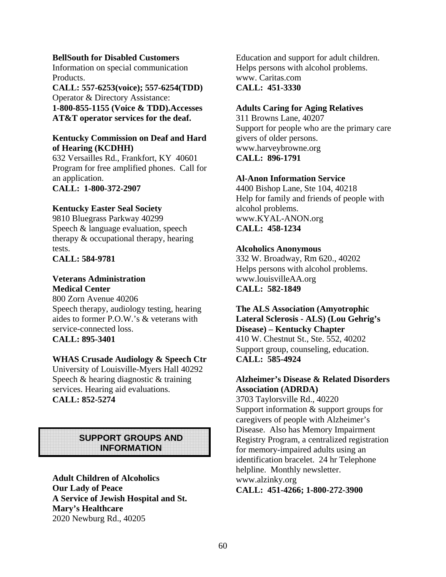### **BellSouth for Disabled Customers**

Information on special communication Products.

**CALL: 557-6253(voice); 557-6254(TDD)**  Operator & Directory Assistance: **1-800-855-1155 (Voice & TDD).Accesses AT&T operator services for the deaf.** 

### **Kentucky Commission on Deaf and Hard of Hearing (KCDHH)**

632 Versailles Rd., Frankfort, KY 40601 Program for free amplified phones. Call for an application. **CALL: 1-800-372-2907** 

### **Kentucky Easter Seal Society**

9810 Bluegrass Parkway 40299 Speech & language evaluation, speech therapy & occupational therapy, hearing tests.

**CALL: 584-9781** 

### **Veterans Administration Medical Center**

800 Zorn Avenue 40206 Speech therapy, audiology testing, hearing aides to former P.O.W.'s & veterans with service-connected loss. **CALL: 895-3401** 

### **WHAS Crusade Audiology & Speech Ctr**

University of Louisville-Myers Hall 40292 Speech & hearing diagnostic & training services. Hearing aid evaluations. **CALL: 852-5274** 

### **SUPPORT GROUPS AND INFORMATION**

**Adult Children of Alcoholics Our Lady of Peace A Service of Jewish Hospital and St. Mary's Healthcare** 2020 Newburg Rd., 40205

Education and support for adult children. Helps persons with alcohol problems. www. Caritas.com **CALL: 451-3330** 

### **Adults Caring for Aging Relatives**

311 Browns Lane, 40207 Support for people who are the primary care givers of older persons. www.harveybrowne.org **CALL: 896-1791** 

### **Al-Anon Information Service**

4400 Bishop Lane, Ste 104, 40218 Help for family and friends of people with alcohol problems. www.KYAL-ANON.org **CALL: 458-1234** 

### **Alcoholics Anonymous**

332 W. Broadway, Rm 620., 40202 Helps persons with alcohol problems. www.louisvilleAA.org **CALL: 582-1849** 

### **The ALS Association (Amyotrophic Lateral Sclerosis - ALS) (Lou Gehrig's Disease) – Kentucky Chapter**  410 W. Chestnut St., Ste. 552, 40202 Support group, counseling, education. **CALL: 585-4924**

### **Alzheimer's Disease & Related Disorders Association (ADRDA)**

3703 Taylorsville Rd., 40220 Support information & support groups for caregivers of people with Alzheimer's Disease. Also has Memory Impairment Registry Program, a centralized registration for memory-impaired adults using an identification bracelet. 24 hr Telephone helpline. Monthly newsletter. www.alzinky.org **CALL: 451-4266; 1-800-272-3900**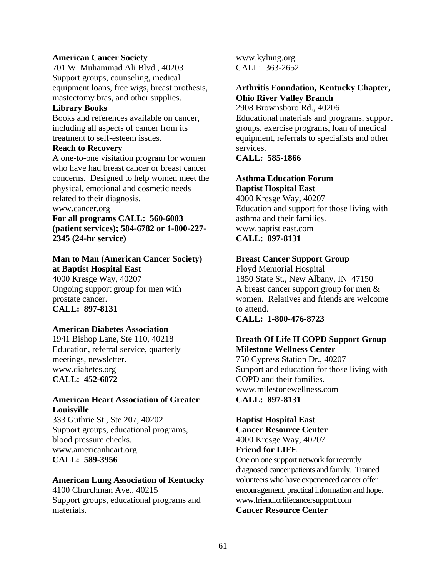### **American Cancer Society**

701 W. Muhammad Ali Blvd., 40203 Support groups, counseling, medical equipment loans, free wigs, breast prothesis, mastectomy bras, and other supplies.

### **Library Books**

Books and references available on cancer, including all aspects of cancer from its treatment to self-esteem issues.

### **Reach to Recovery**

A one-to-one visitation program for women who have had breast cancer or breast cancer concerns. Designed to help women meet the physical, emotional and cosmetic needs related to their diagnosis.

www.cancer.org

**For all programs CALL: 560-6003 (patient services); 584-6782 or 1-800-227- 2345 (24-hr service)** 

### **Man to Man (American Cancer Society) at Baptist Hospital East**

4000 Kresge Way, 40207 Ongoing support group for men with prostate cancer. **CALL: 897-8131** 

### **American Diabetes Association**

1941 Bishop Lane, Ste 110, 40218 Education, referral service, quarterly meetings, newsletter. www.diabetes.org **CALL: 452-6072** 

### **American Heart Association of Greater Louisville**

333 Guthrie St., Ste 207, 40202 Support groups, educational programs, blood pressure checks. www.americanheart.org **CALL: 589-3956** 

### **American Lung Association of Kentucky**

4100 Churchman Ave., 40215 Support groups, educational programs and materials.

www.kylung.org CALL: 363-2652

### **Arthritis Foundation, Kentucky Chapter, Ohio River Valley Branch**

2908 Brownsboro Rd., 40206 Educational materials and programs, support groups, exercise programs, loan of medical equipment, referrals to specialists and other services.

### **CALL: 585-1866**

### **Asthma Education Forum Baptist Hospital East**

4000 Kresge Way, 40207 Education and support for those living with asthma and their families. www.baptist east.com **CALL: 897-8131** 

### **Breast Cancer Support Group**

Floyd Memorial Hospital 1850 State St., New Albany, IN 47150 A breast cancer support group for men & women. Relatives and friends are welcome to attend.

### **CALL: 1-800-476-8723**

### **Breath Of Life II COPD Support Group Milestone Wellness Center**

750 Cypress Station Dr., 40207 Support and education for those living with COPD and their families. www.milestonewellness.com **CALL: 897-8131** 

### **Baptist Hospital East**

**Cancer Resource Center** 4000 Kresge Way, 40207 **Friend for LIFE**

One on one support network for recently diagnosed cancer patients and family. Trained volunteers who have experienced cancer offer encouragement, practical information and hope. www.friendforlifecancersupport.com

### **Cancer Resource Center**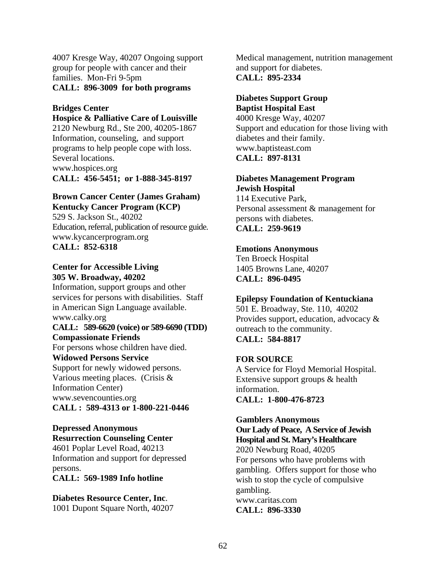4007 Kresge Way, 40207 Ongoing support group for people with cancer and their families. Mon-Fri 9-5pm **CALL: 896-3009 for both programs** 

### **Bridges Center**

### **Hospice & Palliative Care of Louisville**

2120 Newburg Rd., Ste 200, 40205-1867 Information, counseling, and support programs to help people cope with loss. Several locations. www.hospices.org **CALL: 456-5451; or 1-888-345-8197** 

### **Brown Cancer Center (James Graham) Kentucky Cancer Program (KCP)**

529 S. Jackson St., 40202 Education, referral, publication of resource guide. www.kycancerprogram.org **CALL: 852-6318** 

### **Center for Accessible Living 305 W. Broadway, 40202**

Information, support groups and other services for persons with disabilities. Staff in American Sign Language available. www.calky.org

### **CALL: 589-6620 (voice) or 589-6690 (TDD) Compassionate Friends**  For persons whose children have died. **Widowed Persons Service**  Support for newly widowed persons. Various meeting places. (Crisis &

Information Center) www.sevencounties.org **CALL : 589-4313 or 1-800-221-0446** 

### **Depressed Anonymous Resurrection Counseling Center**

4601 Poplar Level Road, 40213 Information and support for depressed persons. **CALL: 569-1989 Info hotline** 

### **Diabetes Resource Center, Inc**. 1001 Dupont Square North, 40207

Medical management, nutrition management and support for diabetes. **CALL: 895-2334** 

### **Diabetes Support Group Baptist Hospital East**

4000 Kresge Way, 40207 Support and education for those living with diabetes and their family. www.baptisteast.com **CALL: 897-8131** 

#### **Diabetes Management Program Jewish Hospital**

114 Executive Park, Personal assessment & management for persons with diabetes. **CALL: 259-9619** 

### **Emotions Anonymous**

Ten Broeck Hospital 1405 Browns Lane, 40207 **CALL: 896-0495**

### **Epilepsy Foundation of Kentuckiana**

501 E. Broadway, Ste. 110, 40202 Provides support, education, advocacy & outreach to the community. **CALL: 584-8817** 

### **FOR SOURCE**

A Service for Floyd Memorial Hospital. Extensive support groups & health information. **CALL: 1-800-476-8723** 

### **Gamblers Anonymous**

**Our Lady of Peace, A Service of Jewish Hospital and St. Mary's Healthcare** 2020 Newburg Road, 40205 For persons who have problems with gambling. Offers support for those who wish to stop the cycle of compulsive gambling. www.caritas.com **CALL: 896-3330**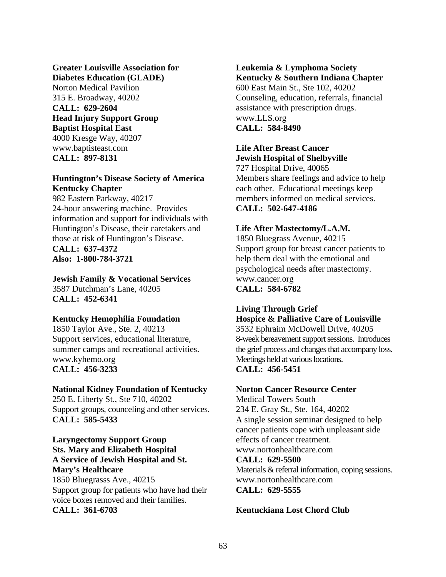### **Greater Louisville Association for**

**Diabetes Education (GLADE)**  Norton Medical Pavilion 315 E. Broadway, 40202 **CALL: 629-2604 Head Injury Support Group Baptist Hospital East**  4000 Kresge Way, 40207 www.baptisteast.com **CALL: 897-8131** 

### **Huntington's Disease Society of America Kentucky Chapter**

982 Eastern Parkway, 40217 24-hour answering machine. Provides information and support for individuals with Huntington's Disease, their caretakers and those at risk of Huntington's Disease. **CALL: 637-4372 Also: 1-800-784-3721** 

### **Jewish Family & Vocational Services**

3587 Dutchman's Lane, 40205 **CALL: 452-6341** 

### **Kentucky Hemophilia Foundation**

1850 Taylor Ave., Ste. 2, 40213 Support services, educational literature, summer camps and recreational activities. www.kyhemo.org **CALL: 456-3233** 

### **National Kidney Foundation of Kentucky**

250 E. Liberty St., Ste 710, 40202 Support groups, counceling and other services. **CALL: 585-5433** 

### **Laryngectomy Support Group Sts. Mary and Elizabeth Hospital A Service of Jewish Hospital and St. Mary's Healthcare**  1850 Bluegrasss Ave., 40215 Support group for patients who have had their

voice boxes removed and their families. **CALL: 361-6703** 

### **Leukemia & Lymphoma Society Kentucky & Southern Indiana Chapter**  600 East Main St., Ste 102, 40202 Counseling, education, referrals, financial

assistance with prescription drugs. www.LLS.org **CALL: 584-8490** 

### **Life After Breast Cancer Jewish Hospital of Shelbyville**

727 Hospital Drive, 40065 Members share feelings and advice to help each other. Educational meetings keep members informed on medical services. **CALL: 502-647-4186** 

### **Life After Mastectomy/L.A.M.**

1850 Bluegrass Avenue, 40215 Support group for breast cancer patients to help them deal with the emotional and psychological needs after mastectomy. www.cancer.org **CALL: 584-6782** 

### **Living Through Grief**

**Hospice & Palliative Care of Louisville** 3532 Ephraim McDowell Drive, 40205 8-week bereavement support sessions. Introduces the grief process and changes that accompany loss. Meetings held at various locations. **CALL: 456-5451** 

### **Norton Cancer Resource Center**

Medical Towers South 234 E. Gray St., Ste. 164, 40202 A single session seminar designed to help cancer patients cope with unpleasant side effects of cancer treatment. www.nortonhealthcare.com **CALL: 629-5500** 

Materials & referral information, coping sessions. www.nortonhealthcare.com **CALL: 629-5555** 

### **Kentuckiana Lost Chord Club**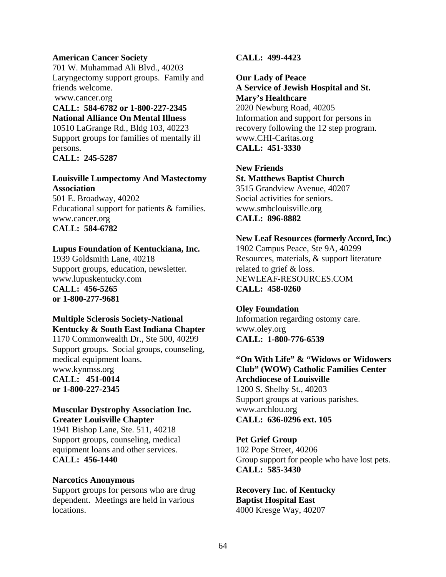### **American Cancer Society** 701 W. Muhammad Ali Blvd., 40203 Laryngectomy support groups. Family and friends welcome. www.cancer.org **CALL: 584-6782 or 1-800-227-2345**

**National Alliance On Mental Illness**  10510 LaGrange Rd., Bldg 103, 40223 Support groups for families of mentally ill persons.

**CALL: 245-5287** 

### **Louisville Lumpectomy And Mastectomy Association**

501 E. Broadway, 40202 Educational support for patients & families. www.cancer.org **CALL: 584-6782** 

### **Lupus Foundation of Kentuckiana, Inc.**

1939 Goldsmith Lane, 40218 Support groups, education, newsletter. www.lupuskentucky.com **CALL: 456-5265 or 1-800-277-9681** 

### **Multiple Sclerosis Society-National Kentucky & South East Indiana Chapter**

1170 Commonwealth Dr., Ste 500, 40299 Support groups. Social groups, counseling, medical equipment loans. www.kynmss.org

**CALL: 451-0014 or 1-800-227-2345** 

### **Muscular Dystrophy Association Inc. Greater Louisville Chapter**

1941 Bishop Lane, Ste. 511, 40218 Support groups, counseling, medical equipment loans and other services. **CALL: 456-1440** 

### **Narcotics Anonymous**

Support groups for persons who are drug dependent. Meetings are held in various locations.

### **CALL: 499-4423**

**Our Lady of Peace A Service of Jewish Hospital and St. Mary's Healthcare**  2020 Newburg Road, 40205 Information and support for persons in recovery following the 12 step program. www.CHI-Caritas.org **CALL: 451-3330** 

**New Friends St. Matthews Baptist Church**  3515 Grandview Avenue, 40207 Social activities for seniors. www.smbclouisville.org **CALL: 896-8882** 

### **New Leaf Resources (formerly Accord, Inc.)**

1902 Campus Peace, Ste 9A, 40299 Resources, materials, & support literature related to grief & loss. NEWLEAF-RESOURCES.COM **CALL: 458-0260** 

### **Oley Foundation**

Information regarding ostomy care. www.oley.org **CALL: 1-800-776-6539** 

### **"On With Life" & "Widows or Widowers Club" (WOW) Catholic Families Center Archdiocese of Louisville**  1200 S. Shelby St., 40203 Support groups at various parishes. www.archlou.org **CALL: 636-0296 ext. 105**

**Pet Grief Group** 

102 Pope Street, 40206 Group support for people who have lost pets. **CALL: 585-3430** 

**Recovery Inc. of Kentucky Baptist Hospital East**  4000 Kresge Way, 40207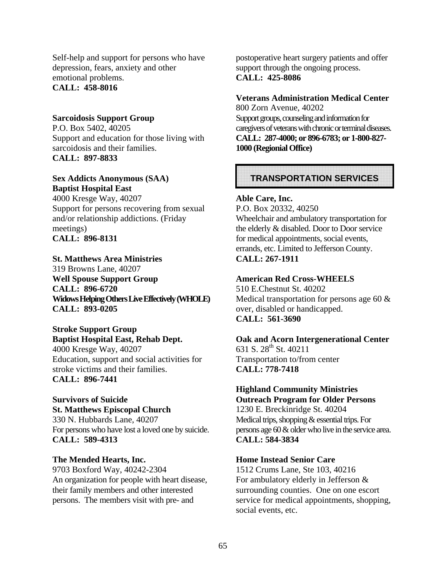Self-help and support for persons who have depression, fears, anxiety and other emotional problems. **CALL: 458-8016** 

### **Sarcoidosis Support Group**

P.O. Box 5402, 40205 Support and education for those living with sarcoidosis and their families. **CALL: 897-8833** 

### **Sex Addicts Anonymous (SAA) Baptist Hospital East**

4000 Kresge Way, 40207 Support for persons recovering from sexual and/or relationship addictions. (Friday meetings) **CALL: 896-8131** 

### **St. Matthews Area Ministries**

319 Browns Lane, 40207 **Well Spouse Support Group CALL: 896-6720 Widows Helping Others Live Effectively (WHOLE) CALL: 893-0205** 

### **Stroke Support Group**

**Baptist Hospital East, Rehab Dept.**  4000 Kresge Way, 40207 Education, support and social activities for stroke victims and their families. **CALL: 896-7441** 

### **Survivors of Suicide St. Matthews Episcopal Church**

330 N. Hubbards Lane, 40207 For persons who have lost a loved one by suicide. **CALL: 589-4313** 

### **The Mended Hearts, Inc.**

9703 Boxford Way, 40242-2304 An organization for people with heart disease, their family members and other interested persons. The members visit with pre- and

postoperative heart surgery patients and offer support through the ongoing process. **CALL: 425-8086** 

### **Veterans Administration Medical Center**

800 Zorn Avenue, 40202 Support groups, counseling and information for caregivers of veterans with chronic or terminal diseases. **CALL: 287-4000; or 896-6783; or 1-800-827- 1000 (Regionial Office)** 

### **TRANSPORTATION SERVICES**

### **Able Care, Inc.**

P.O. Box 20332, 40250 Wheelchair and ambulatory transportation for the elderly & disabled. Door to Door service for medical appointments, social events, errands, etc. Limited to Jefferson County. **CALL: 267-1911** 

### **American Red Cross-WHEELS**

510 E.Chestnut St. 40202 Medical transportation for persons age 60 & over, disabled or handicapped. **CALL: 561-3690** 

### **Oak and Acorn Intergenerational Center**  631 S. 28<sup>th</sup> St. 40211

Transportation to/from center **CALL: 778-7418** 

### **Highland Community Ministries Outreach Program for Older Persons**

1230 E. Breckinridge St. 40204 Medical trips, shopping & essential trips. For persons age 60 & older who live in the service area. **CALL: 584-3834** 

### **Home Instead Senior Care**

1512 Crums Lane, Ste 103, 40216 For ambulatory elderly in Jefferson & surrounding counties. One on one escort service for medical appointments, shopping, social events, etc.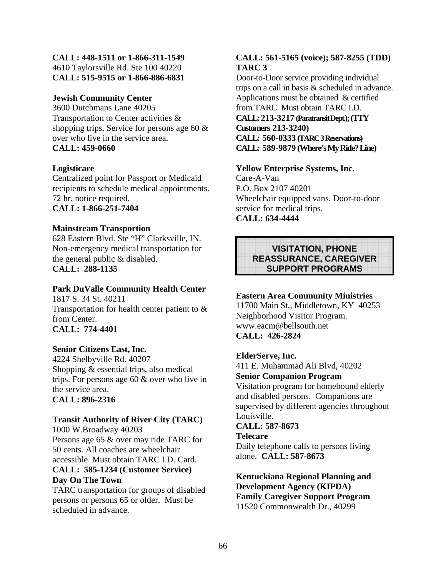### **CALL: 448-1511 or 1-866-311-1549**  4610 Taylorsville Rd. Ste 100 40220 **CALL: 515-9515 or 1-866-886-6831**

### **Jewish Community Center**

3600 Dutchmans Lane 40205 Transportation to Center activities & shopping trips. Service for persons age 60 & over who live in the service area. **CALL: 459-0660** 

### **Logisticare**

Centralized point for Passport or Medicaid recipients to schedule medical appointments. 72 hr. notice required. **CALL: 1-866-251-7404** 

### **Mainstream Transportion**

628 Eastern Blvd. Ste "H" Clarksville, IN. Non-emergency medical transportation for the general public & disabled. **CALL: 288-1135** 

### **Park DuValle Community Health Center**

1817 S. 34 St. 40211 Transportation for health center patient to & from Center.

**CALL: 774-4401** 

### **Senior Citizens East, Inc.**

4224 Shelbyville Rd. 40207 Shopping & essential trips, also medical trips. For persons age 60 & over who live in the service area. **CALL: 896-2316** 

### **Transit Authority of River City (TARC)**

1000 W.Broadway 40203 Persons age 65 & over may ride TARC for 50 cents. All coaches are wheelchair accessible. Must obtain TARC I.D. Card. **CALL: 585-1234 (Customer Service)** 

## **Day On The Town**

TARC transportation for groups of disabled persons or persons 65 or older. Must be scheduled in advance.

### **CALL: 561-5165 (voice); 587-8255 (TDD) TARC 3**

Door-to-Door service providing individual trips on a call in basis & scheduled in advance. Applications must be obtained & certified from TARC. Must obtain TARC I.D. **CALL: 213-3217 (Paratransit Dept.); (TTY Customers 213-3240) CALL: 560-0333 (TARC 3 Reservations) CALL: 589-9879 (Where's My Ride? Line)** 

### **Yellow Enterprise Systems, Inc.**

Care-A-Van P.O. Box 2107 40201 Wheelchair equipped vans. Door-to-door service for medical trips. **CALL: 634-4444** 

### **VISITATION, PHONE REASSURANCE, CAREGIVER SUPPORT PROGRAMS**

### **Eastern Area Community Ministries**

11700 Main St., Middletown, KY 40253 Neighborhood Visitor Program. www.eacm@bellsouth.net **CALL: 426-2824** 

### **ElderServe, Inc.**

411 E. Muhammad Ali Blvd, 40202 **Senior Companion Program**  Visitation program for homebound elderly and disabled persons. Companions are supervised by different agencies throughout Louisville.

### **CALL: 587-8673**

**Telecare** 

Daily telephone calls to persons living alone. **CALL: 587-8673** 

### **Kentuckiana Regional Planning and Development Agency (KIPDA) Family Caregiver Support Program**  11520 Commonwealth Dr., 40299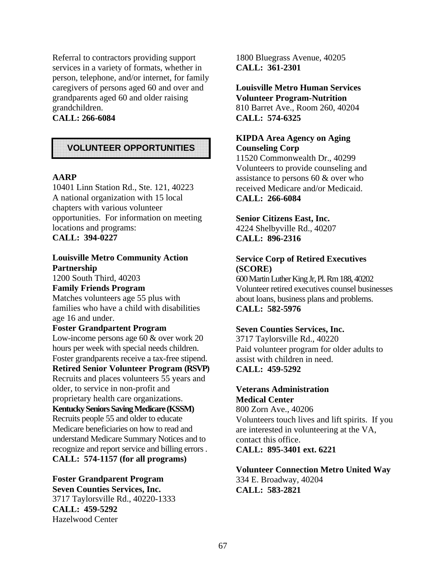Referral to contractors providing support services in a variety of formats, whether in person, telephone, and/or internet, for family caregivers of persons aged 60 and over and grandparents aged 60 and older raising grandchildren.

### **CALL: 266-6084**

### **VOLUNTEER OPPORTUNITIES**

### **AARP**

10401 Linn Station Rd., Ste. 121, 40223 A national organization with 15 local chapters with various volunteer opportunities. For information on meeting locations and programs: **CALL: 394-0227** 

### **Louisville Metro Community Action Partnership**

1200 South Third, 40203 **Family Friends Program** 

Matches volunteers age 55 plus with families who have a child with disabilities age 16 and under.

### **Foster Grandpartent Program**

Low-income persons age 60 & over work 20 hours per week with special needs children. Foster grandparents receive a tax-free stipend.

### **Retired Senior Volunteer Program (RSVP)**

Recruits and places volunteers 55 years and older, to service in non-profit and proprietary health care organizations. **Kentucky Seniors Saving Medicare (KSSM)** 

Recruits people 55 and older to educate Medicare beneficiaries on how to read and understand Medicare Summary Notices and to recognize and report service and billing errors . **CALL: 574-1157 (for all programs)** 

### **Foster Grandparent Program Seven Counties Services, Inc.**

3717 Taylorsville Rd., 40220-1333 **CALL: 459-5292**  Hazelwood Center

1800 Bluegrass Avenue, 40205 **CALL: 361-2301** 

### **Louisville Metro Human Services Volunteer Program-Nutrition**  810 Barret Ave., Room 260, 40204

**CALL: 574-6325** 

### **KIPDA Area Agency on Aging Counseling Corp**

11520 Commonwealth Dr., 40299 Volunteers to provide counseling and assistance to persons 60 & over who received Medicare and/or Medicaid. **CALL: 266-6084** 

### **Senior Citizens East, Inc.**

4224 Shelbyville Rd., 40207 **CALL: 896-2316** 

### **Service Corp of Retired Executives (SCORE)**

600 Martin Luther King Jr, Pl. Rm 188, 40202 Volunteer retired executives counsel businesses about loans, business plans and problems. **CALL: 582-5976** 

### **Seven Counties Services, Inc.**

3717 Taylorsville Rd., 40220 Paid volunteer program for older adults to assist with children in need. **CALL: 459-5292** 

### **Veterans Administration Medical Center**

800 Zorn Ave., 40206 Volunteers touch lives and lift spirits. If you are interested in volunteering at the VA, contact this office. **CALL: 895-3401 ext. 6221** 

**Volunteer Connection Metro United Way**  334 E. Broadway, 40204 **CALL: 583-2821**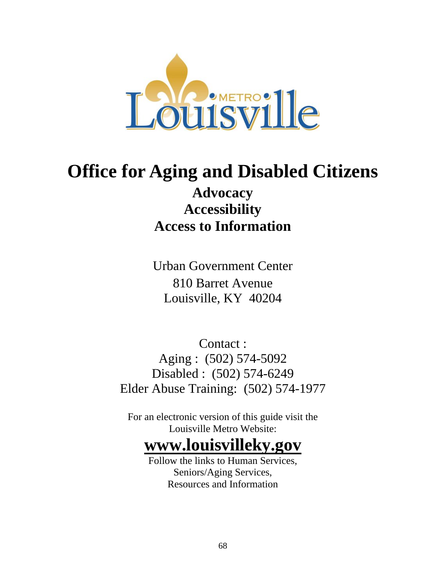

## **Office for Aging and Disabled Citizens Advocacy Accessibility Access to Information**

Urban Government Center 810 Barret Avenue Louisville, KY 40204

Contact : Aging : (502) 574-5092 Disabled : (502) 574-6249 Elder Abuse Training: (502) 574-1977

For an electronic version of this guide visit the Louisville Metro Website:

## **www.louisvilleky.gov**

Follow the links to Human Services, Seniors/Aging Services, Resources and Information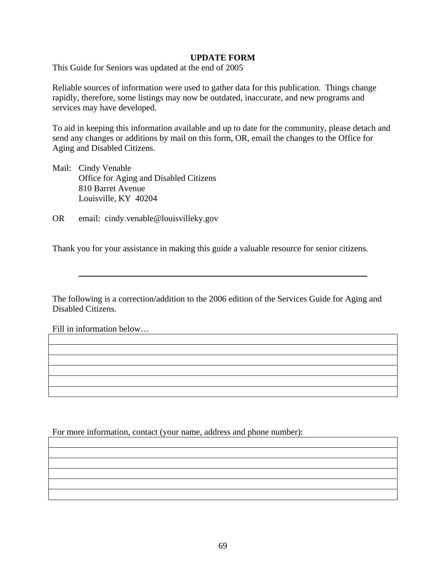### **UPDATE FORM**

This Guide for Seniors was updated at the end of 2005

Reliable sources of information were used to gather data for this publication. Things change rapidly, therefore, some listings may now be outdated, inaccurate, and new programs and services may have developed.

To aid in keeping this information available and up to date for the community, please detach and send any changes or additions by mail on this form, OR, email the changes to the Office for Aging and Disabled Citizens.

- Mail: Cindy Venable Office for Aging and Disabled Citizens 810 Barret Avenue Louisville, KY 40204
- OR email: cindy.venable@louisvilleky.gov

Thank you for your assistance in making this guide a valuable resource for senior citizens.

The following is a correction/addition to the 2006 edition of the Services Guide for Aging and Disabled Citizens.

Fill in information below…

For more information, contact (your name, address and phone number):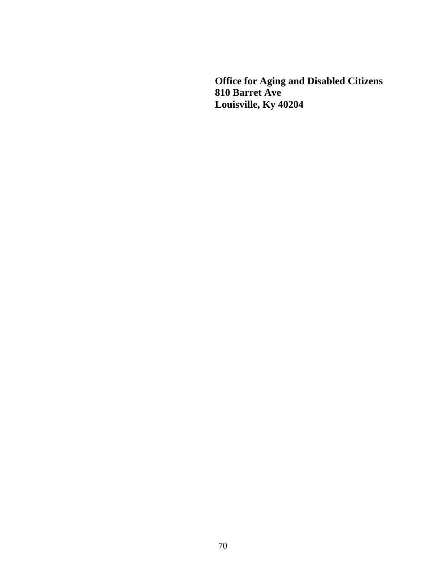**Office for Aging and Disabled Citizens 810 Barret Ave Louisville, Ky 40204**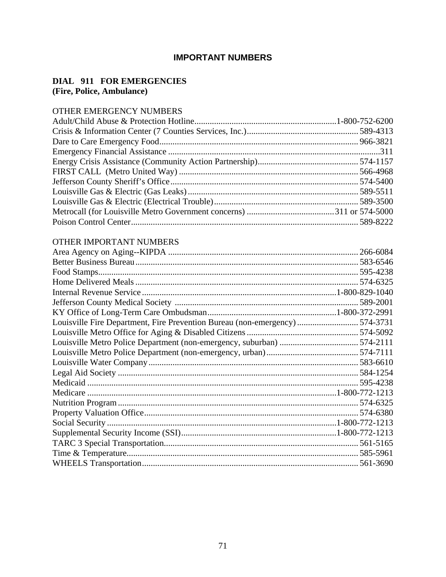### **IMPORTANT NUMBERS**

### **DIAL 911 FOR EMERGENCIES (Fire, Police, Ambulance)**

### OTHER EMERGENCY NUMBERS

### OTHER IMPORTANT NUMBERS

| Louisville Fire Department, Fire Prevention Bureau (non-emergency)574-3731 |  |
|----------------------------------------------------------------------------|--|
|                                                                            |  |
|                                                                            |  |
|                                                                            |  |
|                                                                            |  |
|                                                                            |  |
|                                                                            |  |
|                                                                            |  |
|                                                                            |  |
|                                                                            |  |
|                                                                            |  |
|                                                                            |  |
|                                                                            |  |
|                                                                            |  |
|                                                                            |  |